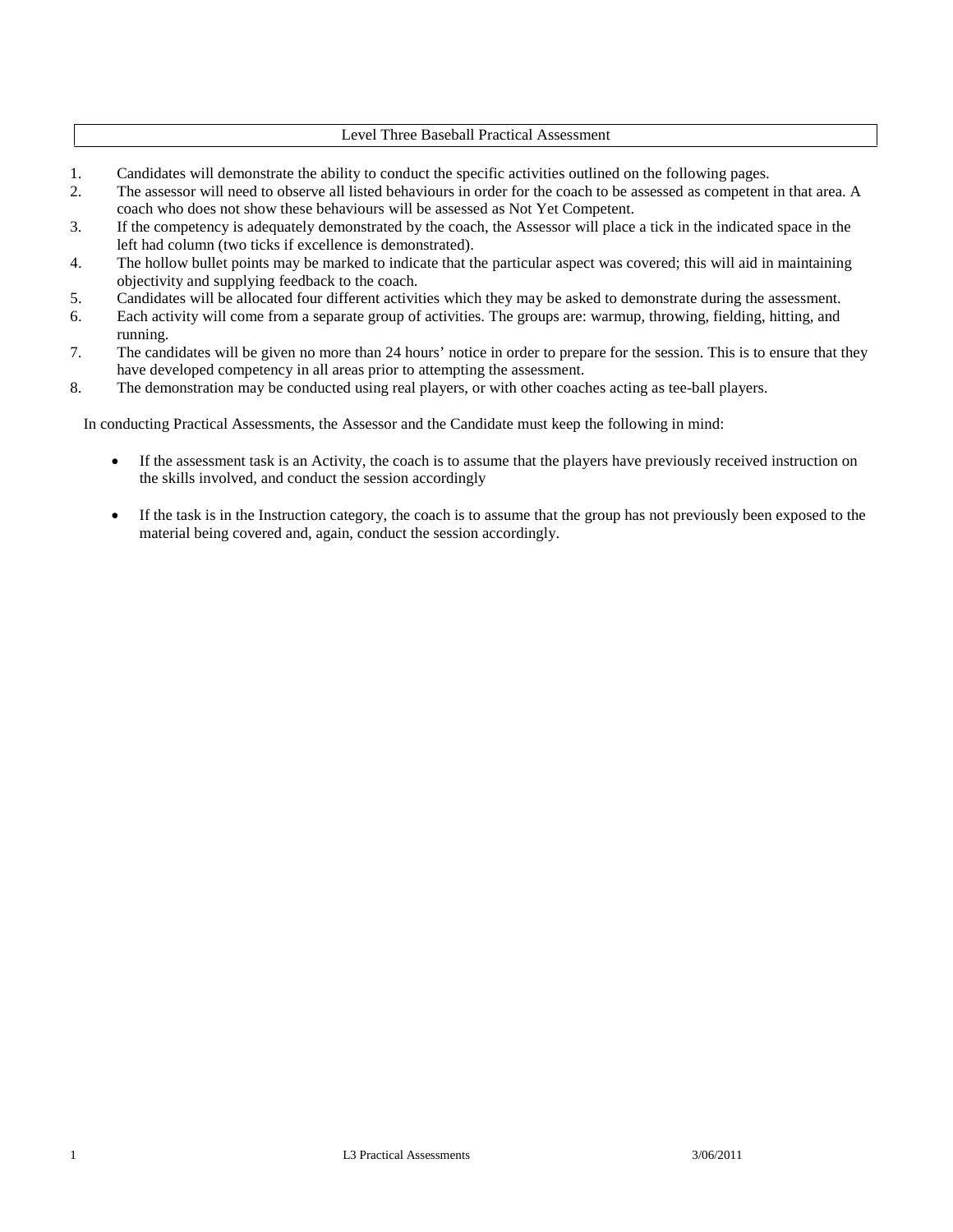#### Level Three Baseball Practical Assessment

- 1. Candidates will demonstrate the ability to conduct the specific activities outlined on the following pages.<br>2. The assessor will need to observe all listed behaviours in order for the coach to be assessed as competent
- 2. The assessor will need to observe all listed behaviours in order for the coach to be assessed as competent in that area. A coach who does not show these behaviours will be assessed as Not Yet Competent.
- 3. If the competency is adequately demonstrated by the coach, the Assessor will place a tick in the indicated space in the left had column (two ticks if excellence is demonstrated).
- 4. The hollow bullet points may be marked to indicate that the particular aspect was covered; this will aid in maintaining objectivity and supplying feedback to the coach.
- 5. Candidates will be allocated four different activities which they may be asked to demonstrate during the assessment.
- 6. Each activity will come from a separate group of activities. The groups are: warmup, throwing, fielding, hitting, and running.
- 7. The candidates will be given no more than 24 hours' notice in order to prepare for the session. This is to ensure that they have developed competency in all areas prior to attempting the assessment.
- 8. The demonstration may be conducted using real players, or with other coaches acting as tee-ball players.

In conducting Practical Assessments, the Assessor and the Candidate must keep the following in mind:

- If the assessment task is an Activity, the coach is to assume that the players have previously received instruction on the skills involved, and conduct the session accordingly
- If the task is in the Instruction category, the coach is to assume that the group has not previously been exposed to the material being covered and, again, conduct the session accordingly.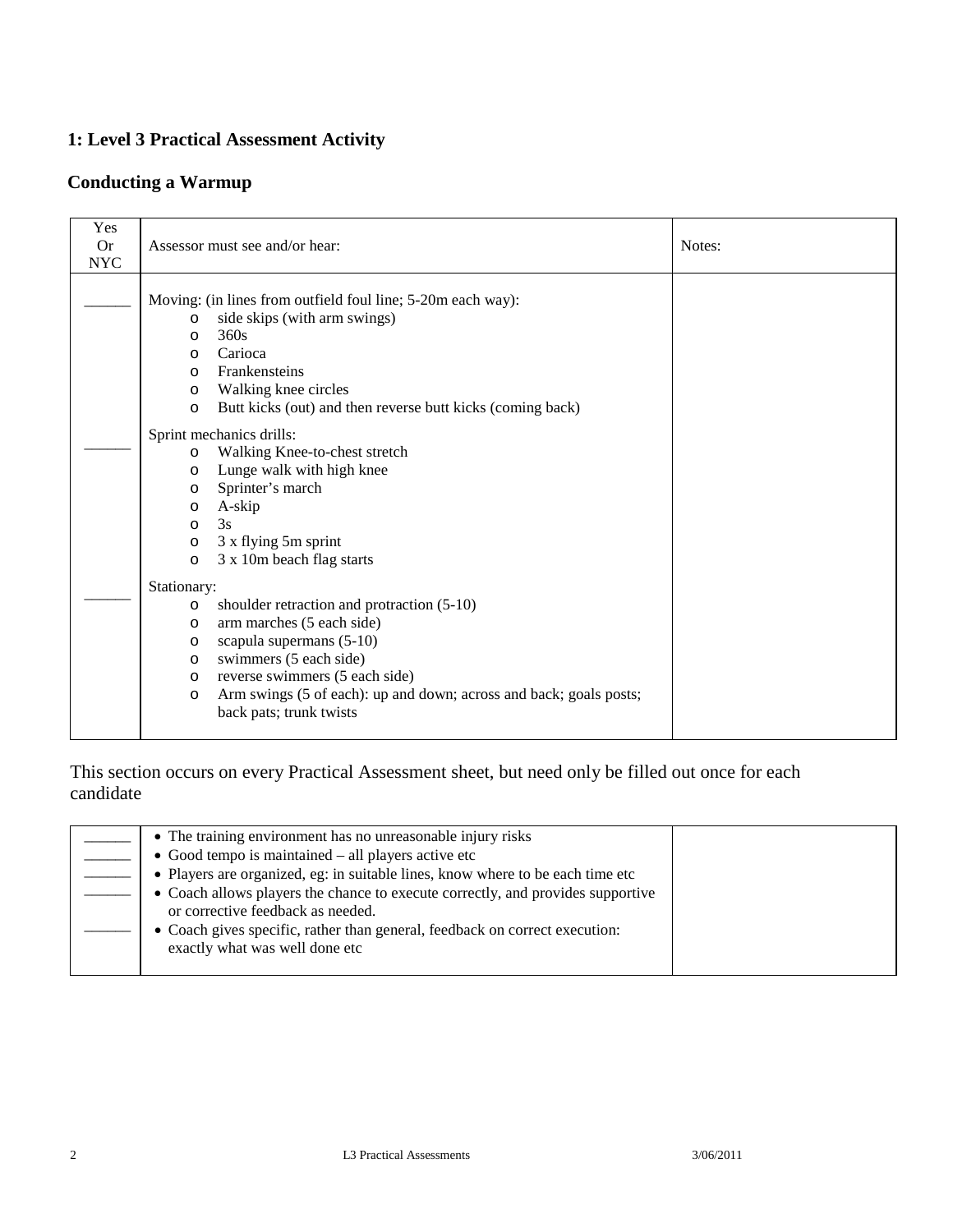### **Conducting a Warmup**

| Yes<br><b>Or</b><br><b>NYC</b> | Assessor must see and/or hear:                                                                                                                                                                                                                                                                                                                                                                                                                                                                                                                          | Notes: |
|--------------------------------|---------------------------------------------------------------------------------------------------------------------------------------------------------------------------------------------------------------------------------------------------------------------------------------------------------------------------------------------------------------------------------------------------------------------------------------------------------------------------------------------------------------------------------------------------------|--------|
|                                | Moving: (in lines from outfield foul line; 5-20m each way):<br>side skips (with arm swings)<br>$\circ$<br>360s<br>$\circ$<br>Carioca<br>$\circ$<br>Frankensteins<br>$\circ$<br>Walking knee circles<br>$\circ$<br>Butt kicks (out) and then reverse butt kicks (coming back)<br>$\circ$<br>Sprint mechanics drills:<br>Walking Knee-to-chest stretch<br>$\circ$<br>Lunge walk with high knee<br>$\circ$<br>Sprinter's march<br>$\circ$<br>A-skip<br>$\circ$<br>3s<br>$\circ$<br>3 x flying 5m sprint<br>$\circ$<br>3 x 10m beach flag starts<br>$\circ$ |        |
|                                | Stationary:<br>shoulder retraction and protraction (5-10)<br>$\circ$<br>arm marches (5 each side)<br>$\circ$<br>scapula supermans (5-10)<br>$\circ$<br>swimmers (5 each side)<br>$\circ$<br>reverse swimmers (5 each side)<br>$\circ$<br>Arm swings (5 of each): up and down; across and back; goals posts;<br>$\circ$<br>back pats; trunk twists                                                                                                                                                                                                       |        |

| • The training environment has no unreasonable injury risks                                                          |  |
|----------------------------------------------------------------------------------------------------------------------|--|
| $\bullet$ Good tempo is maintained – all players active etc                                                          |  |
| • Players are organized, eg: in suitable lines, know where to be each time etc                                       |  |
| • Coach allows players the chance to execute correctly, and provides supportive<br>or corrective feedback as needed. |  |
| • Coach gives specific, rather than general, feedback on correct execution:<br>exactly what was well done etc        |  |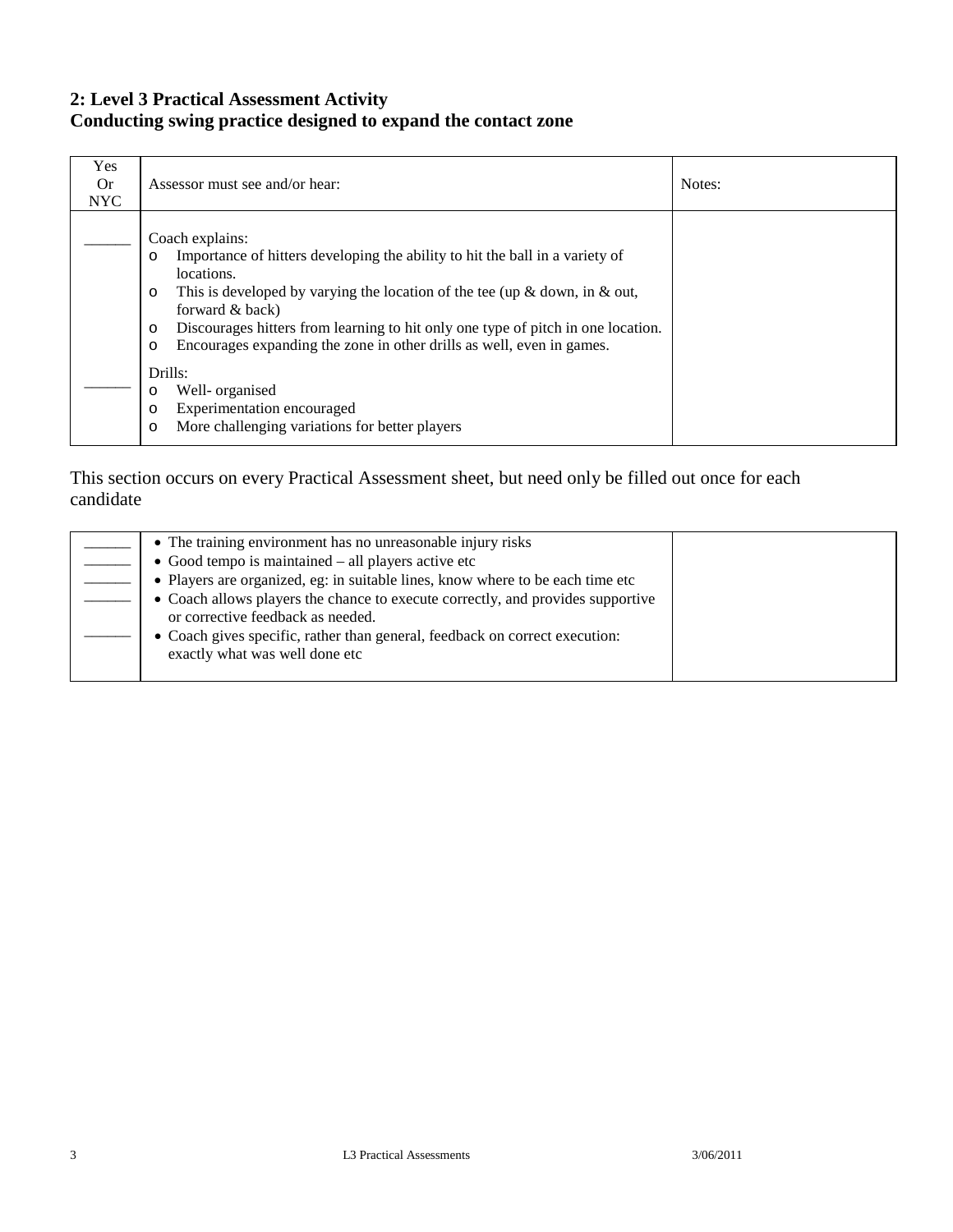### **2: Level 3 Practical Assessment Activity Conducting swing practice designed to expand the contact zone**

| Yes<br>0r<br><b>NYC</b> | Assessor must see and/or hear:                                                                                                                                                                                                                                                                                                                                                                                                | Notes: |
|-------------------------|-------------------------------------------------------------------------------------------------------------------------------------------------------------------------------------------------------------------------------------------------------------------------------------------------------------------------------------------------------------------------------------------------------------------------------|--------|
|                         | Coach explains:<br>Importance of hitters developing the ability to hit the ball in a variety of<br>$\circ$<br>locations.<br>This is developed by varying the location of the tee (up $\&$ down, in $\&$ out,<br>$\circ$<br>forward & back)<br>Discourages hitters from learning to hit only one type of pitch in one location.<br>$\circ$<br>Encourages expanding the zone in other drills as well, even in games.<br>$\circ$ |        |
|                         | Drills:<br>Well- organised<br>O<br>Experimentation encouraged<br>$\circ$<br>More challenging variations for better players<br>$\circ$                                                                                                                                                                                                                                                                                         |        |

| • The training environment has no unreasonable injury risks                                                          |  |
|----------------------------------------------------------------------------------------------------------------------|--|
| • Good tempo is maintained – all players active etc                                                                  |  |
| • Players are organized, eg: in suitable lines, know where to be each time etc                                       |  |
| • Coach allows players the chance to execute correctly, and provides supportive<br>or corrective feedback as needed. |  |
| • Coach gives specific, rather than general, feedback on correct execution:<br>exactly what was well done etc        |  |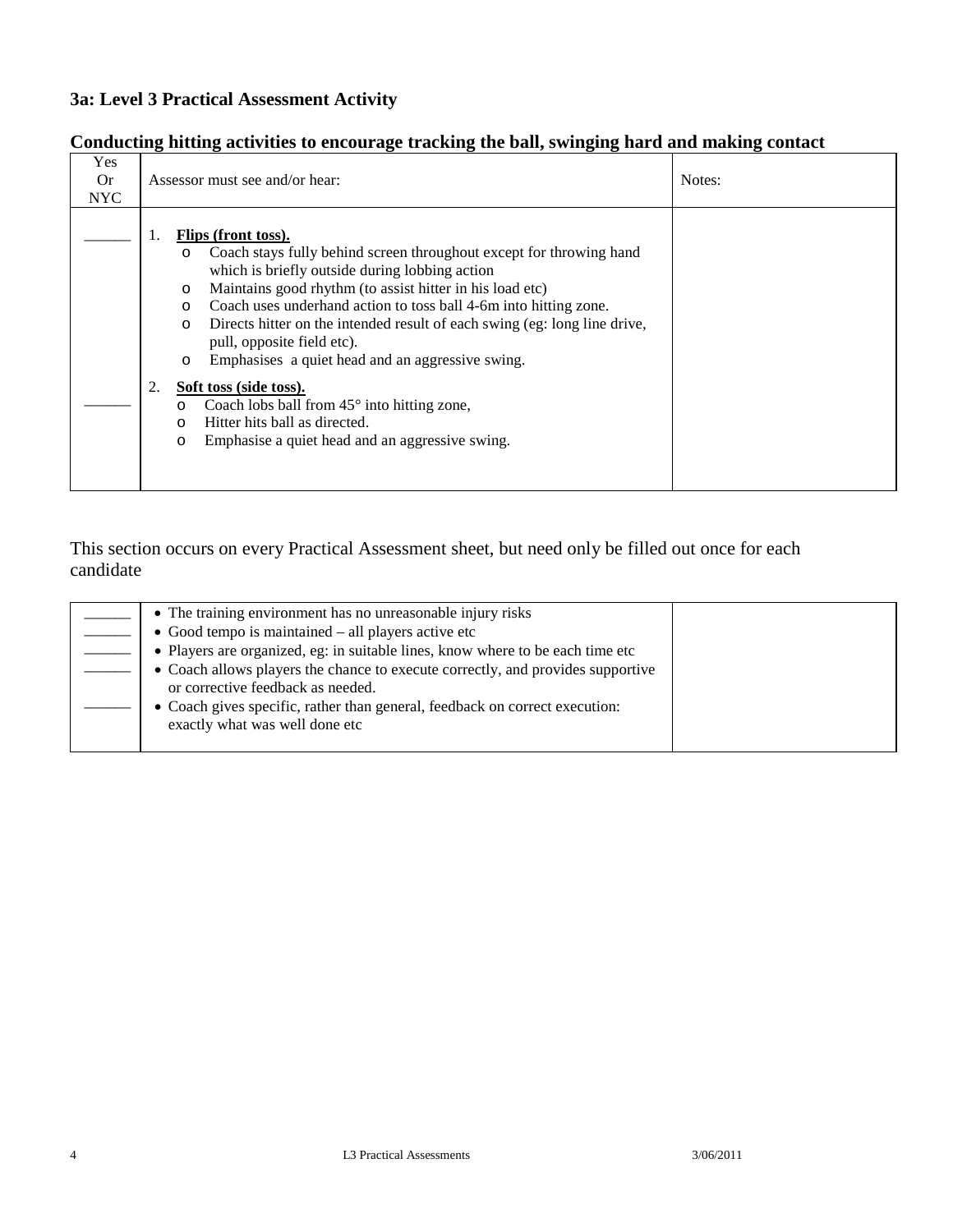### **Conducting hitting activities to encourage tracking the ball, swinging hard and making contact**

| <b>Yes</b><br>0r<br><b>NYC</b> | Assessor must see and/or hear:                                                                                                                                                                                                                                                                                                                                                                                                                                                                                                                                                                                                                                                                              | Notes: |
|--------------------------------|-------------------------------------------------------------------------------------------------------------------------------------------------------------------------------------------------------------------------------------------------------------------------------------------------------------------------------------------------------------------------------------------------------------------------------------------------------------------------------------------------------------------------------------------------------------------------------------------------------------------------------------------------------------------------------------------------------------|--------|
|                                | <b>Flips (front toss).</b><br>1.<br>Coach stays fully behind screen throughout except for throwing hand<br>$\circ$<br>which is briefly outside during lobbing action<br>Maintains good rhythm (to assist hitter in his load etc)<br>$\circ$<br>Coach uses underhand action to toss ball 4-6m into hitting zone.<br>$\circ$<br>Directs hitter on the intended result of each swing (eg: long line drive,<br>$\circ$<br>pull, opposite field etc).<br>Emphasises a quiet head and an aggressive swing.<br>$\circ$<br>Soft toss (side toss).<br>2.<br>Coach lobs ball from $45^{\circ}$ into hitting zone,<br>O<br>Hitter hits ball as directed.<br>Emphasise a quiet head and an aggressive swing.<br>$\circ$ |        |

| • The training environment has no unreasonable injury risks                                                          |  |
|----------------------------------------------------------------------------------------------------------------------|--|
| $\bullet$ Good tempo is maintained – all players active etc                                                          |  |
| • Players are organized, eg: in suitable lines, know where to be each time etc                                       |  |
| • Coach allows players the chance to execute correctly, and provides supportive<br>or corrective feedback as needed. |  |
| • Coach gives specific, rather than general, feedback on correct execution:<br>exactly what was well done etc        |  |
|                                                                                                                      |  |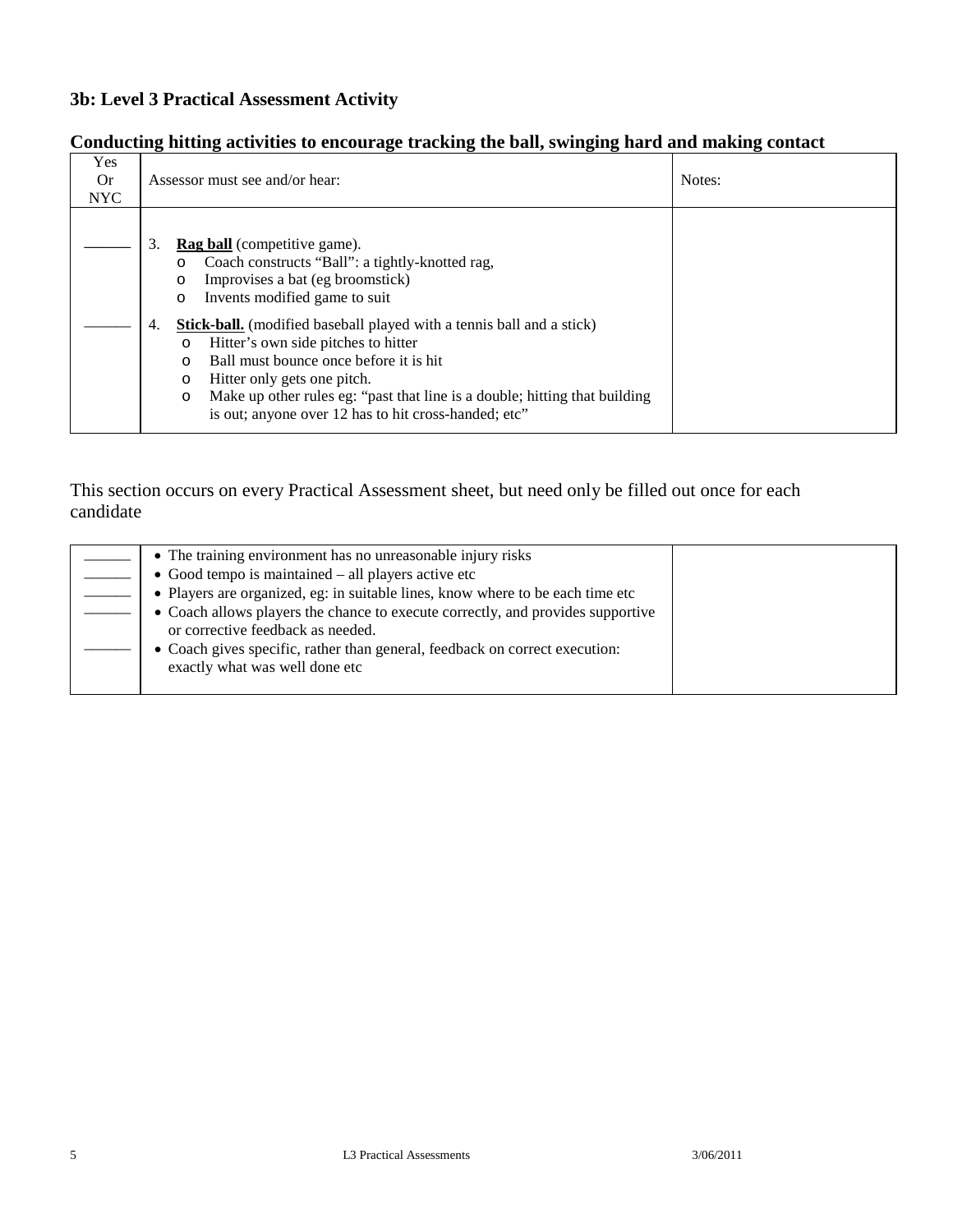### **Conducting hitting activities to encourage tracking the ball, swinging hard and making contact**

| Yes<br>0r  | Assessor must see and/or hear:                                                                                                                                                                                                                                                                                                                                                         | Notes: |
|------------|----------------------------------------------------------------------------------------------------------------------------------------------------------------------------------------------------------------------------------------------------------------------------------------------------------------------------------------------------------------------------------------|--------|
| <b>NYC</b> |                                                                                                                                                                                                                                                                                                                                                                                        |        |
|            | 3.<br><b>Rag ball</b> (competitive game).<br>Coach constructs "Ball": a tightly-knotted rag,<br>$\circ$<br>Improvises a bat (eg broomstick)<br>$\circ$<br>Invents modified game to suit<br>$\circ$                                                                                                                                                                                     |        |
|            | <b>Stick-ball.</b> (modified baseball played with a tennis ball and a stick)<br>4.<br>Hitter's own side pitches to hitter<br>$\circ$<br>Ball must bounce once before it is hit.<br>$\Omega$<br>Hitter only gets one pitch.<br>$\circ$<br>Make up other rules eg: "past that line is a double; hitting that building<br>$\circ$<br>is out; anyone over 12 has to hit cross-handed; etc" |        |

| • The training environment has no unreasonable injury risks                     |  |
|---------------------------------------------------------------------------------|--|
| $\bullet$ Good tempo is maintained $-$ all players active etc                   |  |
| • Players are organized, eg: in suitable lines, know where to be each time etc  |  |
| • Coach allows players the chance to execute correctly, and provides supportive |  |
| or corrective feedback as needed.                                               |  |
| • Coach gives specific, rather than general, feedback on correct execution:     |  |
| exactly what was well done etc                                                  |  |
|                                                                                 |  |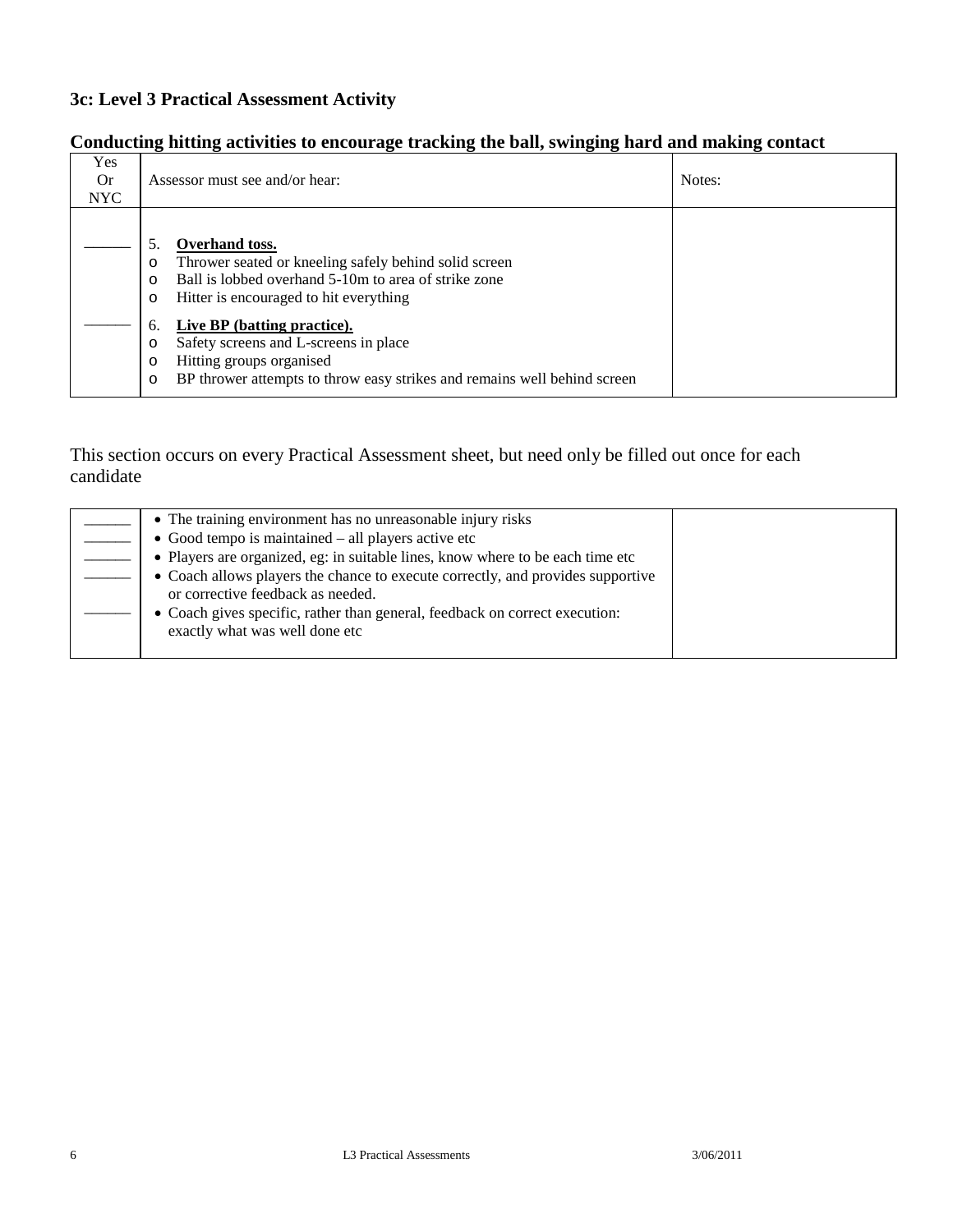### **Conducting hitting activities to encourage tracking the ball, swinging hard and making contact**

| Yes<br><b>Or</b><br>NYC. | Assessor must see and/or hear:                                                                                                                                                                                                                                                                                                                                                                                              | Notes: |
|--------------------------|-----------------------------------------------------------------------------------------------------------------------------------------------------------------------------------------------------------------------------------------------------------------------------------------------------------------------------------------------------------------------------------------------------------------------------|--------|
|                          | Overhand toss.<br>5.<br>Thrower seated or kneeling safely behind solid screen<br>O<br>Ball is lobbed overhand 5-10m to area of strike zone<br>$\circ$<br>Hitter is encouraged to hit everything<br>$\circ$<br>Live BP (batting practice).<br>6.<br>Safety screens and L-screens in place<br>$\circ$<br>Hitting groups organised<br>O<br>BP thrower attempts to throw easy strikes and remains well behind screen<br>$\circ$ |        |

| • The training environment has no unreasonable injury risks                                                          |  |
|----------------------------------------------------------------------------------------------------------------------|--|
| • Good tempo is maintained $-$ all players active etc                                                                |  |
| • Players are organized, eg: in suitable lines, know where to be each time etc                                       |  |
| • Coach allows players the chance to execute correctly, and provides supportive<br>or corrective feedback as needed. |  |
| • Coach gives specific, rather than general, feedback on correct execution:<br>exactly what was well done etc        |  |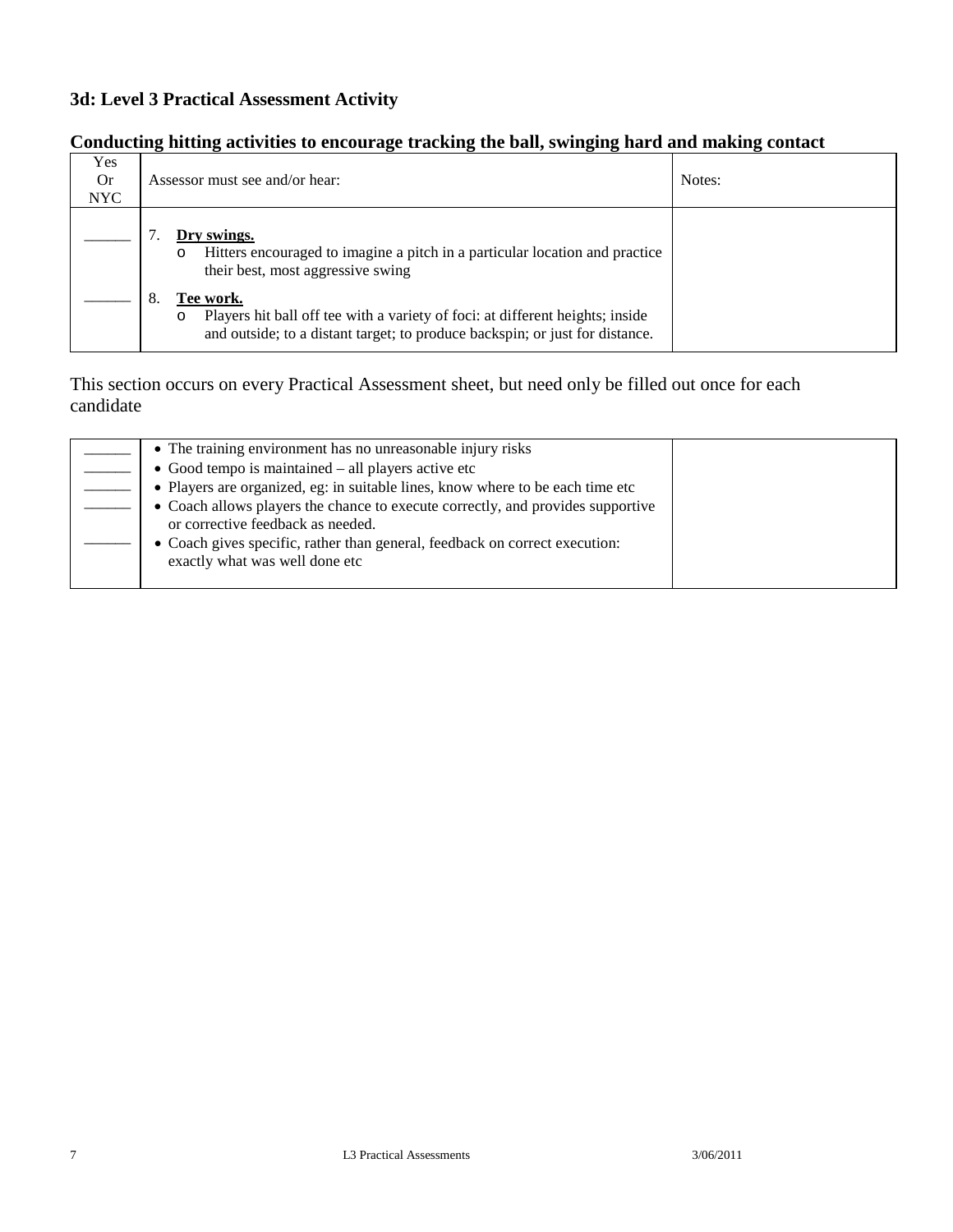### **Conducting hitting activities to encourage tracking the ball, swinging hard and making contact**

| Yes<br><b>Or</b><br>NYC. | Assessor must see and/or hear:                                                                                                                                                        | Notes: |
|--------------------------|---------------------------------------------------------------------------------------------------------------------------------------------------------------------------------------|--------|
|                          | Dry swings.<br>Hitters encouraged to imagine a pitch in a particular location and practice<br>$\circ$<br>their best, most aggressive swing                                            |        |
|                          | Tee work.<br>Players hit ball off tee with a variety of foci: at different heights; inside<br>$\circ$<br>and outside; to a distant target; to produce backspin; or just for distance. |        |

| • The training environment has no unreasonable injury risks                                                          |  |
|----------------------------------------------------------------------------------------------------------------------|--|
| $\bullet$ Good tempo is maintained – all players active etc                                                          |  |
| • Players are organized, eg: in suitable lines, know where to be each time etc                                       |  |
| • Coach allows players the chance to execute correctly, and provides supportive<br>or corrective feedback as needed. |  |
| • Coach gives specific, rather than general, feedback on correct execution:<br>exactly what was well done etc        |  |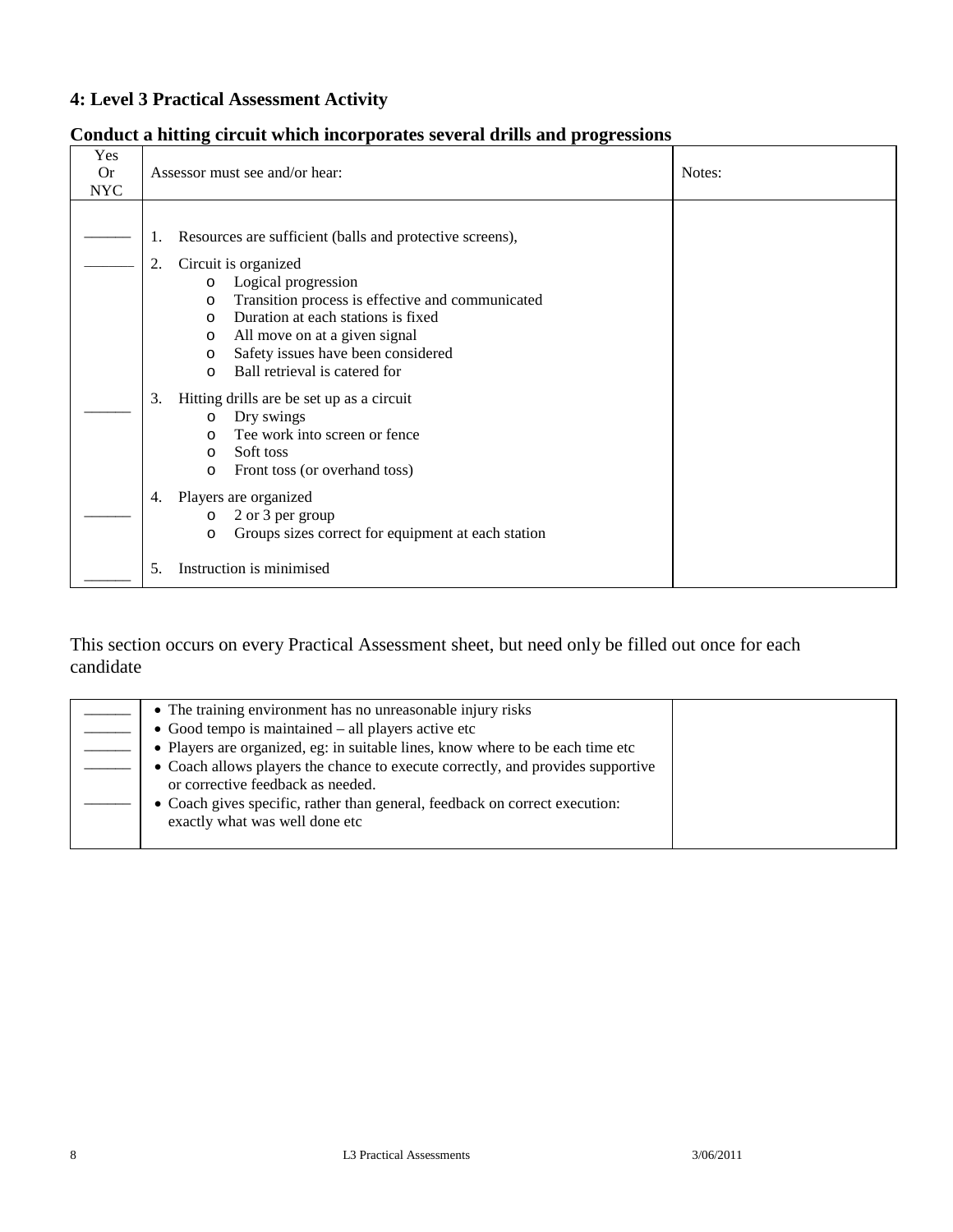### **Conduct a hitting circuit which incorporates several drills and progressions**

| Yes<br><b>Or</b><br><b>NYC</b> | Assessor must see and/or hear:                                                                                                                                                                                                                                                                                                               | Notes: |
|--------------------------------|----------------------------------------------------------------------------------------------------------------------------------------------------------------------------------------------------------------------------------------------------------------------------------------------------------------------------------------------|--------|
|                                | Resources are sufficient (balls and protective screens),<br>1.<br>Circuit is organized<br>2.<br>Logical progression<br>$\circ$<br>Transition process is effective and communicated<br>$\circ$<br>Duration at each stations is fixed<br>$\Omega$<br>All move on at a given signal<br>$\circ$<br>Safety issues have been considered<br>$\circ$ |        |
|                                | Ball retrieval is catered for<br>$\Omega$<br>3.<br>Hitting drills are be set up as a circuit<br>Dry swings<br>$\circ$<br>Tee work into screen or fence<br>$\Omega$<br>Soft toss<br>$\circ$<br>Front toss (or overhand toss)<br>$\Omega$                                                                                                      |        |
|                                | Players are organized<br>4.<br>2 or 3 per group<br>$\circ$<br>Groups sizes correct for equipment at each station<br>$\circ$<br>Instruction is minimised<br>5.                                                                                                                                                                                |        |

| • The training environment has no unreasonable injury risks                                                          |  |
|----------------------------------------------------------------------------------------------------------------------|--|
| $\bullet$ Good tempo is maintained – all players active etc                                                          |  |
| • Players are organized, eg: in suitable lines, know where to be each time etc                                       |  |
| • Coach allows players the chance to execute correctly, and provides supportive<br>or corrective feedback as needed. |  |
| • Coach gives specific, rather than general, feedback on correct execution:<br>exactly what was well done etc        |  |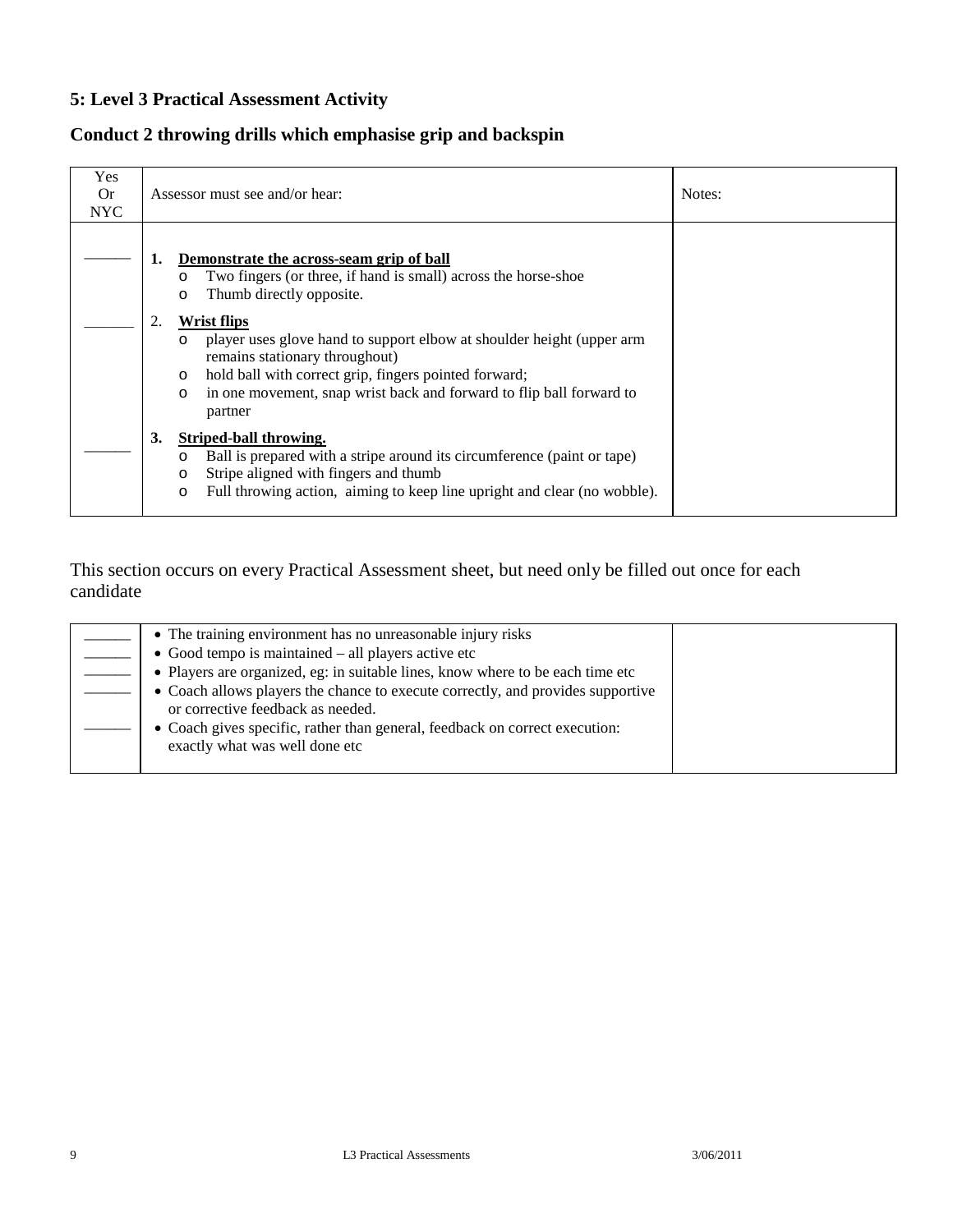### **Conduct 2 throwing drills which emphasise grip and backspin**

| Yes<br>0r<br>NYC |    | Assessor must see and/or hear:                                                                                                                                                                                                                                                                      | Notes: |
|------------------|----|-----------------------------------------------------------------------------------------------------------------------------------------------------------------------------------------------------------------------------------------------------------------------------------------------------|--------|
|                  | 1. | Demonstrate the across-seam grip of ball<br>Two fingers (or three, if hand is small) across the horse-shoe<br>O<br>Thumb directly opposite.<br>O                                                                                                                                                    |        |
|                  | 2. | Wrist flips<br>player uses glove hand to support elbow at shoulder height (upper arm<br>$\circ$<br>remains stationary throughout)<br>hold ball with correct grip, fingers pointed forward;<br>$\circ$<br>in one movement, snap wrist back and forward to flip ball forward to<br>$\circ$<br>partner |        |
|                  | 3. | Striped-ball throwing.<br>Ball is prepared with a stripe around its circumference (paint or tape)<br>O<br>Stripe aligned with fingers and thumb<br>O<br>Full throwing action, aiming to keep line upright and clear (no wobble).<br>$\circ$                                                         |        |

| • The training environment has no unreasonable injury risks                                                          |  |
|----------------------------------------------------------------------------------------------------------------------|--|
| $\bullet$ Good tempo is maintained $-$ all players active etc                                                        |  |
| • Players are organized, eg: in suitable lines, know where to be each time etc                                       |  |
| • Coach allows players the chance to execute correctly, and provides supportive<br>or corrective feedback as needed. |  |
| • Coach gives specific, rather than general, feedback on correct execution:<br>exactly what was well done etc        |  |
|                                                                                                                      |  |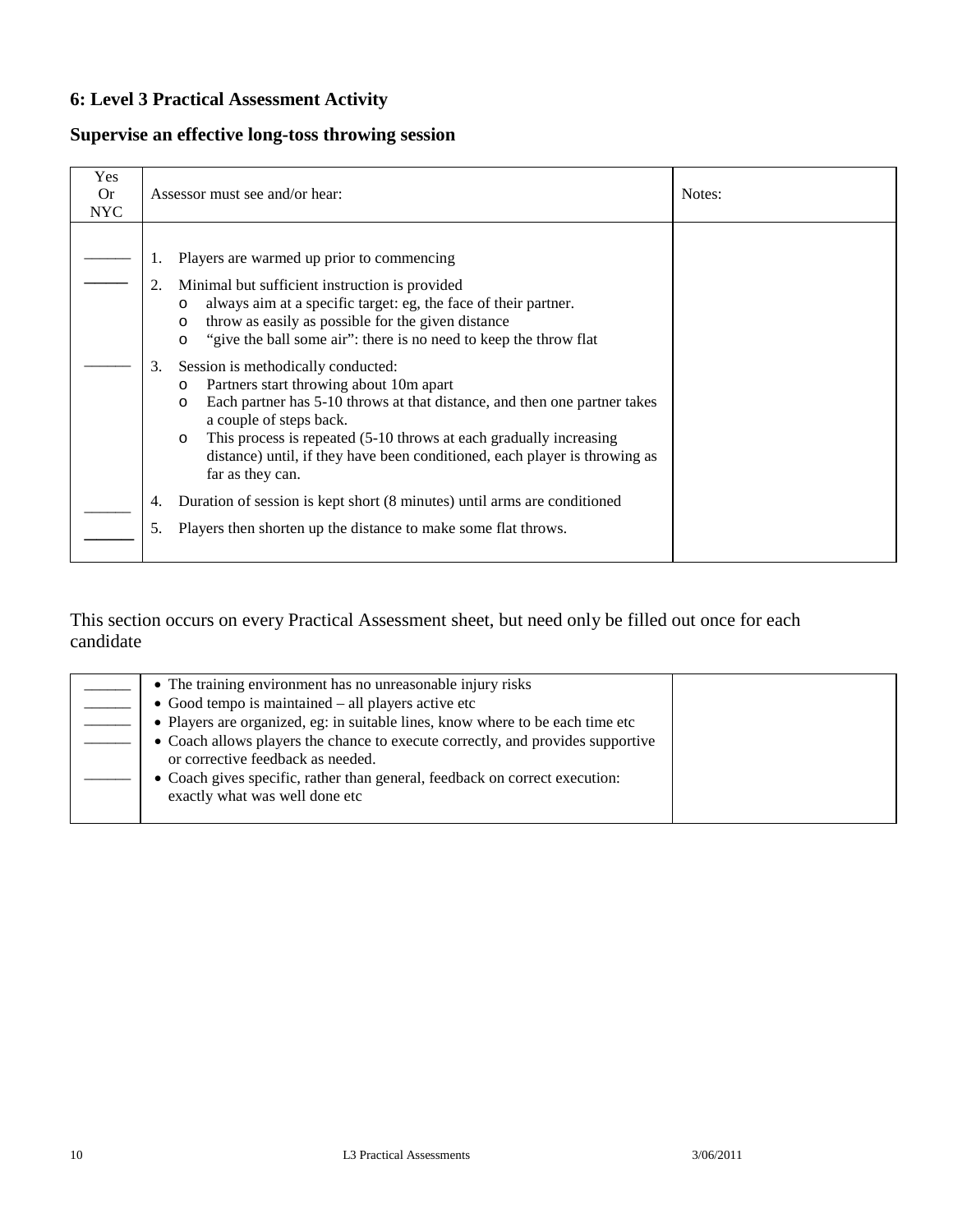### **Supervise an effective long-toss throwing session**

| Yes<br>0r<br><b>NYC</b> | Assessor must see and/or hear:                                                                                                                                                                                                                                                                                                                                                                                                                                                                                                                                                                                                                                                                                               | Notes: |
|-------------------------|------------------------------------------------------------------------------------------------------------------------------------------------------------------------------------------------------------------------------------------------------------------------------------------------------------------------------------------------------------------------------------------------------------------------------------------------------------------------------------------------------------------------------------------------------------------------------------------------------------------------------------------------------------------------------------------------------------------------------|--------|
|                         | Players are warmed up prior to commencing<br>Minimal but sufficient instruction is provided<br>2.<br>always aim at a specific target: eg, the face of their partner.<br>$\circ$<br>throw as easily as possible for the given distance<br>$\circ$<br>"give the ball some air": there is no need to keep the throw flat<br>$\circ$<br>Session is methodically conducted:<br>3.<br>Partners start throwing about 10m apart<br>O<br>Each partner has 5-10 throws at that distance, and then one partner takes<br>O<br>a couple of steps back.<br>This process is repeated (5-10 throws at each gradually increasing<br>$\circ$<br>distance) until, if they have been conditioned, each player is throwing as<br>far as they can. |        |
|                         | Duration of session is kept short (8 minutes) until arms are conditioned<br>4.<br>Players then shorten up the distance to make some flat throws.<br>5.                                                                                                                                                                                                                                                                                                                                                                                                                                                                                                                                                                       |        |

| • The training environment has no unreasonable injury risks                                                          |  |
|----------------------------------------------------------------------------------------------------------------------|--|
| $\bullet$ Good tempo is maintained $-$ all players active etc                                                        |  |
| • Players are organized, eg: in suitable lines, know where to be each time etc                                       |  |
| • Coach allows players the chance to execute correctly, and provides supportive<br>or corrective feedback as needed. |  |
| • Coach gives specific, rather than general, feedback on correct execution:<br>exactly what was well done etc        |  |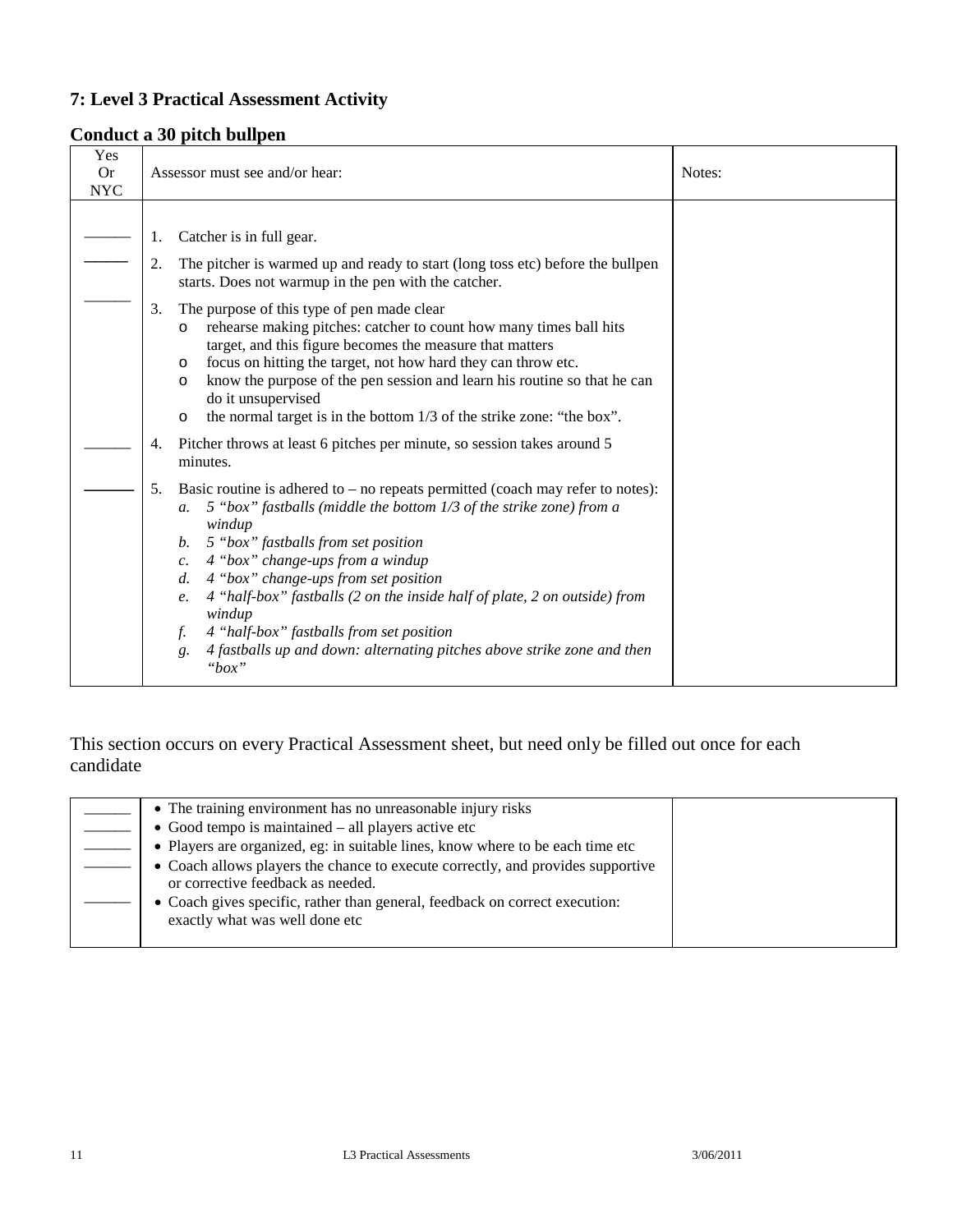### **Conduct a 30 pitch bullpen**

| Yes        |                                                                                                                                                                                                                                                                                                                                                                                                                                                                                                                                                                   |        |
|------------|-------------------------------------------------------------------------------------------------------------------------------------------------------------------------------------------------------------------------------------------------------------------------------------------------------------------------------------------------------------------------------------------------------------------------------------------------------------------------------------------------------------------------------------------------------------------|--------|
| <b>Or</b>  | Assessor must see and/or hear:                                                                                                                                                                                                                                                                                                                                                                                                                                                                                                                                    | Notes: |
| <b>NYC</b> |                                                                                                                                                                                                                                                                                                                                                                                                                                                                                                                                                                   |        |
|            | Catcher is in full gear.<br>1.                                                                                                                                                                                                                                                                                                                                                                                                                                                                                                                                    |        |
|            | The pitcher is warmed up and ready to start (long toss etc) before the bullpen<br>2.<br>starts. Does not warmup in the pen with the catcher.                                                                                                                                                                                                                                                                                                                                                                                                                      |        |
|            | The purpose of this type of pen made clear<br>3.<br>rehearse making pitches: catcher to count how many times ball hits<br>$\circ$<br>target, and this figure becomes the measure that matters<br>focus on hitting the target, not how hard they can throw etc.<br>O<br>know the purpose of the pen session and learn his routine so that he can<br>$\circ$<br>do it unsupervised<br>the normal target is in the bottom 1/3 of the strike zone: "the box".<br>$\circ$                                                                                              |        |
|            | Pitcher throws at least 6 pitches per minute, so session takes around 5<br>4.<br>minutes.                                                                                                                                                                                                                                                                                                                                                                                                                                                                         |        |
|            | Basic routine is adhered to $-$ no repeats permitted (coach may refer to notes):<br>5.<br>5 "box" fastballs (middle the bottom 1/3 of the strike zone) from a<br>$a$ .<br>windup<br>5 "box" fastballs from set position<br>b.<br>4 "box" change-ups from a windup<br>c.<br>4 "box" change-ups from set position<br>d.<br>4 "half-box" fastballs (2 on the inside half of plate, 2 on outside) from<br>e.<br>windup<br>4 "half-box" fastballs from set position<br>f.<br>4 fastballs up and down: alternating pitches above strike zone and then<br>g.<br>" $box"$ |        |

| • The training environment has no unreasonable injury risks                                                          |  |
|----------------------------------------------------------------------------------------------------------------------|--|
| $\bullet$ Good tempo is maintained – all players active etc                                                          |  |
| • Players are organized, eg: in suitable lines, know where to be each time etc                                       |  |
| • Coach allows players the chance to execute correctly, and provides supportive<br>or corrective feedback as needed. |  |
| • Coach gives specific, rather than general, feedback on correct execution:<br>exactly what was well done etc        |  |
|                                                                                                                      |  |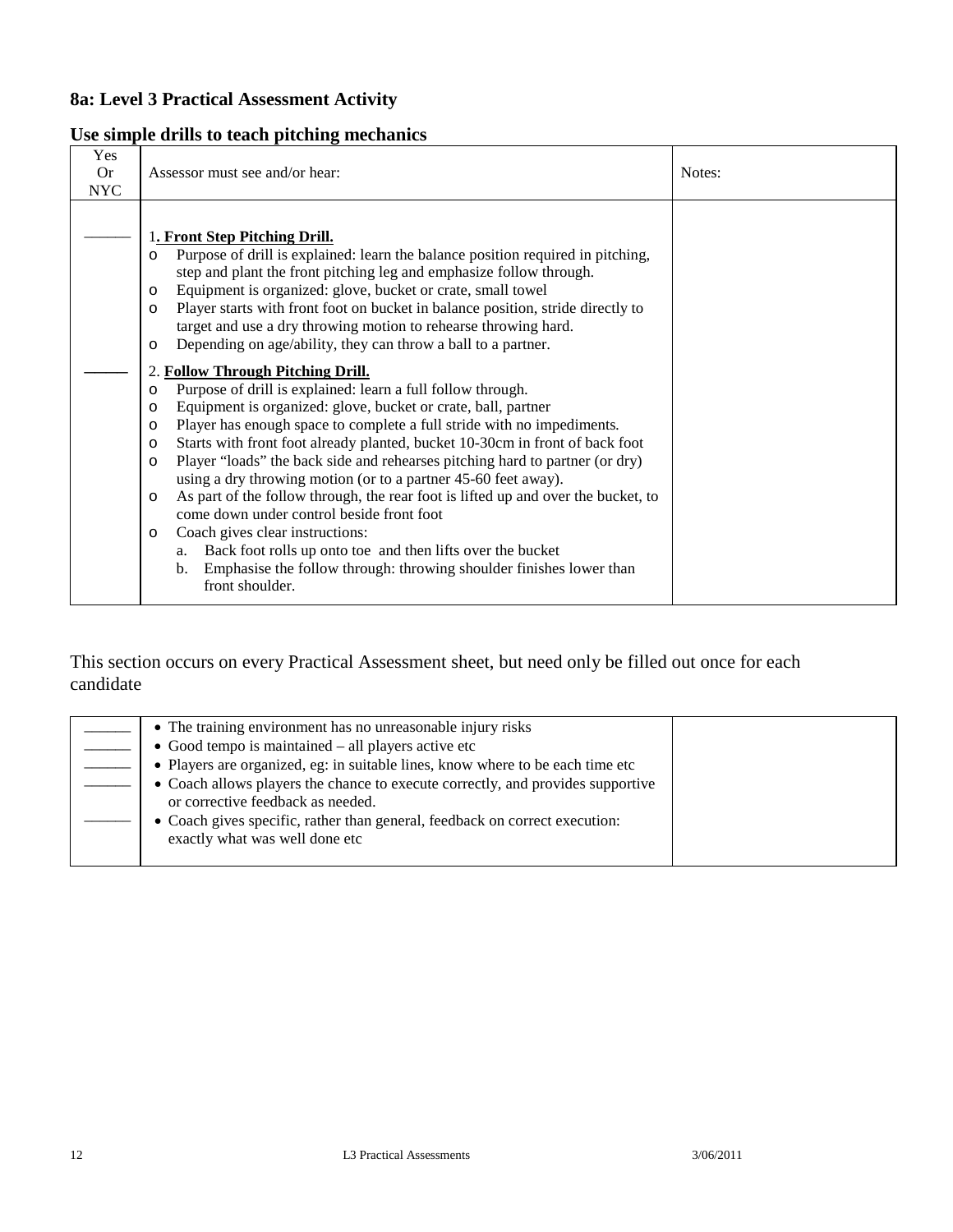### **Use simple drills to teach pitching mechanics**

| Yes<br><b>Or</b><br><b>NYC</b> | Assessor must see and/or hear:                                                                                                                                                                                                                                                                                                                                                                                                                                                                                                                                                                                                                                                                                                                                                                                                                                                                                                                                                                                                                                                                                                                                                                                                                                                                                                                                                                               | Notes: |
|--------------------------------|--------------------------------------------------------------------------------------------------------------------------------------------------------------------------------------------------------------------------------------------------------------------------------------------------------------------------------------------------------------------------------------------------------------------------------------------------------------------------------------------------------------------------------------------------------------------------------------------------------------------------------------------------------------------------------------------------------------------------------------------------------------------------------------------------------------------------------------------------------------------------------------------------------------------------------------------------------------------------------------------------------------------------------------------------------------------------------------------------------------------------------------------------------------------------------------------------------------------------------------------------------------------------------------------------------------------------------------------------------------------------------------------------------------|--------|
|                                | 1. Front Step Pitching Drill.<br>Purpose of drill is explained: learn the balance position required in pitching,<br>O<br>step and plant the front pitching leg and emphasize follow through.<br>Equipment is organized: glove, bucket or crate, small towel<br>O<br>Player starts with front foot on bucket in balance position, stride directly to<br>$\circ$<br>target and use a dry throwing motion to rehearse throwing hard.<br>Depending on age/ability, they can throw a ball to a partner.<br>$\circ$<br><b>Follow Through Pitching Drill.</b><br>Purpose of drill is explained: learn a full follow through.<br>O<br>Equipment is organized: glove, bucket or crate, ball, partner<br>$\circ$<br>Player has enough space to complete a full stride with no impediments.<br>$\circ$<br>Starts with front foot already planted, bucket 10-30cm in front of back foot<br>$\circ$<br>Player "loads" the back side and rehearses pitching hard to partner (or dry)<br>$\circ$<br>using a dry throwing motion (or to a partner 45-60 feet away).<br>As part of the follow through, the rear foot is lifted up and over the bucket, to<br>$\circ$<br>come down under control beside front foot<br>Coach gives clear instructions:<br>O<br>Back foot rolls up onto toe and then lifts over the bucket<br>a.<br>Emphasise the follow through: throwing shoulder finishes lower than<br>b.<br>front shoulder. |        |

| • The training environment has no unreasonable injury risks                                                          |  |
|----------------------------------------------------------------------------------------------------------------------|--|
| $\bullet$ Good tempo is maintained – all players active etc                                                          |  |
| • Players are organized, eg: in suitable lines, know where to be each time etc                                       |  |
| • Coach allows players the chance to execute correctly, and provides supportive<br>or corrective feedback as needed. |  |
| • Coach gives specific, rather than general, feedback on correct execution:<br>exactly what was well done etc        |  |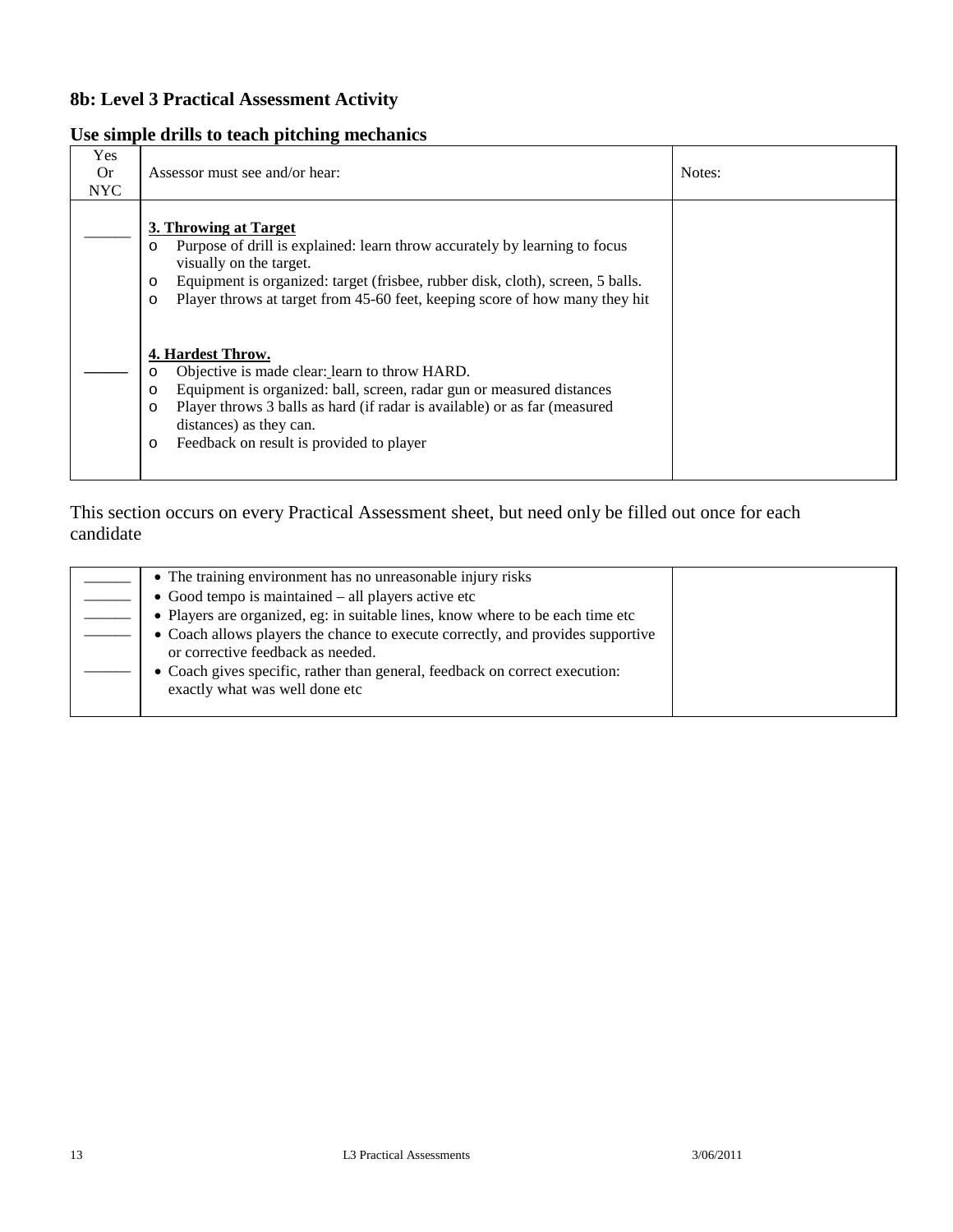### **Use simple drills to teach pitching mechanics**

| Yes<br>0r<br>NYC. | Assessor must see and/or hear:                                                                                                                                                                                                                                                                                                              | Notes: |
|-------------------|---------------------------------------------------------------------------------------------------------------------------------------------------------------------------------------------------------------------------------------------------------------------------------------------------------------------------------------------|--------|
|                   | 3. Throwing at Target<br>Purpose of drill is explained: learn throw accurately by learning to focus<br>$\circ$<br>visually on the target.<br>Equipment is organized: target (frisbee, rubber disk, cloth), screen, 5 balls.<br>$\circ$<br>Player throws at target from 45-60 feet, keeping score of how many they hit<br>$\circ$            |        |
|                   | 4. Hardest Throw.<br>Objective is made clear: learn to throw HARD.<br>$\circ$<br>Equipment is organized: ball, screen, radar gun or measured distances<br>$\circ$<br>Player throws 3 balls as hard (if radar is available) or as far (measured<br>$\circ$<br>distances) as they can.<br>Feedback on result is provided to player<br>$\circ$ |        |

| • The training environment has no unreasonable injury risks                                                          |  |
|----------------------------------------------------------------------------------------------------------------------|--|
| $\bullet$ Good tempo is maintained $-$ all players active etc                                                        |  |
| • Players are organized, eg: in suitable lines, know where to be each time etc                                       |  |
| • Coach allows players the chance to execute correctly, and provides supportive<br>or corrective feedback as needed. |  |
| • Coach gives specific, rather than general, feedback on correct execution:<br>exactly what was well done etc        |  |
|                                                                                                                      |  |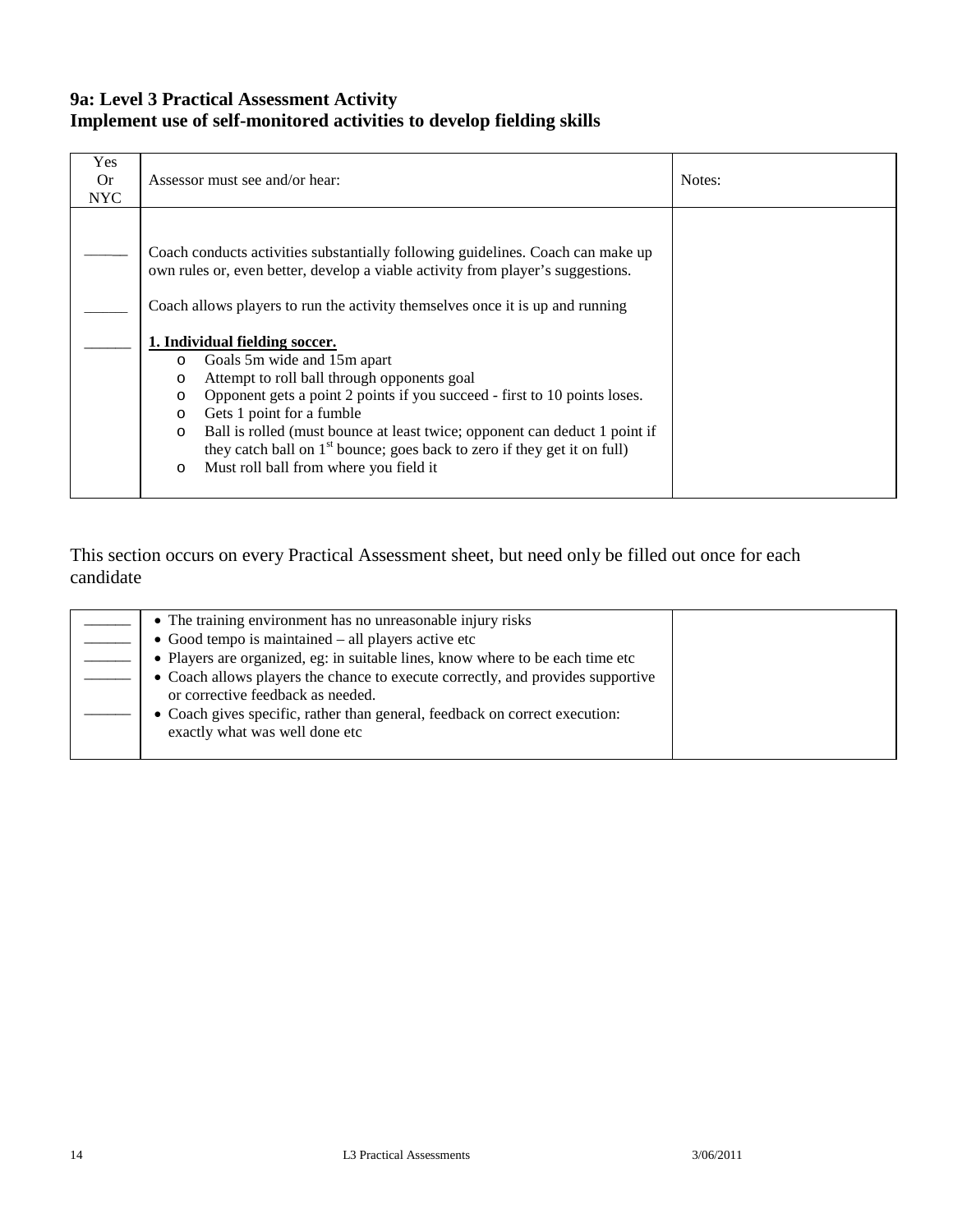### **9a: Level 3 Practical Assessment Activity Implement use of self-monitored activities to develop fielding skills**

| Yes<br>0r<br><b>NYC</b> | Assessor must see and/or hear:                                                                                                                                                                                                                                                                                                                                                                                                                                                                                                                                                                                                                                                                                                                            | Notes: |
|-------------------------|-----------------------------------------------------------------------------------------------------------------------------------------------------------------------------------------------------------------------------------------------------------------------------------------------------------------------------------------------------------------------------------------------------------------------------------------------------------------------------------------------------------------------------------------------------------------------------------------------------------------------------------------------------------------------------------------------------------------------------------------------------------|--------|
|                         | Coach conducts activities substantially following guidelines. Coach can make up<br>own rules or, even better, develop a viable activity from player's suggestions.<br>Coach allows players to run the activity themselves once it is up and running<br>1. Individual fielding soccer.<br>Goals 5m wide and 15m apart<br>O<br>Attempt to roll ball through opponents goal<br>$\circ$<br>Opponent gets a point 2 points if you succeed - first to 10 points loses.<br>$\circ$<br>Gets 1 point for a fumble<br>$\circ$<br>Ball is rolled (must bounce at least twice; opponent can deduct 1 point if<br>$\circ$<br>they catch ball on 1 <sup>st</sup> bounce; goes back to zero if they get it on full)<br>Must roll ball from where you field it<br>$\circ$ |        |

| • The training environment has no unreasonable injury risks                                                          |  |
|----------------------------------------------------------------------------------------------------------------------|--|
| • Good tempo is maintained $-$ all players active etc                                                                |  |
| • Players are organized, eg: in suitable lines, know where to be each time etc                                       |  |
| • Coach allows players the chance to execute correctly, and provides supportive<br>or corrective feedback as needed. |  |
| • Coach gives specific, rather than general, feedback on correct execution:<br>exactly what was well done etc        |  |
|                                                                                                                      |  |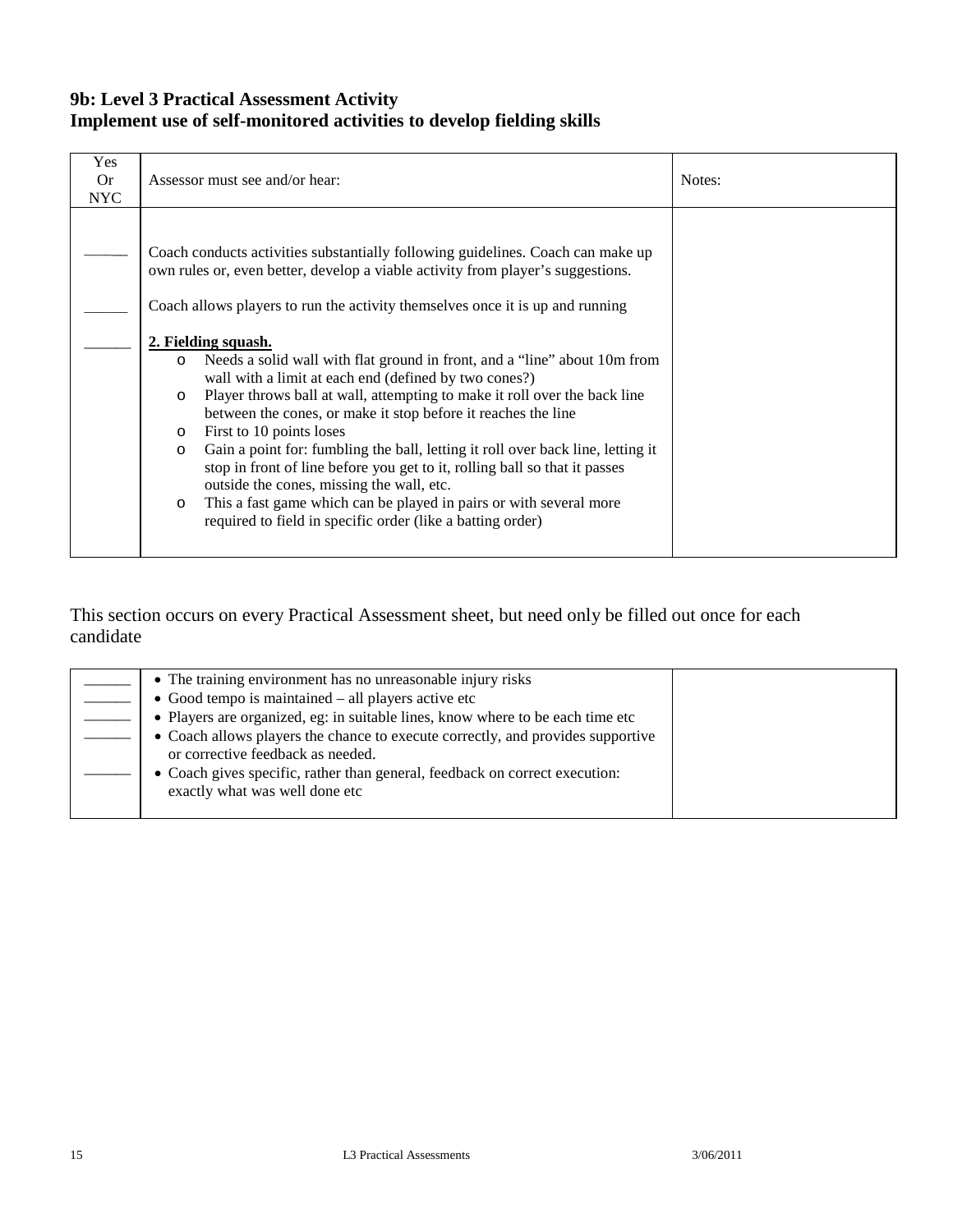### **9b: Level 3 Practical Assessment Activity Implement use of self-monitored activities to develop fielding skills**

| Yes<br><b>Or</b><br><b>NYC</b> | Assessor must see and/or hear:                                                                                                                                                                                                                                                                                                                                                                                                                                                                                                                                                                                                                                                                                                                                                                                                                                                                                                                                                                      | Notes: |
|--------------------------------|-----------------------------------------------------------------------------------------------------------------------------------------------------------------------------------------------------------------------------------------------------------------------------------------------------------------------------------------------------------------------------------------------------------------------------------------------------------------------------------------------------------------------------------------------------------------------------------------------------------------------------------------------------------------------------------------------------------------------------------------------------------------------------------------------------------------------------------------------------------------------------------------------------------------------------------------------------------------------------------------------------|--------|
|                                | Coach conducts activities substantially following guidelines. Coach can make up<br>own rules or, even better, develop a viable activity from player's suggestions.<br>Coach allows players to run the activity themselves once it is up and running<br>2. Fielding squash.<br>Needs a solid wall with flat ground in front, and a "line" about 10m from<br>$\circ$<br>wall with a limit at each end (defined by two cones?)<br>Player throws ball at wall, attempting to make it roll over the back line<br>$\circ$<br>between the cones, or make it stop before it reaches the line<br>First to 10 points loses<br>$\circ$<br>Gain a point for: fumbling the ball, letting it roll over back line, letting it<br>$\circ$<br>stop in front of line before you get to it, rolling ball so that it passes<br>outside the cones, missing the wall, etc.<br>This a fast game which can be played in pairs or with several more<br>$\circ$<br>required to field in specific order (like a batting order) |        |

| • The training environment has no unreasonable injury risks                                                          |  |
|----------------------------------------------------------------------------------------------------------------------|--|
| $\bullet$ Good tempo is maintained $-$ all players active etc                                                        |  |
| • Players are organized, eg: in suitable lines, know where to be each time etc                                       |  |
| • Coach allows players the chance to execute correctly, and provides supportive<br>or corrective feedback as needed. |  |
| • Coach gives specific, rather than general, feedback on correct execution:<br>exactly what was well done etc        |  |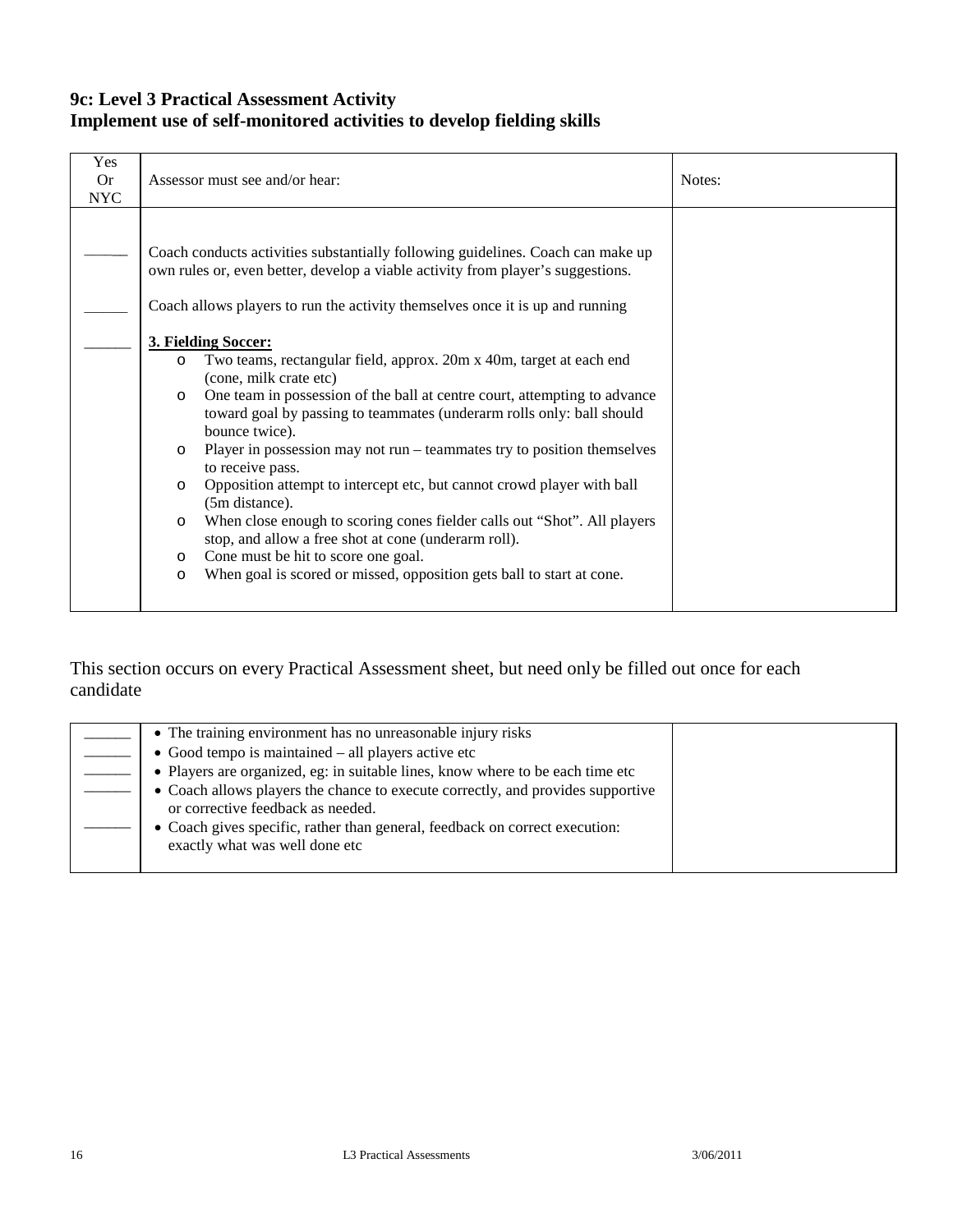### **9c: Level 3 Practical Assessment Activity Implement use of self-monitored activities to develop fielding skills**

| Coach conducts activities substantially following guidelines. Coach can make up                                                                                                                                                                                                                                                                                                                                                                                                                                                                                                                                                                                                                                                                                                                                                                                                                           | Yes<br><b>Or</b><br><b>NYC</b> | Assessor must see and/or hear:                                                  | Notes: |
|-----------------------------------------------------------------------------------------------------------------------------------------------------------------------------------------------------------------------------------------------------------------------------------------------------------------------------------------------------------------------------------------------------------------------------------------------------------------------------------------------------------------------------------------------------------------------------------------------------------------------------------------------------------------------------------------------------------------------------------------------------------------------------------------------------------------------------------------------------------------------------------------------------------|--------------------------------|---------------------------------------------------------------------------------|--------|
| Coach allows players to run the activity themselves once it is up and running<br>3. Fielding Soccer:<br>Two teams, rectangular field, approx. 20m x 40m, target at each end<br>$\circ$<br>(cone, milk crate etc)<br>One team in possession of the ball at centre court, attempting to advance<br>$\circ$<br>toward goal by passing to teammates (underarm rolls only: ball should<br>bounce twice).<br>Player in possession may not run – teammates try to position themselves<br>$\circ$<br>to receive pass.<br>Opposition attempt to intercept etc, but cannot crowd player with ball<br>$\circ$<br>(5m distance).<br>When close enough to scoring cones fielder calls out "Shot". All players<br>$\circ$<br>stop, and allow a free shot at cone (underarm roll).<br>Cone must be hit to score one goal.<br>$\circ$<br>When goal is scored or missed, opposition gets ball to start at cone.<br>$\circ$ |                                | own rules or, even better, develop a viable activity from player's suggestions. |        |

| • The training environment has no unreasonable injury risks                                                          |  |
|----------------------------------------------------------------------------------------------------------------------|--|
| $\bullet$ Good tempo is maintained $-$ all players active etc                                                        |  |
| • Players are organized, eg: in suitable lines, know where to be each time etc                                       |  |
| • Coach allows players the chance to execute correctly, and provides supportive<br>or corrective feedback as needed. |  |
| • Coach gives specific, rather than general, feedback on correct execution:<br>exactly what was well done etc        |  |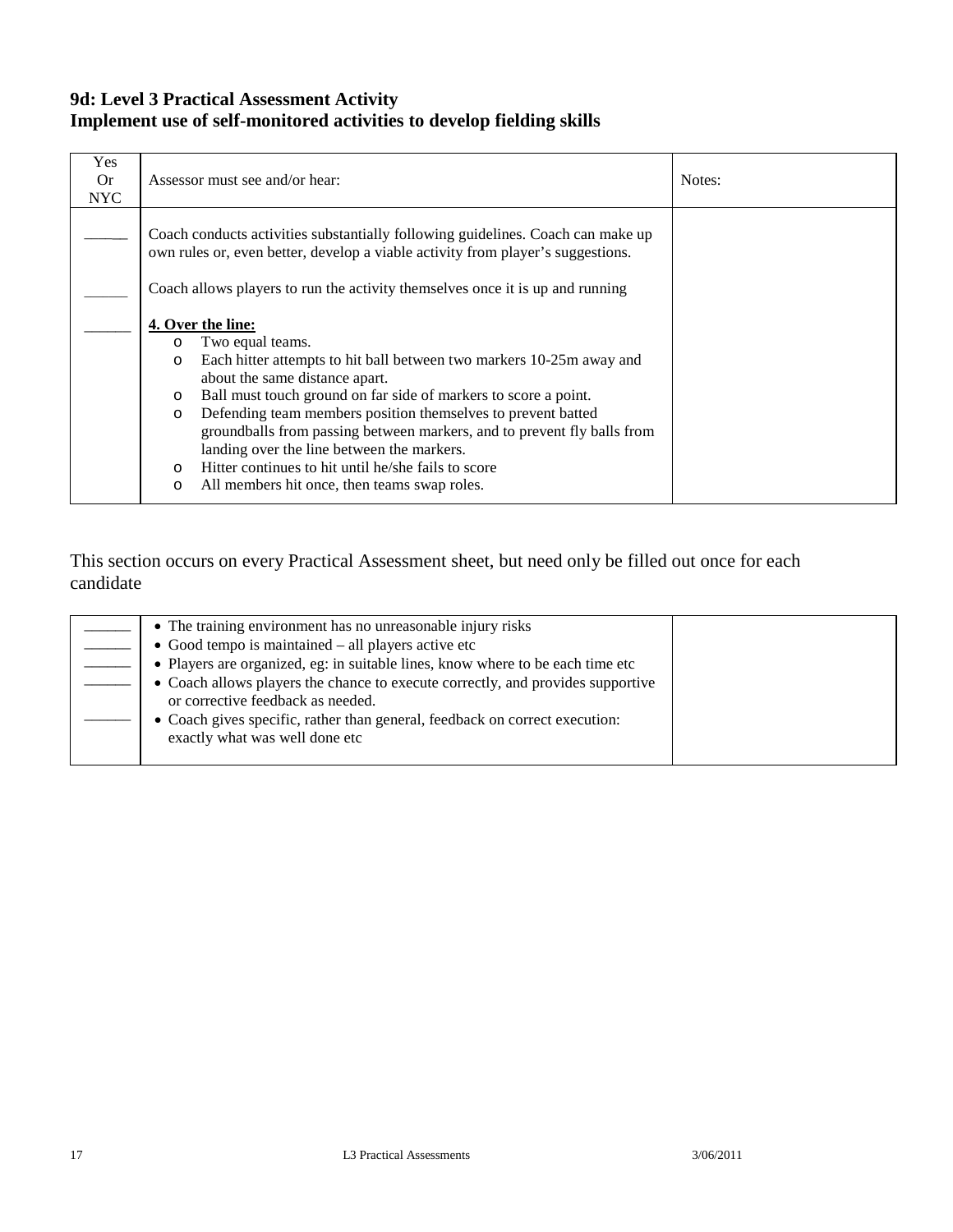### **9d: Level 3 Practical Assessment Activity Implement use of self-monitored activities to develop fielding skills**

| Yes<br>Or.<br><b>NYC</b> | Assessor must see and/or hear:                                                                                                                                                                                                                                                                                                                                                                                                                                                                                                                                                        | Notes: |
|--------------------------|---------------------------------------------------------------------------------------------------------------------------------------------------------------------------------------------------------------------------------------------------------------------------------------------------------------------------------------------------------------------------------------------------------------------------------------------------------------------------------------------------------------------------------------------------------------------------------------|--------|
|                          | Coach conducts activities substantially following guidelines. Coach can make up<br>own rules or, even better, develop a viable activity from player's suggestions.                                                                                                                                                                                                                                                                                                                                                                                                                    |        |
|                          | Coach allows players to run the activity themselves once it is up and running                                                                                                                                                                                                                                                                                                                                                                                                                                                                                                         |        |
|                          | 4. Over the line:<br>Two equal teams.<br>$\circ$<br>Each hitter attempts to hit ball between two markers 10-25m away and<br>$\circ$<br>about the same distance apart.<br>Ball must touch ground on far side of markers to score a point.<br>$\circ$<br>Defending team members position themselves to prevent batted<br>$\circ$<br>groundballs from passing between markers, and to prevent fly balls from<br>landing over the line between the markers.<br>Hitter continues to hit until he/she fails to score<br>$\Omega$<br>All members hit once, then teams swap roles.<br>$\circ$ |        |

| • The training environment has no unreasonable injury risks                                                          |
|----------------------------------------------------------------------------------------------------------------------|
| • Good tempo is maintained $-$ all players active etc                                                                |
| • Players are organized, eg: in suitable lines, know where to be each time etc                                       |
| • Coach allows players the chance to execute correctly, and provides supportive<br>or corrective feedback as needed. |
| • Coach gives specific, rather than general, feedback on correct execution:<br>exactly what was well done etc        |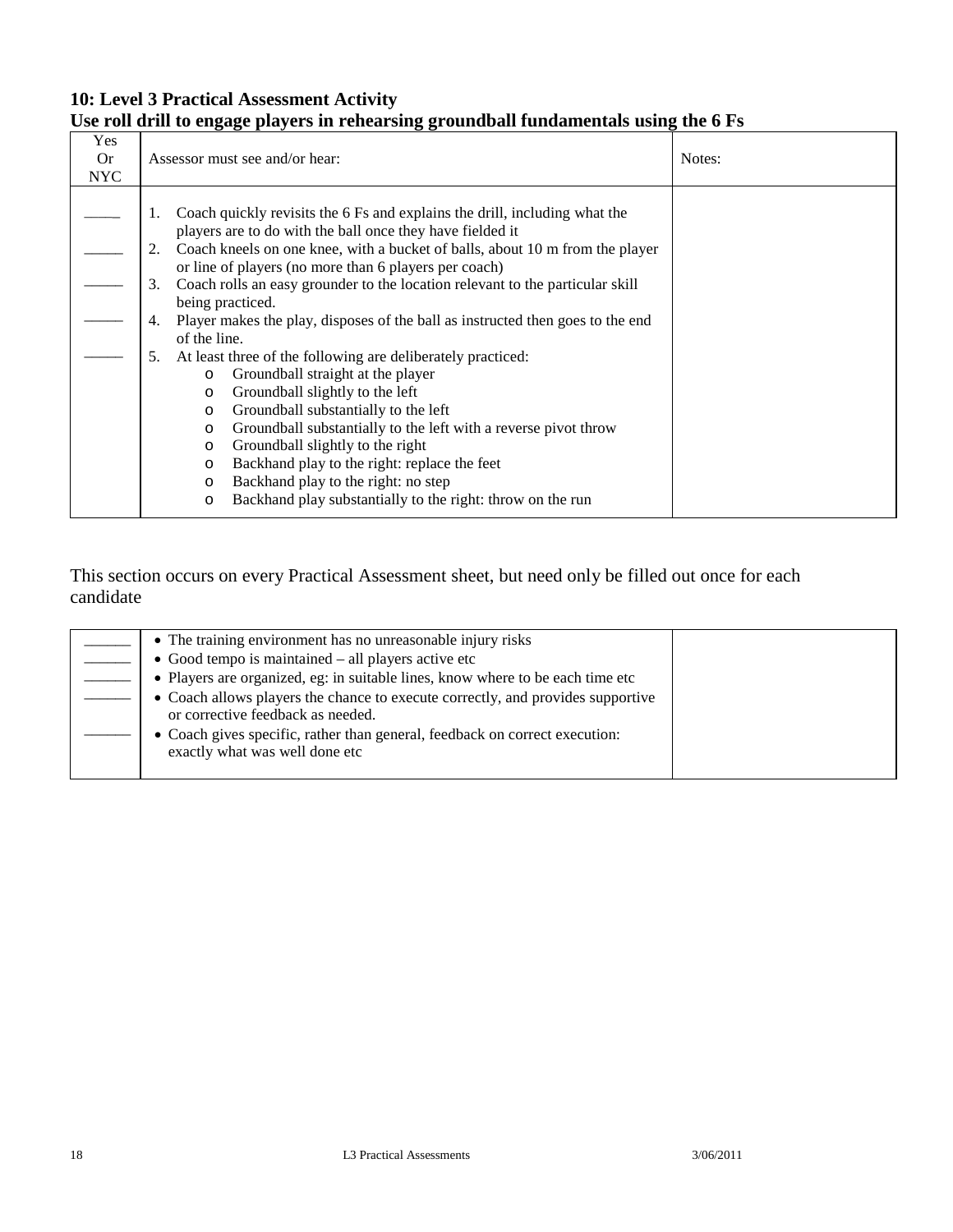### **10: Level 3 Practical Assessment Activity Use roll drill to engage players in rehearsing groundball fundamentals using the 6 Fs**

| Yes<br><b>Or</b> | Assessor must see and/or hear:                                                                                                                                                                                                      | Notes: |
|------------------|-------------------------------------------------------------------------------------------------------------------------------------------------------------------------------------------------------------------------------------|--------|
| <b>NYC</b>       |                                                                                                                                                                                                                                     |        |
|                  | Coach quickly revisits the 6 Fs and explains the drill, including what the<br>1.<br>players are to do with the ball once they have fielded it<br>Coach kneels on one knee, with a bucket of balls, about 10 m from the player<br>2. |        |
|                  | or line of players (no more than 6 players per coach)                                                                                                                                                                               |        |
|                  | Coach rolls an easy grounder to the location relevant to the particular skill<br>3.                                                                                                                                                 |        |
|                  | being practiced.                                                                                                                                                                                                                    |        |
|                  | Player makes the play, disposes of the ball as instructed then goes to the end<br>4.                                                                                                                                                |        |
|                  | of the line.                                                                                                                                                                                                                        |        |
|                  | At least three of the following are deliberately practiced:<br>5.                                                                                                                                                                   |        |
|                  | Groundball straight at the player<br>$\circ$                                                                                                                                                                                        |        |
|                  | Groundball slightly to the left<br>$\circ$                                                                                                                                                                                          |        |
|                  | Groundball substantially to the left<br>$\circ$                                                                                                                                                                                     |        |
|                  | Groundball substantially to the left with a reverse pivot throw<br>$\circ$                                                                                                                                                          |        |
|                  | Groundball slightly to the right<br>$\circ$                                                                                                                                                                                         |        |
|                  | Backhand play to the right: replace the feet<br>$\circ$                                                                                                                                                                             |        |
|                  | Backhand play to the right: no step<br>O                                                                                                                                                                                            |        |
|                  | Backhand play substantially to the right: throw on the run<br>O                                                                                                                                                                     |        |

| • The training environment has no unreasonable injury risks<br>$\bullet$ Good tempo is maintained – all players active etc |  |
|----------------------------------------------------------------------------------------------------------------------------|--|
| • Players are organized, eg: in suitable lines, know where to be each time etc                                             |  |
| • Coach allows players the chance to execute correctly, and provides supportive<br>or corrective feedback as needed.       |  |
| • Coach gives specific, rather than general, feedback on correct execution:<br>exactly what was well done etc              |  |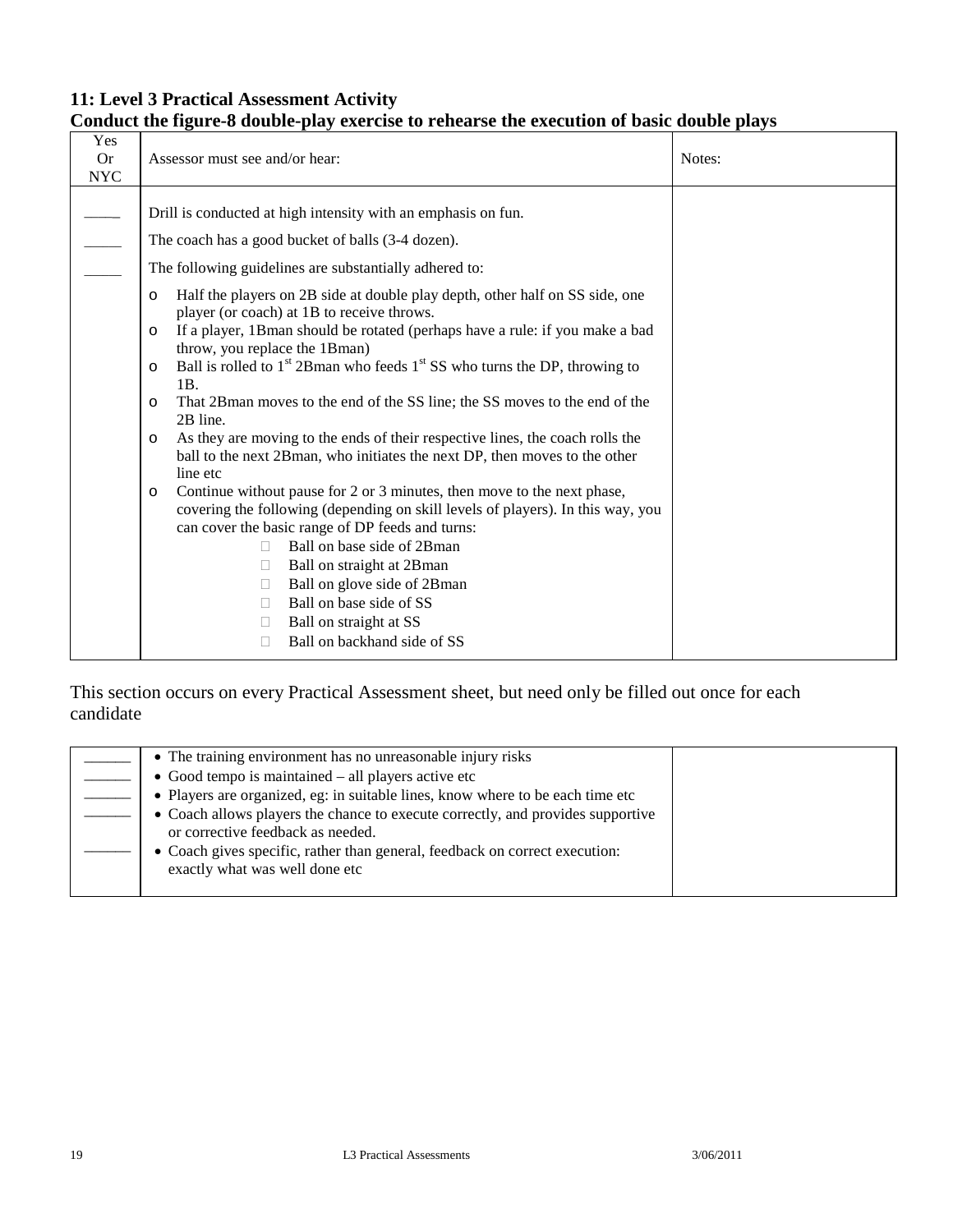# **Conduct the figure-8 double-play exercise to rehearse the execution of basic double plays**

| Yes                     |                                                                                                                                                |        |
|-------------------------|------------------------------------------------------------------------------------------------------------------------------------------------|--------|
| <b>Or</b><br><b>NYC</b> | Assessor must see and/or hear:                                                                                                                 | Notes: |
|                         |                                                                                                                                                |        |
|                         | Drill is conducted at high intensity with an emphasis on fun.                                                                                  |        |
|                         | The coach has a good bucket of balls (3-4 dozen).                                                                                              |        |
|                         | The following guidelines are substantially adhered to:                                                                                         |        |
|                         | Half the players on 2B side at double play depth, other half on SS side, one<br>$\circ$<br>player (or coach) at 1B to receive throws.          |        |
|                         | If a player, 1Bman should be rotated (perhaps have a rule: if you make a bad<br>$\circ$                                                        |        |
|                         | throw, you replace the 1Bman)<br>Ball is rolled to 1 <sup>st</sup> 2Bman who feeds 1 <sup>st</sup> SS who turns the DP, throwing to<br>$\circ$ |        |
|                         | 1B.<br>That 2Bman moves to the end of the SS line; the SS moves to the end of the<br>$\circ$                                                   |        |
|                         | 2B line.<br>As they are moving to the ends of their respective lines, the coach rolls the<br>$\circ$                                           |        |
|                         | ball to the next 2B man, who initiates the next DP, then moves to the other                                                                    |        |
|                         | line etc                                                                                                                                       |        |
|                         | Continue without pause for 2 or 3 minutes, then move to the next phase,<br>$\circ$                                                             |        |
|                         | covering the following (depending on skill levels of players). In this way, you<br>can cover the basic range of DP feeds and turns:            |        |
|                         | Ball on base side of 2Bman                                                                                                                     |        |
|                         | Ball on straight at 2B man                                                                                                                     |        |
|                         | Ball on glove side of 2Bman<br>$\Box$                                                                                                          |        |
|                         | Ball on base side of SS                                                                                                                        |        |
|                         | Ball on straight at SS                                                                                                                         |        |
|                         | Ball on backhand side of SS<br>$\mathbf{L}$                                                                                                    |        |
|                         |                                                                                                                                                |        |

| • The training environment has no unreasonable injury risks                                                          |  |
|----------------------------------------------------------------------------------------------------------------------|--|
| $\bullet$ Good tempo is maintained $-$ all players active etc                                                        |  |
| • Players are organized, eg: in suitable lines, know where to be each time etc                                       |  |
| • Coach allows players the chance to execute correctly, and provides supportive<br>or corrective feedback as needed. |  |
| • Coach gives specific, rather than general, feedback on correct execution:<br>exactly what was well done etc        |  |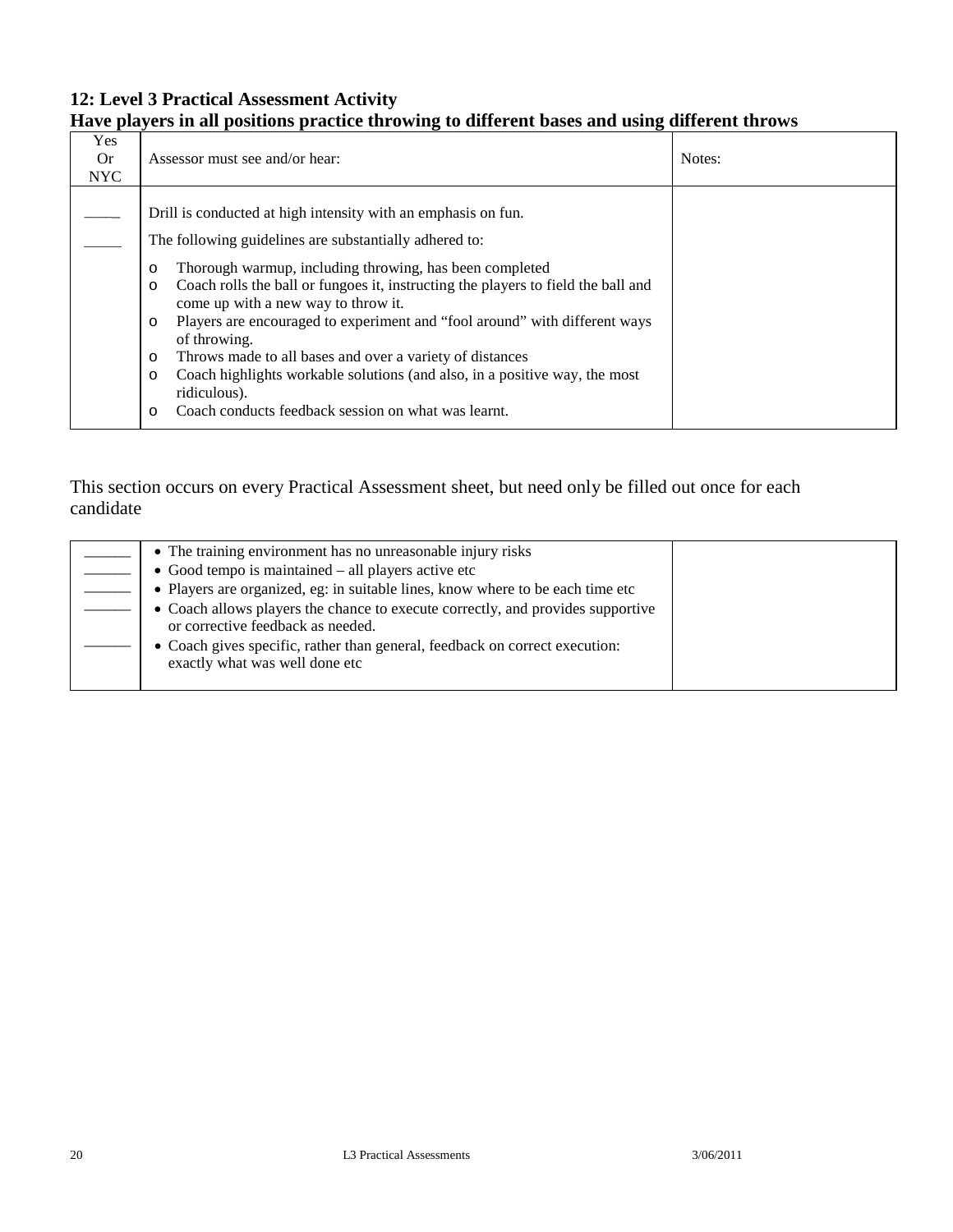# **Have players in all positions practice throwing to different bases and using different throws**

| Yes<br>0r<br><b>NYC</b> | Assessor must see and/or hear:                                                                                                                                                                                                                                                                                                                                                                                                                                                                                                                                                                                                                                                                  | Notes: |
|-------------------------|-------------------------------------------------------------------------------------------------------------------------------------------------------------------------------------------------------------------------------------------------------------------------------------------------------------------------------------------------------------------------------------------------------------------------------------------------------------------------------------------------------------------------------------------------------------------------------------------------------------------------------------------------------------------------------------------------|--------|
|                         | Drill is conducted at high intensity with an emphasis on fun.<br>The following guidelines are substantially adhered to:<br>Thorough warmup, including throwing, has been completed<br>$\circ$<br>Coach rolls the ball or fungoes it, instructing the players to field the ball and<br>$\circ$<br>come up with a new way to throw it.<br>Players are encouraged to experiment and "fool around" with different ways<br>$\circ$<br>of throwing.<br>Throws made to all bases and over a variety of distances<br>$\circ$<br>Coach highlights workable solutions (and also, in a positive way, the most<br>$\circ$<br>ridiculous).<br>Coach conducts feedback session on what was learnt.<br>$\circ$ |        |

| • The training environment has no unreasonable injury risks                                                          |  |
|----------------------------------------------------------------------------------------------------------------------|--|
| $\bullet$ Good tempo is maintained – all players active etc                                                          |  |
| • Players are organized, eg: in suitable lines, know where to be each time etc                                       |  |
| • Coach allows players the chance to execute correctly, and provides supportive<br>or corrective feedback as needed. |  |
| • Coach gives specific, rather than general, feedback on correct execution:<br>exactly what was well done etc        |  |
|                                                                                                                      |  |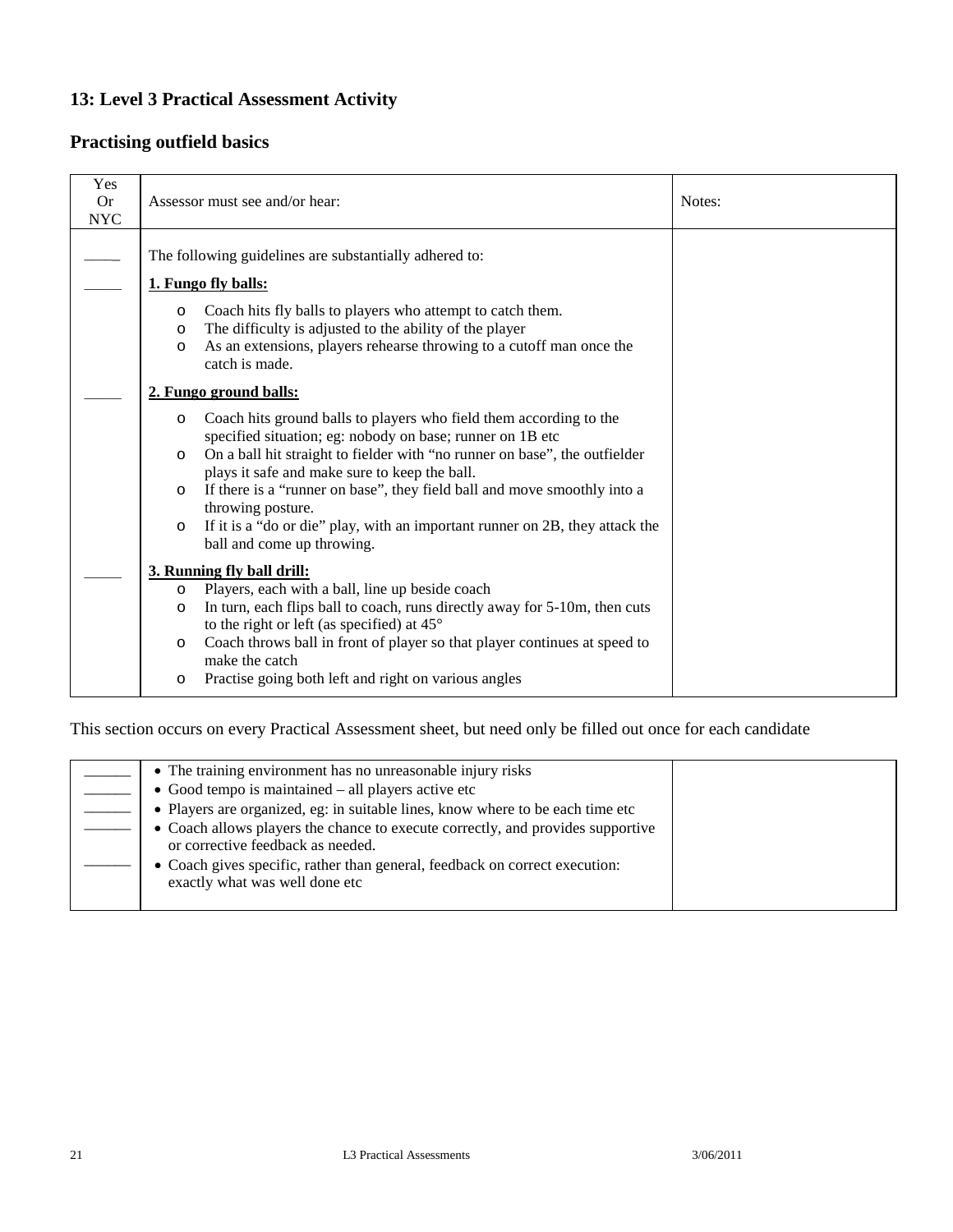### **Practising outfield basics**

| Yes<br><b>Or</b><br><b>NYC</b> | Assessor must see and/or hear:                                                                                                                                                                                                                   | Notes: |
|--------------------------------|--------------------------------------------------------------------------------------------------------------------------------------------------------------------------------------------------------------------------------------------------|--------|
|                                | The following guidelines are substantially adhered to:                                                                                                                                                                                           |        |
|                                | 1. Fungo fly balls:                                                                                                                                                                                                                              |        |
|                                | Coach hits fly balls to players who attempt to catch them.<br>$\circ$<br>The difficulty is adjusted to the ability of the player<br>$\circ$<br>As an extensions, players rehearse throwing to a cutoff man once the<br>$\circ$<br>catch is made. |        |
|                                | 2. Fungo ground balls:                                                                                                                                                                                                                           |        |
|                                | Coach hits ground balls to players who field them according to the<br>$\circ$<br>specified situation; eg: nobody on base; runner on 1B etc                                                                                                       |        |
|                                | On a ball hit straight to fielder with "no runner on base", the outfielder<br>$\circ$<br>plays it safe and make sure to keep the ball.                                                                                                           |        |
|                                | If there is a "runner on base", they field ball and move smoothly into a<br>$\circ$<br>throwing posture.                                                                                                                                         |        |
|                                | If it is a "do or die" play, with an important runner on 2B, they attack the<br>$\circ$<br>ball and come up throwing.                                                                                                                            |        |
|                                | 3. Running fly ball drill:                                                                                                                                                                                                                       |        |
|                                | Players, each with a ball, line up beside coach<br>$\circ$                                                                                                                                                                                       |        |
|                                | In turn, each flips ball to coach, runs directly away for 5-10m, then cuts<br>$\circ$<br>to the right or left (as specified) at $45^{\circ}$                                                                                                     |        |
|                                | Coach throws ball in front of player so that player continues at speed to<br>$\circ$<br>make the catch                                                                                                                                           |        |
|                                | Practise going both left and right on various angles<br>$\circ$                                                                                                                                                                                  |        |

| • The training environment has no unreasonable injury risks                     |  |
|---------------------------------------------------------------------------------|--|
| • Good tempo is maintained $-$ all players active etc                           |  |
| • Players are organized, eg: in suitable lines, know where to be each time etc  |  |
| • Coach allows players the chance to execute correctly, and provides supportive |  |
| or corrective feedback as needed.                                               |  |
| • Coach gives specific, rather than general, feedback on correct execution:     |  |
| exactly what was well done etc                                                  |  |
|                                                                                 |  |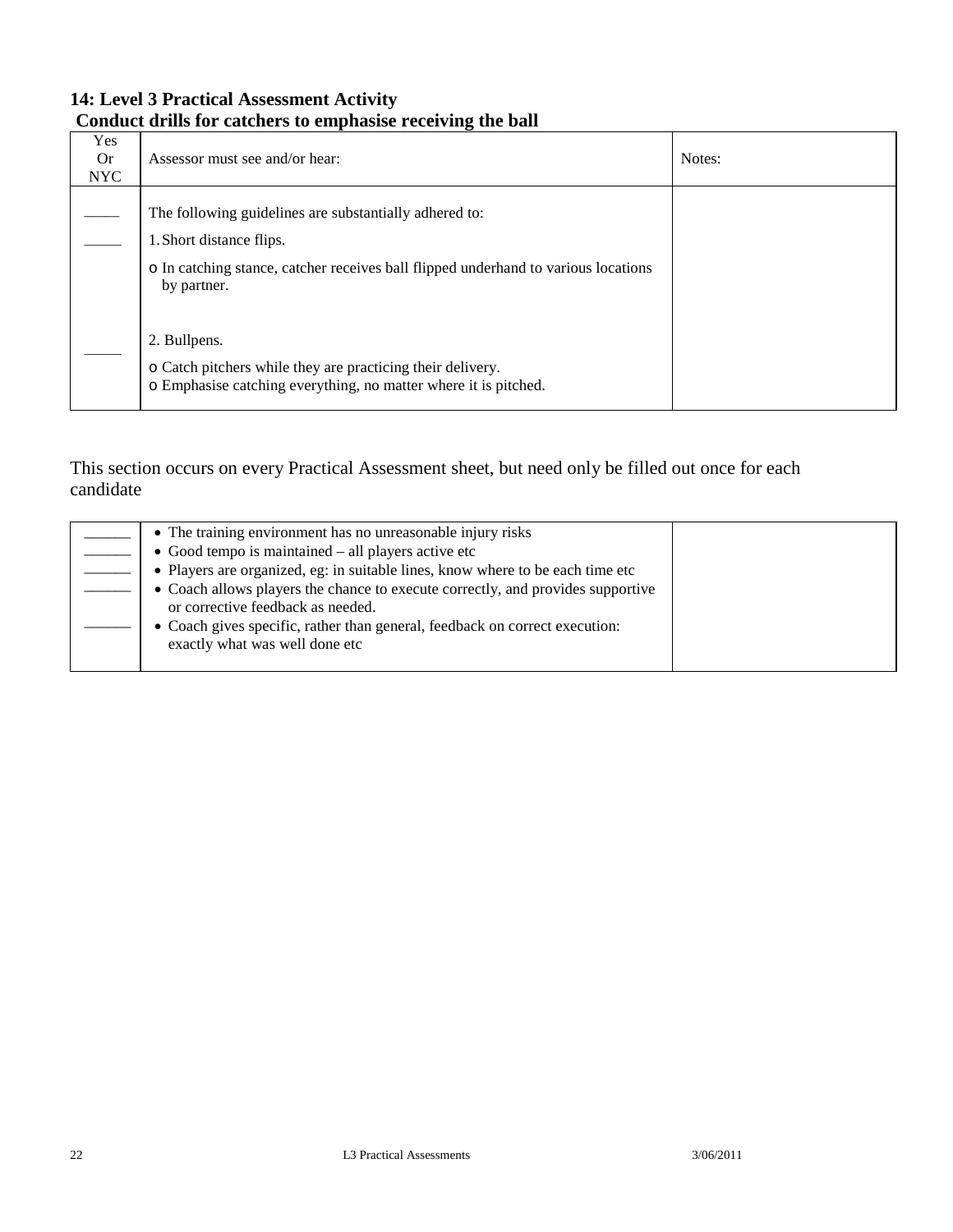### **14: Level 3 Practical Assessment Activity Conduct drills for catchers to emphasise receiving the ball**

| Yes<br><b>Or</b><br><b>NYC</b> | Assessor must see and/or hear:                                                                                                                                                          | Notes: |
|--------------------------------|-----------------------------------------------------------------------------------------------------------------------------------------------------------------------------------------|--------|
|                                | The following guidelines are substantially adhered to:<br>1. Short distance flips.<br>o In catching stance, catcher receives ball flipped underhand to various locations<br>by partner. |        |
|                                | 2. Bullpens.<br>o Catch pitchers while they are practicing their delivery.<br>o Emphasise catching everything, no matter where it is pitched.                                           |        |

| • The training environment has no unreasonable injury risks                                                          |  |
|----------------------------------------------------------------------------------------------------------------------|--|
| $\bullet$ Good tempo is maintained $-$ all players active etc                                                        |  |
| • Players are organized, eg: in suitable lines, know where to be each time etc                                       |  |
| • Coach allows players the chance to execute correctly, and provides supportive<br>or corrective feedback as needed. |  |
| • Coach gives specific, rather than general, feedback on correct execution:<br>exactly what was well done etc        |  |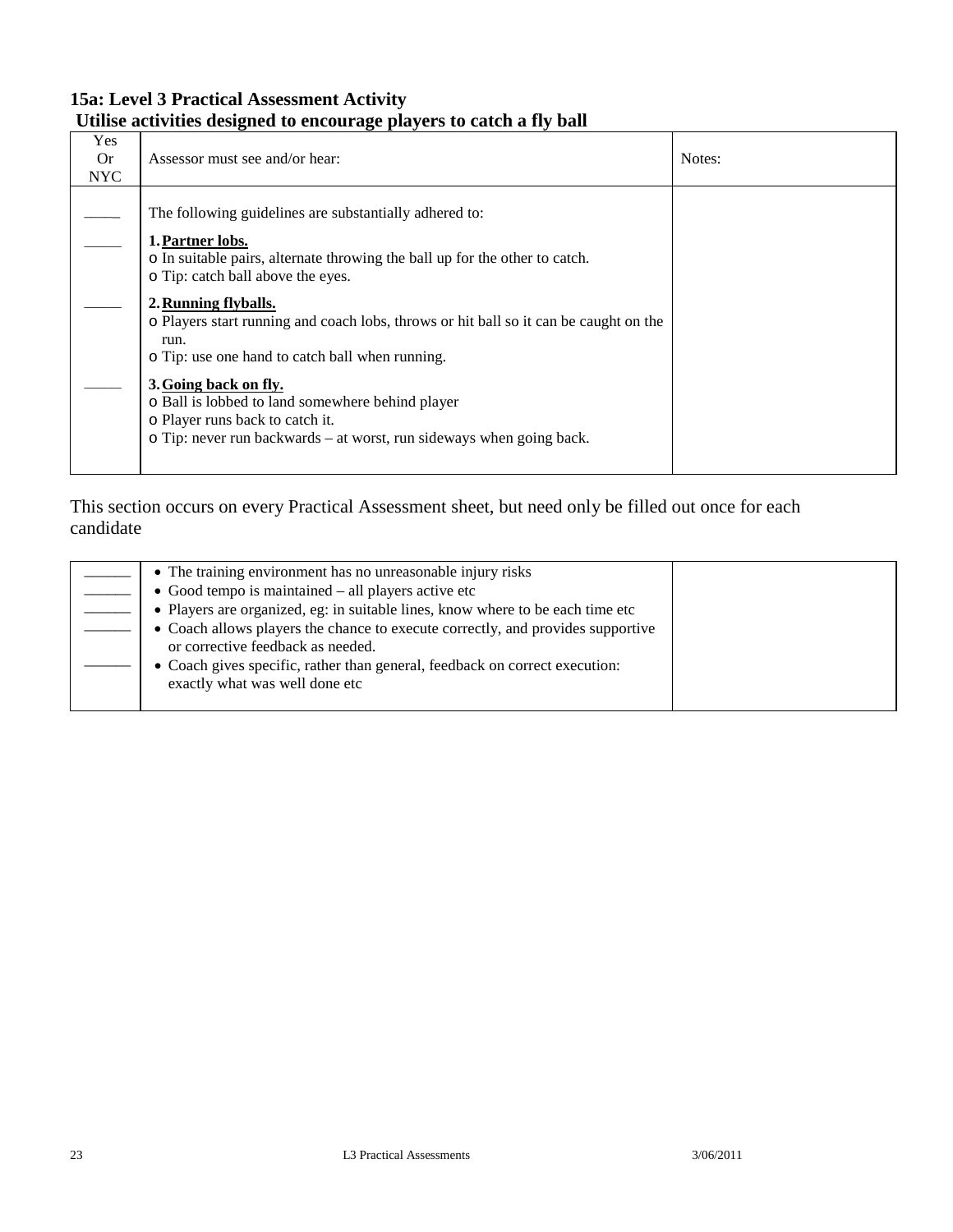### **15a: Level 3 Practical Assessment Activity Utilise activities designed to encourage players to catch a fly ball**

| Notes:<br>0r<br>Assessor must see and/or hear:<br><b>NYC</b>                                                                                                                                                                                                                                                                                                                                                                                                                                                                                                       |  |
|--------------------------------------------------------------------------------------------------------------------------------------------------------------------------------------------------------------------------------------------------------------------------------------------------------------------------------------------------------------------------------------------------------------------------------------------------------------------------------------------------------------------------------------------------------------------|--|
| The following guidelines are substantially adhered to:<br>1. Partner lobs.<br>o In suitable pairs, alternate throwing the ball up for the other to catch.<br>o Tip: catch ball above the eyes.<br>2. Running flyballs.<br>o Players start running and coach lobs, throws or hit ball so it can be caught on the<br>run.<br>o Tip: use one hand to catch ball when running.<br>3. Going back on fly.<br>o Ball is lobbed to land somewhere behind player<br>o Player runs back to catch it.<br>o Tip: never run backwards – at worst, run sideways when going back. |  |

| • The training environment has no unreasonable injury risks                     |  |
|---------------------------------------------------------------------------------|--|
| $\bullet$ Good tempo is maintained $-$ all players active etc                   |  |
| • Players are organized, eg: in suitable lines, know where to be each time etc  |  |
| • Coach allows players the chance to execute correctly, and provides supportive |  |
| or corrective feedback as needed.                                               |  |
| • Coach gives specific, rather than general, feedback on correct execution:     |  |
| exactly what was well done etc                                                  |  |
|                                                                                 |  |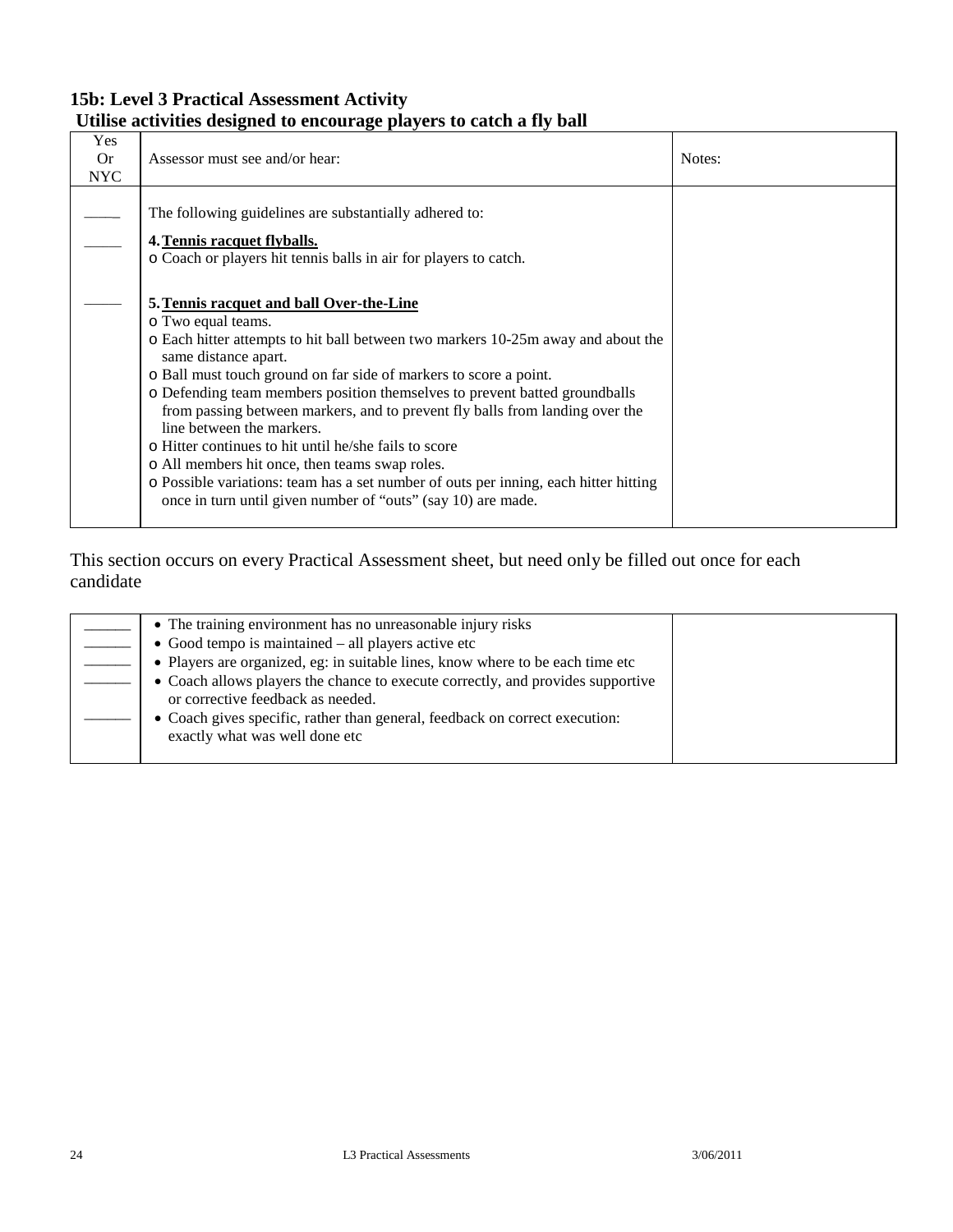### **15b: Level 3 Practical Assessment Activity Utilise activities designed to encourage players to catch a fly ball**

| Yes<br>0r<br><b>NYC</b> | Assessor must see and/or hear:                                                                                                                                                                                                                                                                                                                                                                                                                                                                                                                                                                                                                                                                                | Notes: |
|-------------------------|---------------------------------------------------------------------------------------------------------------------------------------------------------------------------------------------------------------------------------------------------------------------------------------------------------------------------------------------------------------------------------------------------------------------------------------------------------------------------------------------------------------------------------------------------------------------------------------------------------------------------------------------------------------------------------------------------------------|--------|
|                         | The following guidelines are substantially adhered to:<br>4. Tennis racquet flyballs.<br>o Coach or players hit tennis balls in air for players to catch.                                                                                                                                                                                                                                                                                                                                                                                                                                                                                                                                                     |        |
|                         | 5. Tennis racquet and ball Over-the-Line<br>o Two equal teams.<br>o Each hitter attempts to hit ball between two markers 10-25m away and about the<br>same distance apart.<br>o Ball must touch ground on far side of markers to score a point.<br>o Defending team members position themselves to prevent batted groundballs<br>from passing between markers, and to prevent fly balls from landing over the<br>line between the markers.<br>o Hitter continues to hit until he/she fails to score<br>o All members hit once, then teams swap roles.<br>o Possible variations: team has a set number of outs per inning, each hitter hitting<br>once in turn until given number of "outs" (say 10) are made. |        |

| • The training environment has no unreasonable injury risks                                                          |  |
|----------------------------------------------------------------------------------------------------------------------|--|
| $\bullet$ Good tempo is maintained – all players active etc                                                          |  |
| • Players are organized, eg: in suitable lines, know where to be each time etc                                       |  |
| • Coach allows players the chance to execute correctly, and provides supportive<br>or corrective feedback as needed. |  |
| • Coach gives specific, rather than general, feedback on correct execution:<br>exactly what was well done etc        |  |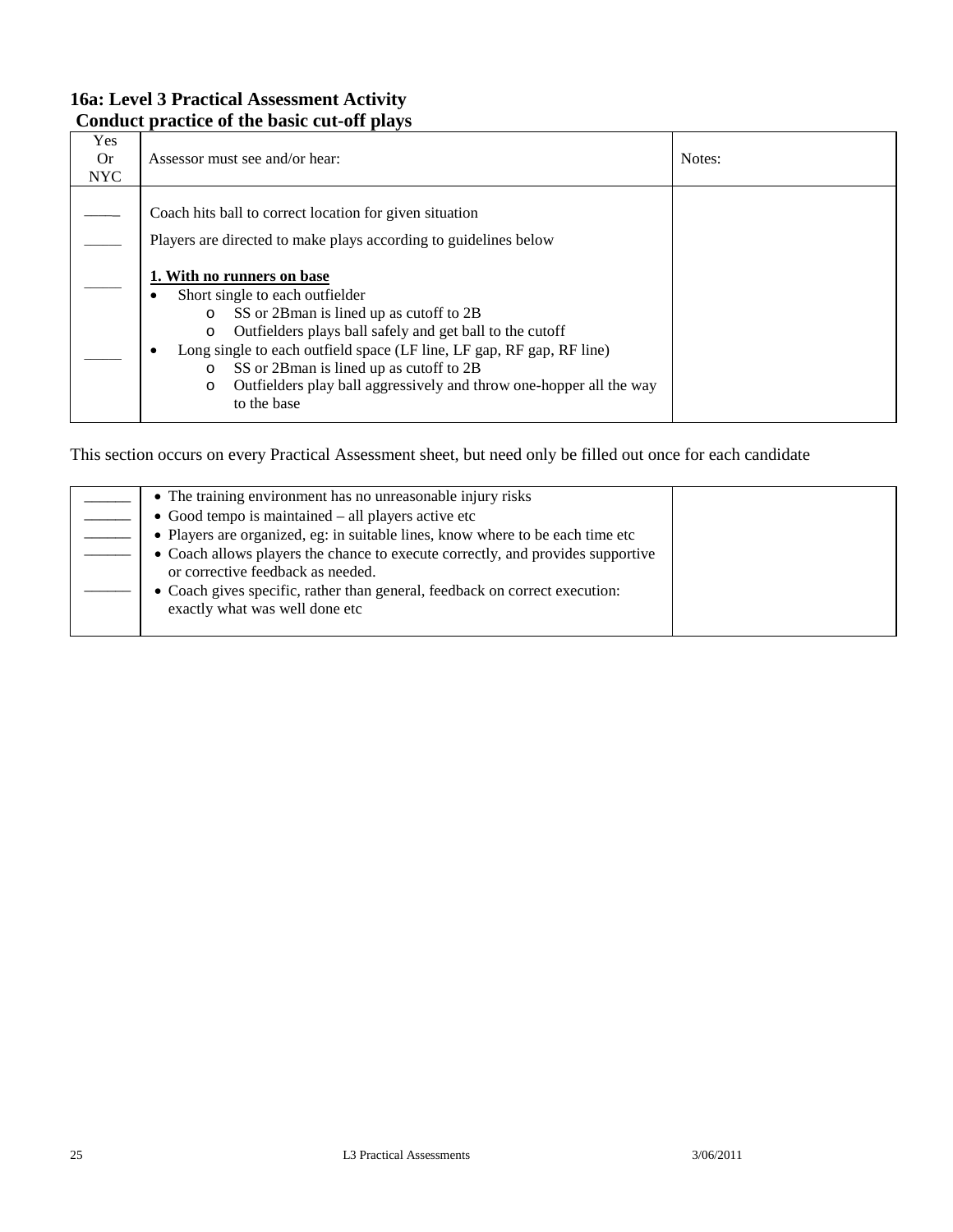### **16a: Level 3 Practical Assessment Activity Conduct practice of the basic cut-off plays**

| Yes<br>0r<br><b>NYC</b> | Assessor must see and/or hear:                                                                                                                                                                                                                                                                                                                                                                                            | Notes: |
|-------------------------|---------------------------------------------------------------------------------------------------------------------------------------------------------------------------------------------------------------------------------------------------------------------------------------------------------------------------------------------------------------------------------------------------------------------------|--------|
|                         | Coach hits ball to correct location for given situation<br>Players are directed to make plays according to guidelines below                                                                                                                                                                                                                                                                                               |        |
|                         | 1. With no runners on base<br>Short single to each outfielder<br>SS or 2Bman is lined up as cutoff to 2B<br>$\circ$<br>Outfielders plays ball safely and get ball to the cutoff<br>$\circ$<br>Long single to each outfield space (LF line, LF gap, RF gap, RF line)<br>٠<br>SS or 2Bman is lined up as cutoff to 2B<br>O<br>Outfielders play ball aggressively and throw one-hopper all the way<br>$\circ$<br>to the base |        |

| • The training environment has no unreasonable injury risks                                                          |  |
|----------------------------------------------------------------------------------------------------------------------|--|
| $\bullet$ Good tempo is maintained $-$ all players active etc                                                        |  |
| • Players are organized, eg: in suitable lines, know where to be each time etc                                       |  |
| • Coach allows players the chance to execute correctly, and provides supportive<br>or corrective feedback as needed. |  |
| • Coach gives specific, rather than general, feedback on correct execution:<br>exactly what was well done etc        |  |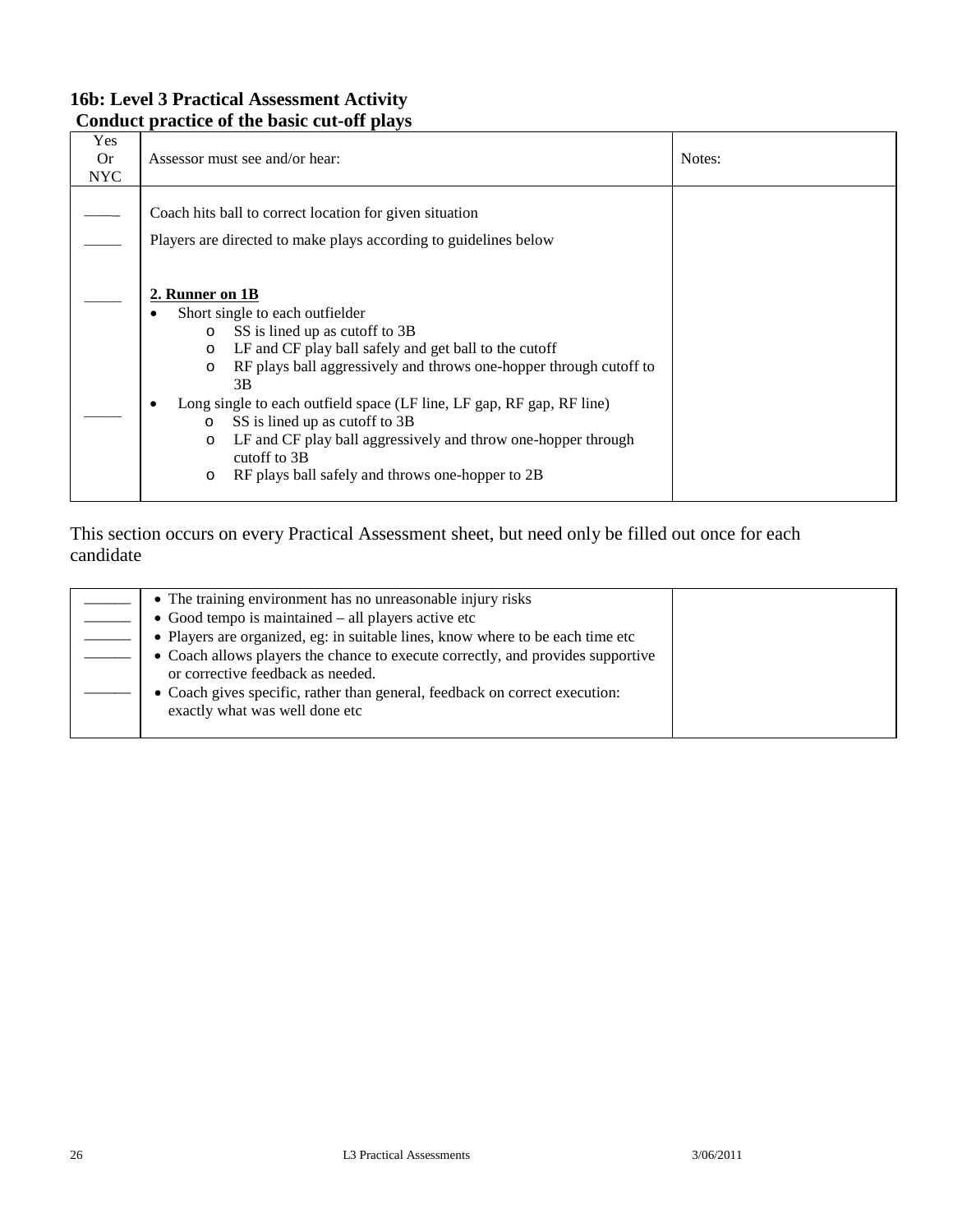### **16b: Level 3 Practical Assessment Activity Conduct practice of the basic cut-off plays**

| Yes<br>0r<br><b>NYC</b> | Assessor must see and/or hear:                                                                                                                                                                                                                                                                                                                                                                                                                                                                                                        | Notes: |
|-------------------------|---------------------------------------------------------------------------------------------------------------------------------------------------------------------------------------------------------------------------------------------------------------------------------------------------------------------------------------------------------------------------------------------------------------------------------------------------------------------------------------------------------------------------------------|--------|
|                         | Coach hits ball to correct location for given situation<br>Players are directed to make plays according to guidelines below                                                                                                                                                                                                                                                                                                                                                                                                           |        |
|                         | 2. Runner on 1B<br>Short single to each outfielder<br>SS is lined up as cutoff to 3B<br>$\circ$<br>LF and CF play ball safely and get ball to the cutoff<br>$\circ$<br>RF plays ball aggressively and throws one-hopper through cutoff to<br>$\circ$<br>3B<br>Long single to each outfield space (LF line, LF gap, RF gap, RF line)<br>SS is lined up as cutoff to 3B<br>$\circ$<br>LF and CF play ball aggressively and throw one-hopper through<br>$\circ$<br>cutoff to 3B<br>RF plays ball safely and throws one-hopper to 2B<br>O |        |

| • The training environment has no unreasonable injury risks<br>• Good tempo is maintained $-$ all players active etc<br>• Players are organized, eg: in suitable lines, know where to be each time etc<br>• Coach allows players the chance to execute correctly, and provides supportive |  |
|-------------------------------------------------------------------------------------------------------------------------------------------------------------------------------------------------------------------------------------------------------------------------------------------|--|
| or corrective feedback as needed.<br>• Coach gives specific, rather than general, feedback on correct execution:<br>exactly what was well done etc                                                                                                                                        |  |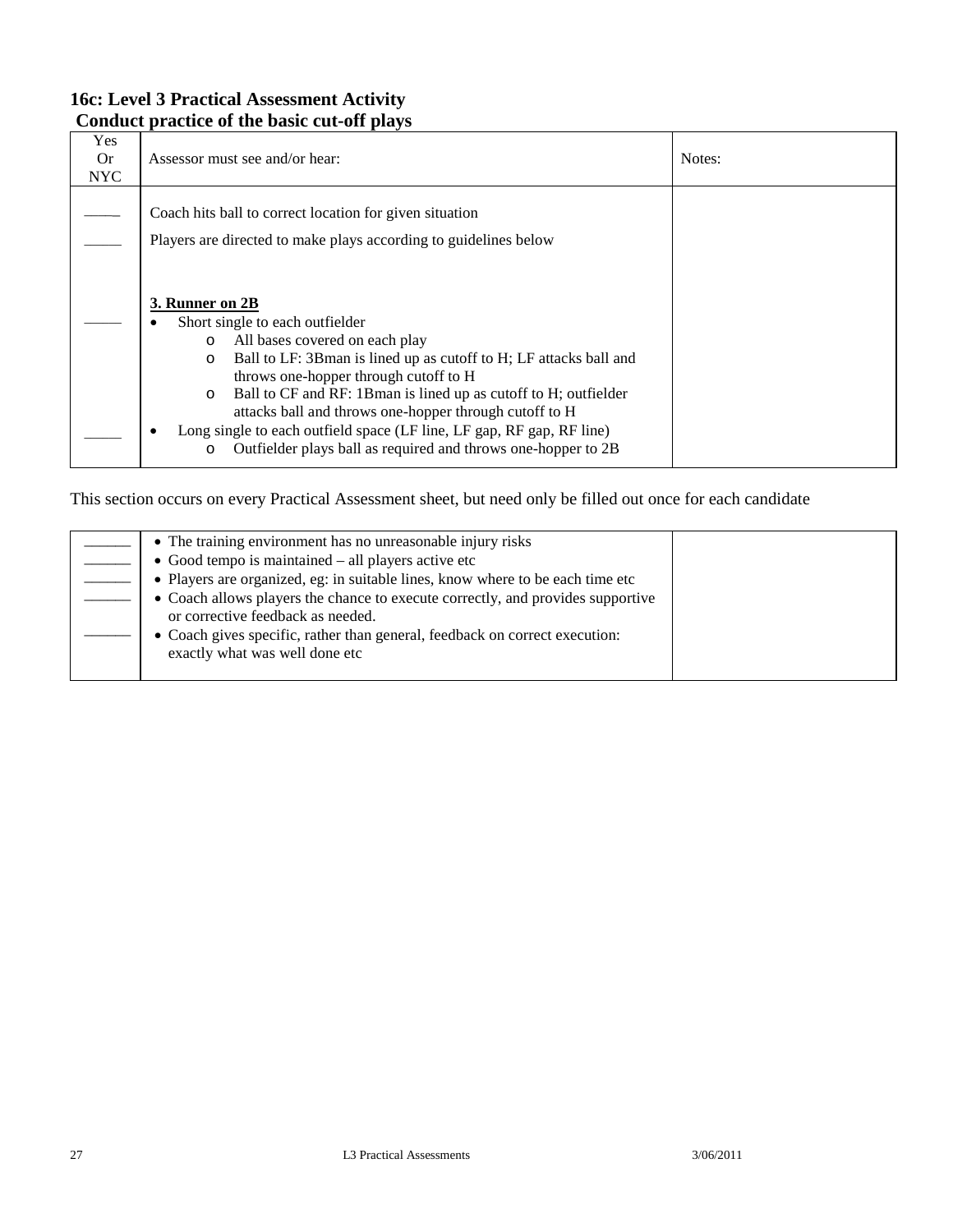### **16c: Level 3 Practical Assessment Activity Conduct practice of the basic cut-off plays**

| Yes<br>0r<br><b>NYC</b> | Assessor must see and/or hear:                                                                                                                                                                                                                                                                                                                                                                                                                                                                      | Notes: |
|-------------------------|-----------------------------------------------------------------------------------------------------------------------------------------------------------------------------------------------------------------------------------------------------------------------------------------------------------------------------------------------------------------------------------------------------------------------------------------------------------------------------------------------------|--------|
|                         | Coach hits ball to correct location for given situation<br>Players are directed to make plays according to guidelines below                                                                                                                                                                                                                                                                                                                                                                         |        |
|                         | 3. Runner on 2B<br>Short single to each outfielder<br>All bases covered on each play<br>O<br>Ball to LF: 3Bman is lined up as cutoff to H; LF attacks ball and<br>O<br>throws one-hopper through cutoff to H<br>Ball to CF and RF: 1Bman is lined up as cutoff to H; outfielder<br>$\circ$<br>attacks ball and throws one-hopper through cutoff to H<br>Long single to each outfield space (LF line, LF gap, RF gap, RF line)<br>Outfielder plays ball as required and throws one-hopper to 2B<br>O |        |

| • The training environment has no unreasonable injury risks                                                          |  |
|----------------------------------------------------------------------------------------------------------------------|--|
| $\bullet$ Good tempo is maintained $-$ all players active etc                                                        |  |
| • Players are organized, eg: in suitable lines, know where to be each time etc                                       |  |
| • Coach allows players the chance to execute correctly, and provides supportive<br>or corrective feedback as needed. |  |
| • Coach gives specific, rather than general, feedback on correct execution:<br>exactly what was well done etc        |  |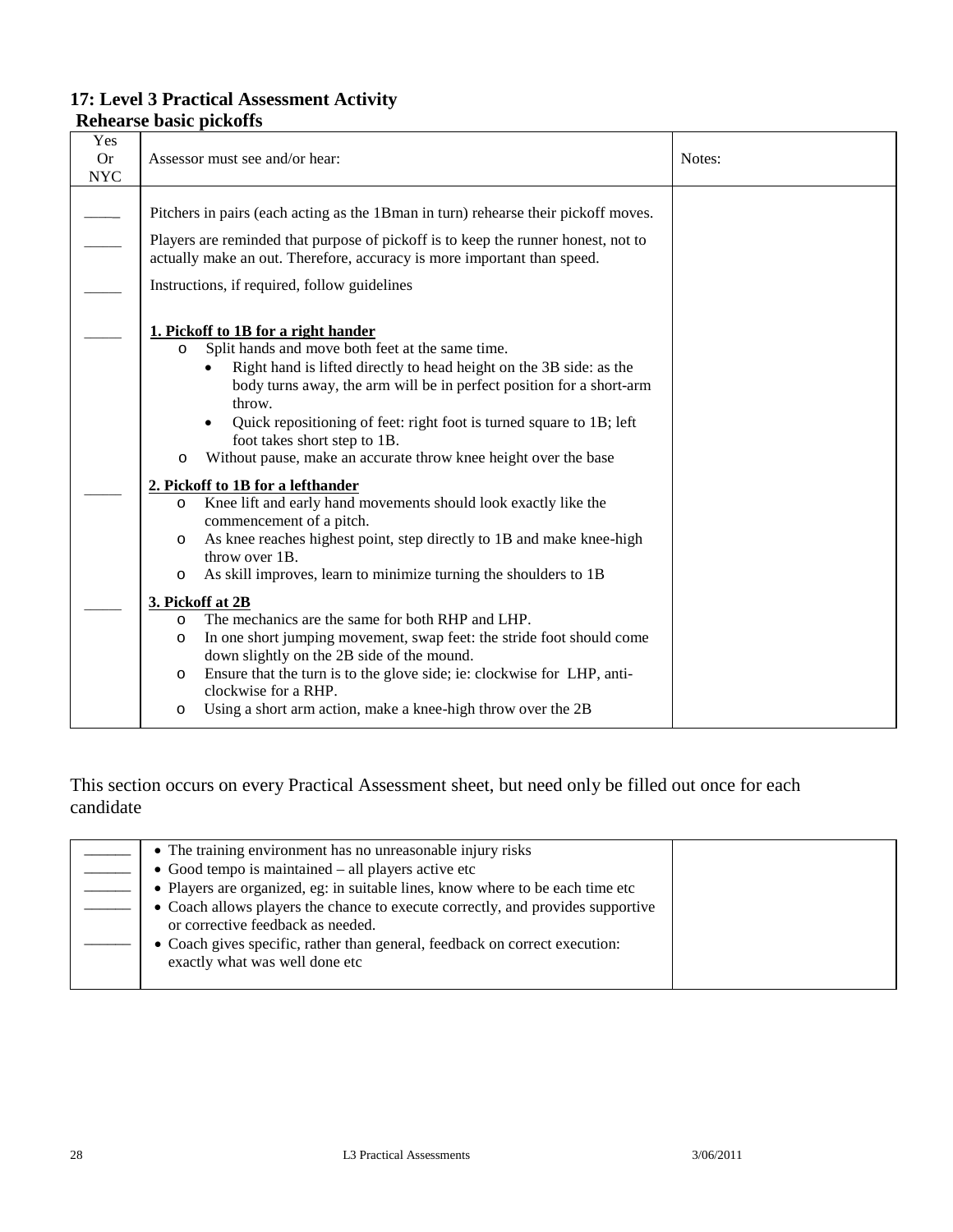#### **Rehearse basic pickoffs**  Yes Or NYC Assessor must see and/or hear: Notes: Notes:  $\overline{\phantom{a}}$  $\overline{\phantom{a}}$  $\overline{\phantom{a}}$  $\overline{\phantom{a}}$  $\overline{\phantom{a}}$  $\overline{\phantom{a}}$ Pitchers in pairs (each acting as the 1Bman in turn) rehearse their pickoff moves. Players are reminded that purpose of pickoff is to keep the runner honest, not to actually make an out. Therefore, accuracy is more important than speed. Instructions, if required, follow guidelines **1. Pickoff to 1B for a right hander** o Split hands and move both feet at the same time. • Right hand is lifted directly to head height on the 3B side: as the body turns away, the arm will be in perfect position for a short-arm throw. • Quick repositioning of feet: right foot is turned square to 1B; left foot takes short step to 1B. o Without pause, make an accurate throw knee height over the base **2. Pickoff to 1B for a lefthander** o Knee lift and early hand movements should look exactly like the commencement of a pitch. o As knee reaches highest point, step directly to 1B and make knee-high throw over 1B. o As skill improves, learn to minimize turning the shoulders to 1B **3. Pickoff at 2B** o The mechanics are the same for both RHP and LHP. o In one short jumping movement, swap feet: the stride foot should come down slightly on the 2B side of the mound. o Ensure that the turn is to the glove side; ie: clockwise for LHP, anticlockwise for a RHP. o Using a short arm action, make a knee-high throw over the 2B

| • The training environment has no unreasonable injury risks                                                          |  |
|----------------------------------------------------------------------------------------------------------------------|--|
| $\bullet$ Good tempo is maintained – all players active etc                                                          |  |
| • Players are organized, eg: in suitable lines, know where to be each time etc                                       |  |
| • Coach allows players the chance to execute correctly, and provides supportive<br>or corrective feedback as needed. |  |
| • Coach gives specific, rather than general, feedback on correct execution:<br>exactly what was well done etc        |  |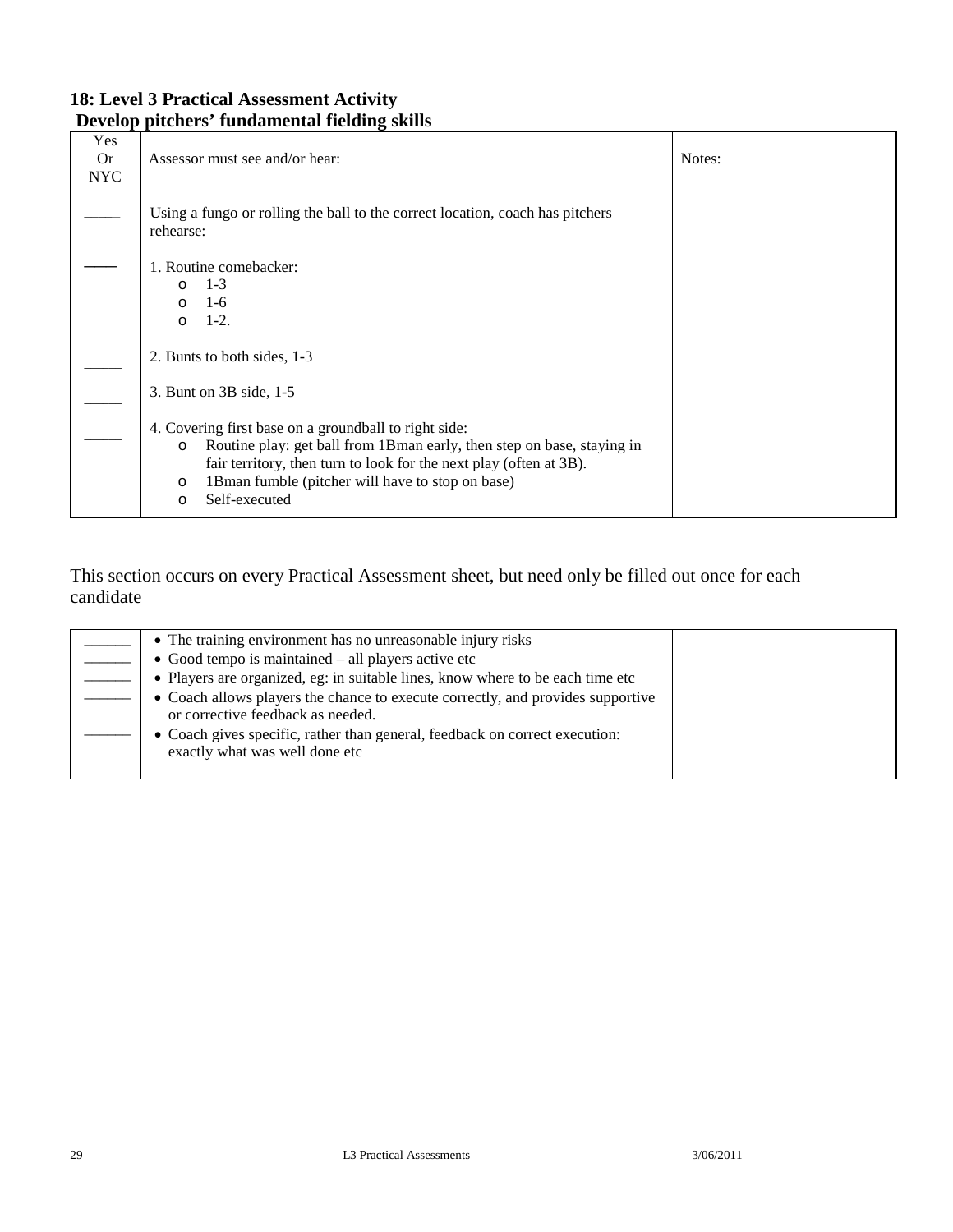### **18: Level 3 Practical Assessment Activity Develop pitchers' fundamental fielding skills**

| Yes<br><b>Or</b><br><b>NYC</b> | Assessor must see and/or hear:                                                                                                                                                                                                                                                                               | Notes: |
|--------------------------------|--------------------------------------------------------------------------------------------------------------------------------------------------------------------------------------------------------------------------------------------------------------------------------------------------------------|--------|
|                                | Using a fungo or rolling the ball to the correct location, coach has pitchers<br>rehearse:                                                                                                                                                                                                                   |        |
|                                | 1. Routine comebacker:<br>$1 - 3$<br>$\Omega$<br>$1-6$<br>$\circ$<br>$1-2.$<br>$\Omega$                                                                                                                                                                                                                      |        |
|                                | 2. Bunts to both sides, 1-3                                                                                                                                                                                                                                                                                  |        |
|                                | 3. Bunt on 3B side, 1-5                                                                                                                                                                                                                                                                                      |        |
|                                | 4. Covering first base on a groundball to right side:<br>Routine play: get ball from 1Bman early, then step on base, staying in<br>$\circ$<br>fair territory, then turn to look for the next play (often at 3B).<br>1Bman fumble (pitcher will have to stop on base)<br>$\circ$<br>Self-executed<br>$\Omega$ |        |

| • The training environment has no unreasonable injury risks                                                          |  |
|----------------------------------------------------------------------------------------------------------------------|--|
| $\bullet$ Good tempo is maintained – all players active etc                                                          |  |
| • Players are organized, eg: in suitable lines, know where to be each time etc                                       |  |
| • Coach allows players the chance to execute correctly, and provides supportive<br>or corrective feedback as needed. |  |
| • Coach gives specific, rather than general, feedback on correct execution:<br>exactly what was well done etc        |  |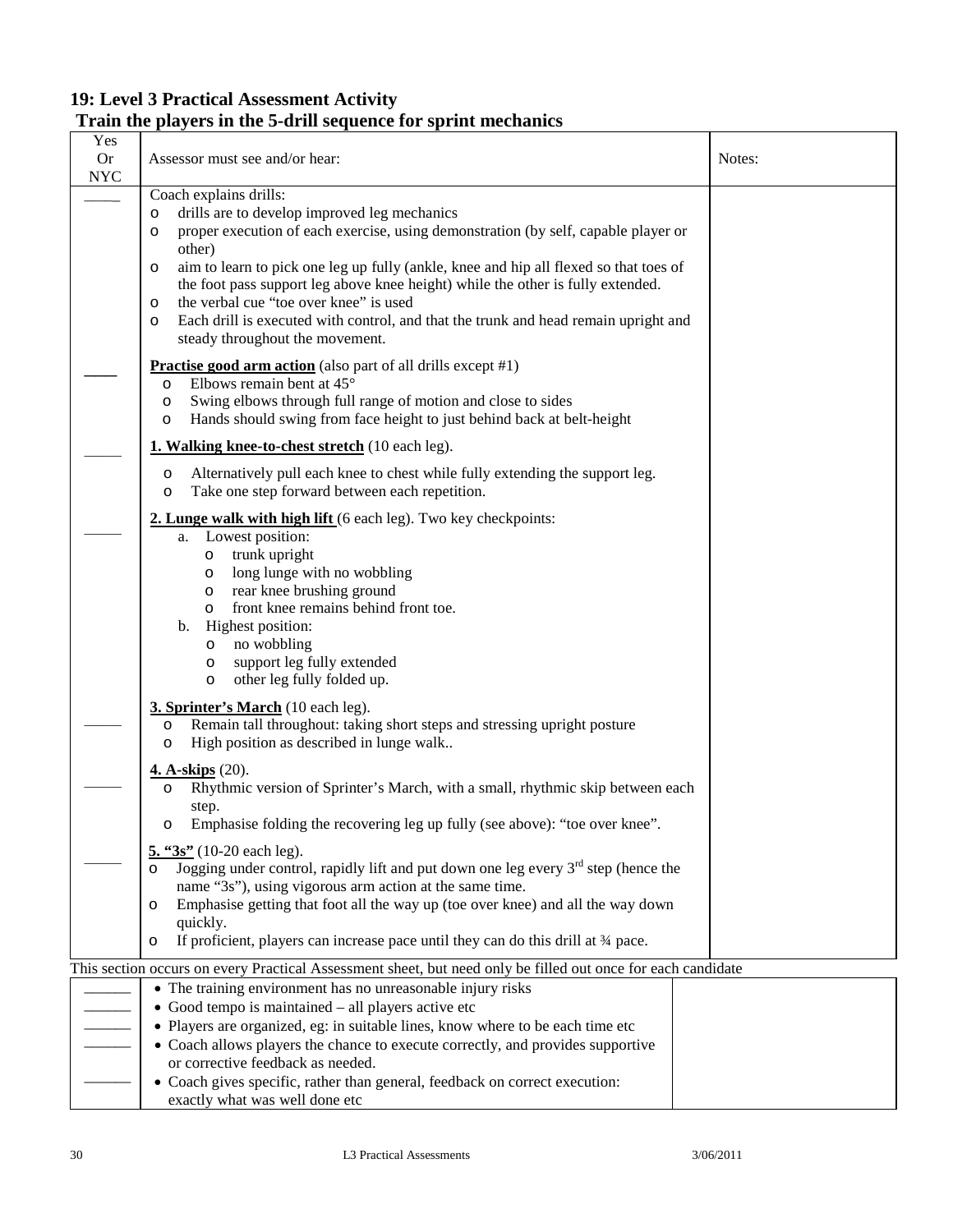# **Train the players in the 5-drill sequence for sprint mechanics**

| Yes<br><b>Or</b><br><b>NYC</b> | Assessor must see and/or hear:                                                                                                                                                                                                                                                                                                                                                                                                                                                                                                       | Notes: |
|--------------------------------|--------------------------------------------------------------------------------------------------------------------------------------------------------------------------------------------------------------------------------------------------------------------------------------------------------------------------------------------------------------------------------------------------------------------------------------------------------------------------------------------------------------------------------------|--------|
|                                | Coach explains drills:<br>drills are to develop improved leg mechanics<br>$\circ$<br>proper execution of each exercise, using demonstration (by self, capable player or<br>O<br>other)<br>aim to learn to pick one leg up fully (ankle, knee and hip all flexed so that toes of<br>$\circ$<br>the foot pass support leg above knee height) while the other is fully extended.<br>the verbal cue "toe over knee" is used<br>$\circ$<br>Each drill is executed with control, and that the trunk and head remain upright and<br>$\circ$ |        |
|                                | steady throughout the movement.<br><b>Practise good arm action</b> (also part of all drills except #1)<br>Elbows remain bent at 45°<br>$\circ$<br>Swing elbows through full range of motion and close to sides<br>$\circ$<br>Hands should swing from face height to just behind back at belt-height<br>$\circ$                                                                                                                                                                                                                       |        |
|                                | 1. Walking knee-to-chest stretch (10 each leg).                                                                                                                                                                                                                                                                                                                                                                                                                                                                                      |        |
|                                | Alternatively pull each knee to chest while fully extending the support leg.<br>$\circ$<br>Take one step forward between each repetition.<br>$\circ$                                                                                                                                                                                                                                                                                                                                                                                 |        |
|                                | 2. Lunge walk with high lift (6 each leg). Two key checkpoints:<br>Lowest position:<br>a.                                                                                                                                                                                                                                                                                                                                                                                                                                            |        |
|                                | trunk upright<br>$\circ$<br>long lunge with no wobbling<br>$\circ$<br>rear knee brushing ground<br>$\circ$<br>front knee remains behind front toe.<br>$\circ$<br>Highest position:<br>$\mathbf{b}$ .<br>no wobbling<br>$\circ$<br>support leg fully extended<br>O<br>other leg fully folded up.<br>$\circ$                                                                                                                                                                                                                           |        |
|                                | 3. Sprinter's March (10 each leg).<br>Remain tall throughout: taking short steps and stressing upright posture<br>$\circ$<br>High position as described in lunge walk<br>$\circ$                                                                                                                                                                                                                                                                                                                                                     |        |
|                                | <b>4. A-skips</b> (20).<br>Rhythmic version of Sprinter's March, with a small, rhythmic skip between each<br>O<br>step.<br>Emphasise folding the recovering leg up fully (see above): "toe over knee".<br>O                                                                                                                                                                                                                                                                                                                          |        |
|                                | $\frac{5.43s''}{2}$ (10-20 each leg).<br>Jogging under control, rapidly lift and put down one leg every $3rd$ step (hence the<br>$\circ$<br>name "3s"), using vigorous arm action at the same time.<br>Emphasise getting that foot all the way up (toe over knee) and all the way down<br>$\circ$<br>quickly.<br>If proficient, players can increase pace until they can do this drill at 34 pace.<br>$\circ$                                                                                                                        |        |
|                                | This section occurs on every Practical Assessment sheet, but need only be filled out once for each candidate                                                                                                                                                                                                                                                                                                                                                                                                                         |        |
|                                | • The training environment has no unreasonable injury risks<br>• Good tempo is maintained - all players active etc<br>• Players are organized, eg: in suitable lines, know where to be each time etc<br>• Coach allows players the chance to execute correctly, and provides supportive<br>or corrective feedback as needed.<br>• Coach gives specific, rather than general, feedback on correct execution:                                                                                                                          |        |
|                                | exactly what was well done etc                                                                                                                                                                                                                                                                                                                                                                                                                                                                                                       |        |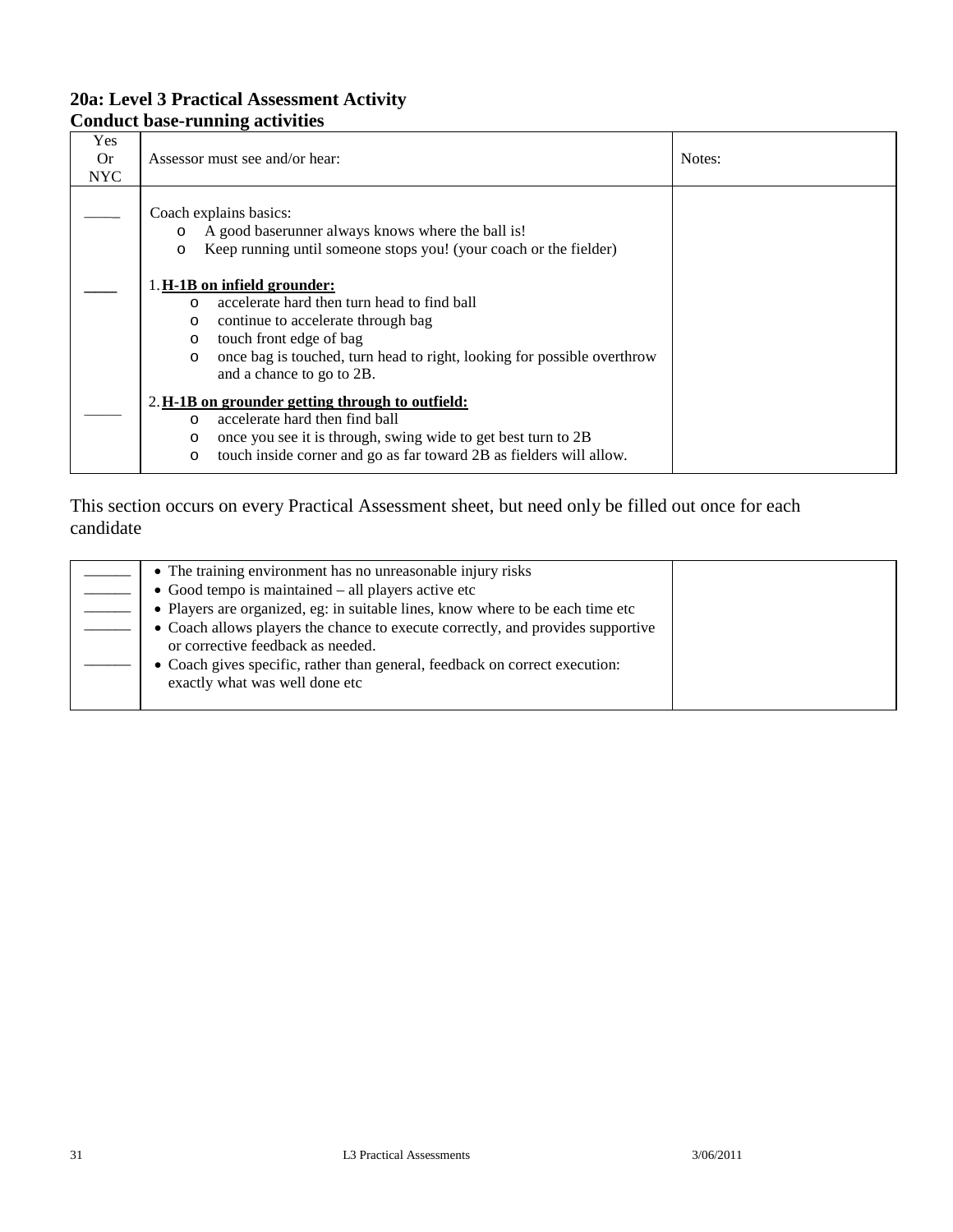## **Conduct base-running activities**

| Yes<br>0r<br><b>NYC</b> | Assessor must see and/or hear:                                                                                                                                                                                                                                                                  | Notes: |
|-------------------------|-------------------------------------------------------------------------------------------------------------------------------------------------------------------------------------------------------------------------------------------------------------------------------------------------|--------|
|                         | Coach explains basics:<br>A good baserunner always knows where the ball is!<br>$\circ$<br>Keep running until someone stops you! (your coach or the fielder)<br>$\circ$                                                                                                                          |        |
|                         | 1. H-1B on infield grounder:<br>accelerate hard then turn head to find ball<br>$\cap$<br>continue to accelerate through bag<br>$\circ$<br>touch front edge of bag<br>$\circ$<br>once bag is touched, turn head to right, looking for possible overthrow<br>$\circ$<br>and a chance to go to 2B. |        |
|                         | 2. H-1B on grounder getting through to outfield:<br>accelerate hard then find ball<br>$\Omega$<br>once you see it is through, swing wide to get best turn to 2B<br>$\circ$<br>touch inside corner and go as far toward 2B as fielders will allow.<br>$\circ$                                    |        |

| • The training environment has no unreasonable injury risks                     |  |
|---------------------------------------------------------------------------------|--|
| $\bullet$ Good tempo is maintained – all players active etc                     |  |
| • Players are organized, eg: in suitable lines, know where to be each time etc  |  |
| • Coach allows players the chance to execute correctly, and provides supportive |  |
| or corrective feedback as needed.                                               |  |
| • Coach gives specific, rather than general, feedback on correct execution:     |  |
| exactly what was well done etc                                                  |  |
|                                                                                 |  |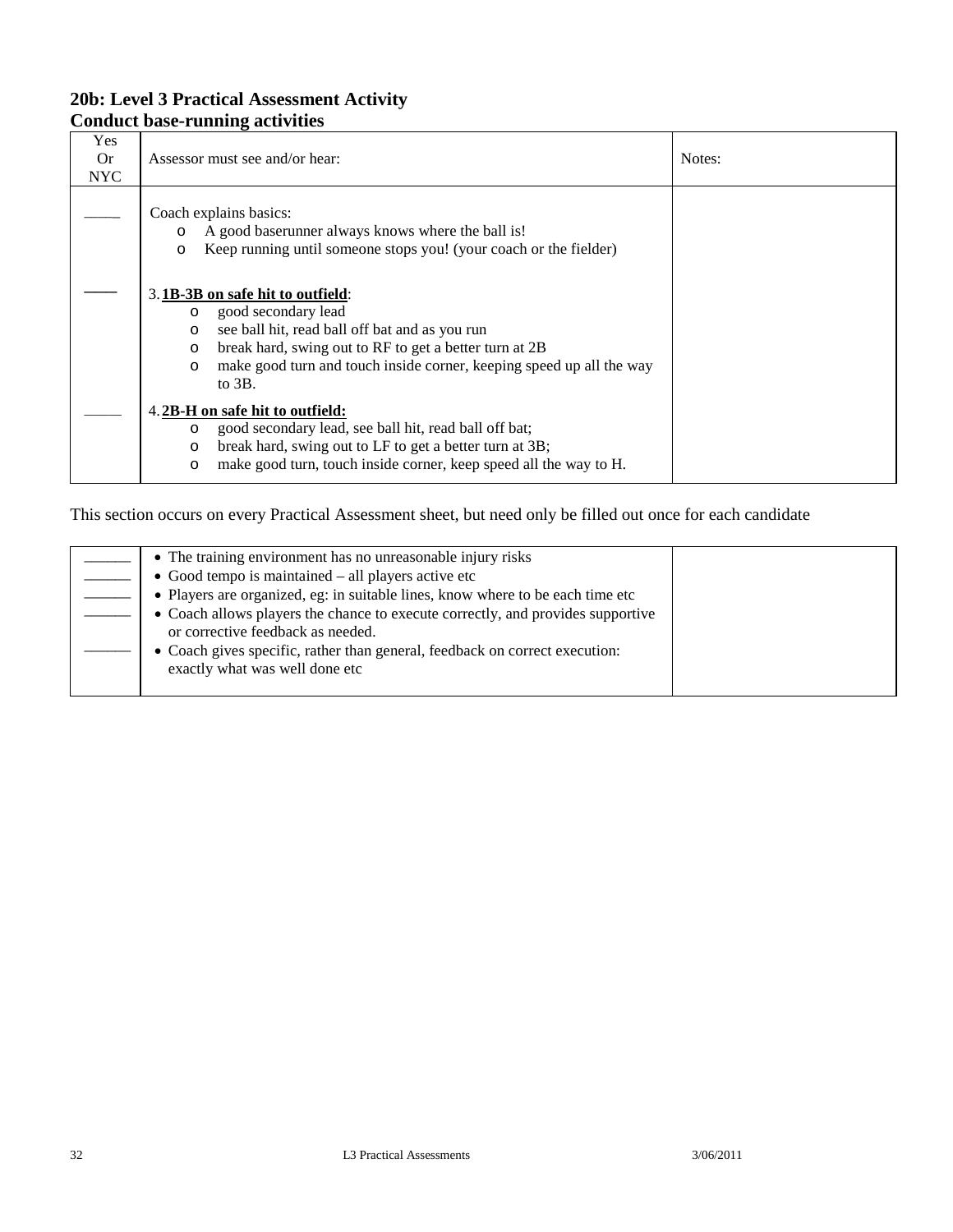## **Conduct base-running activities**

| Yes<br><b>Or</b><br><b>NYC</b> | Assessor must see and/or hear:                                                                                                                                                                                                                                                           | Notes: |
|--------------------------------|------------------------------------------------------------------------------------------------------------------------------------------------------------------------------------------------------------------------------------------------------------------------------------------|--------|
|                                | Coach explains basics:<br>A good baserunner always knows where the ball is!<br>Keep running until someone stops you! (your coach or the fielder)<br>O                                                                                                                                    |        |
|                                | 3.1B-3B on safe hit to outfield:<br>good secondary lead<br>$\circ$<br>see ball hit, read ball off bat and as you run<br>$\circ$<br>break hard, swing out to RF to get a better turn at 2B<br>O<br>make good turn and touch inside corner, keeping speed up all the way<br>O<br>to $3B$ . |        |
|                                | 4.2B-H on safe hit to outfield:<br>good secondary lead, see ball hit, read ball off bat;<br>O<br>break hard, swing out to LF to get a better turn at 3B;<br>O<br>make good turn, touch inside corner, keep speed all the way to H.<br>O                                                  |        |

| • The training environment has no unreasonable injury risks                     |  |
|---------------------------------------------------------------------------------|--|
| $\bullet$ Good tempo is maintained – all players active etc                     |  |
| • Players are organized, eg: in suitable lines, know where to be each time etc  |  |
| • Coach allows players the chance to execute correctly, and provides supportive |  |
| or corrective feedback as needed.                                               |  |
| • Coach gives specific, rather than general, feedback on correct execution:     |  |
| exactly what was well done etc                                                  |  |
|                                                                                 |  |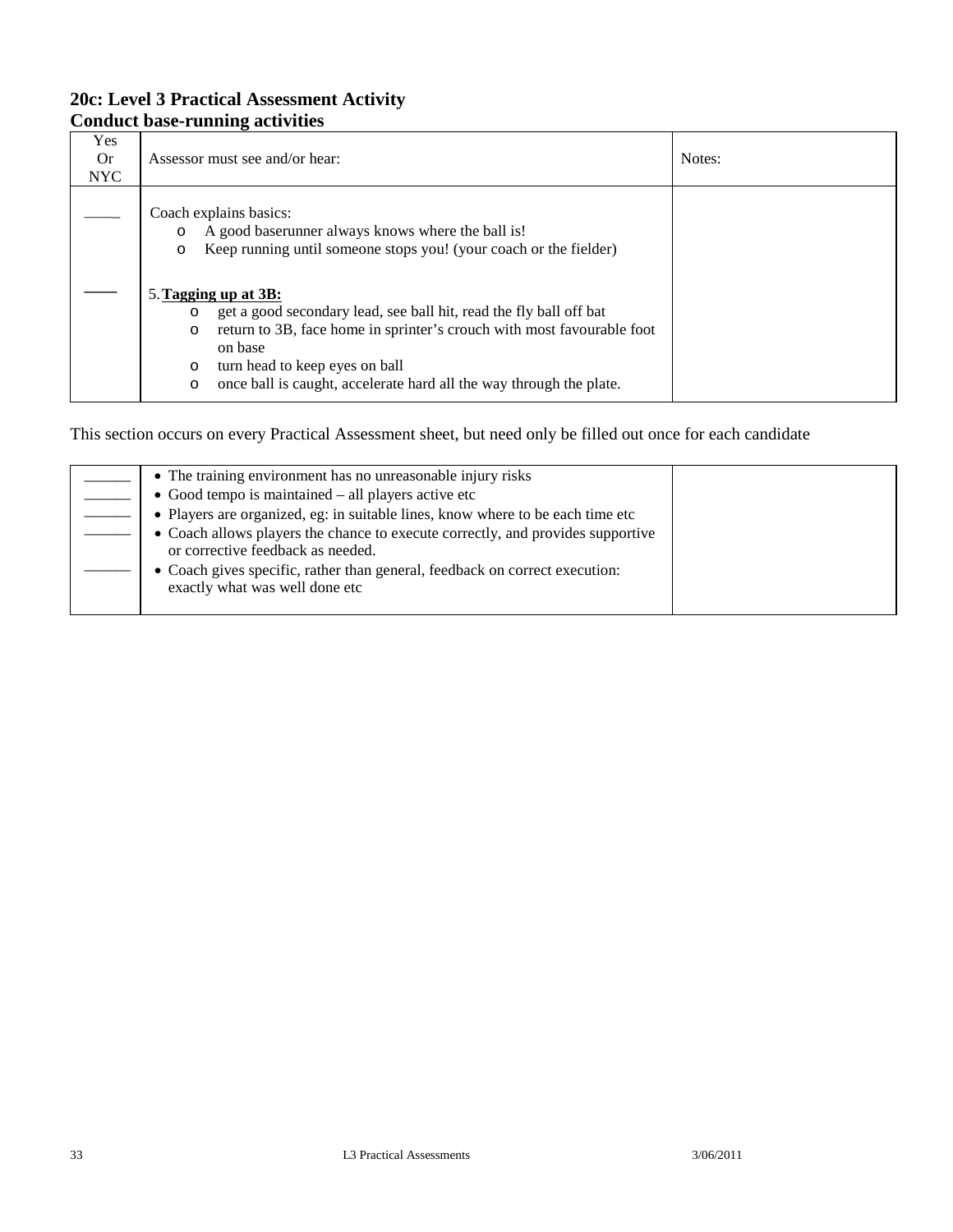### **20c: Level 3 Practical Assessment Activity Conduct base-running activities**

| Yes<br><b>Or</b><br>NYC | Assessor must see and/or hear:                                                                                                                                                                                                                                                                                                       | Notes: |
|-------------------------|--------------------------------------------------------------------------------------------------------------------------------------------------------------------------------------------------------------------------------------------------------------------------------------------------------------------------------------|--------|
|                         | Coach explains basics:<br>A good baserunner always knows where the ball is!<br>$\circ$<br>Keep running until someone stops you! (your coach or the fielder)<br>$\circ$                                                                                                                                                               |        |
|                         | 5. Tagging up at 3B:<br>get a good secondary lead, see ball hit, read the fly ball off bat<br>$\circ$<br>return to 3B, face home in sprinter's crouch with most favourable foot<br>$\circ$<br>on base<br>turn head to keep eyes on ball<br>$\circ$<br>once ball is caught, accelerate hard all the way through the plate.<br>$\circ$ |        |

| • The training environment has no unreasonable injury risks                                                          |  |
|----------------------------------------------------------------------------------------------------------------------|--|
| $\bullet$ Good tempo is maintained $-$ all players active etc                                                        |  |
| • Players are organized, eg: in suitable lines, know where to be each time etc                                       |  |
| • Coach allows players the chance to execute correctly, and provides supportive<br>or corrective feedback as needed. |  |
| • Coach gives specific, rather than general, feedback on correct execution:<br>exactly what was well done etc        |  |
|                                                                                                                      |  |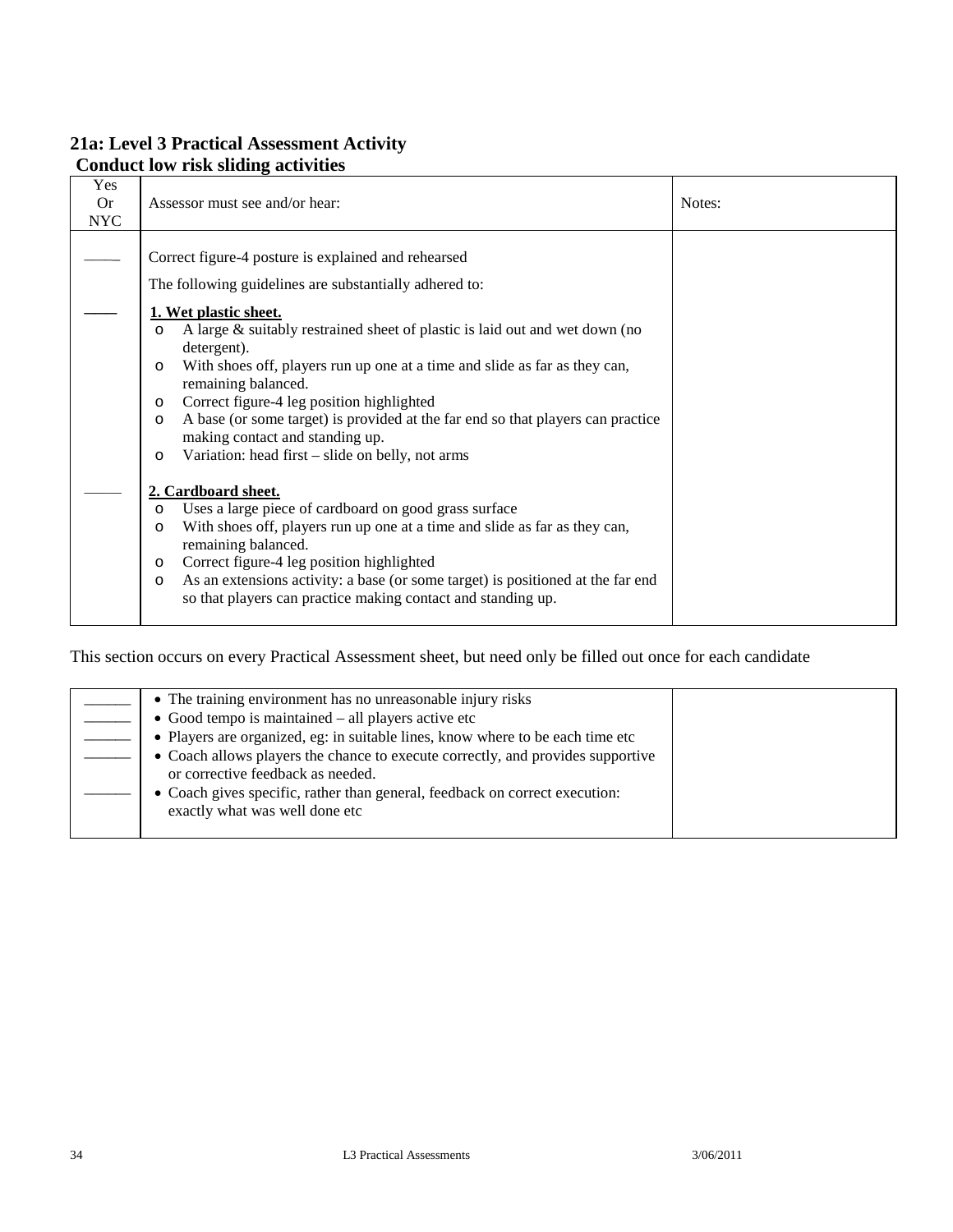### **21a: Level 3 Practical Assessment Activity Conduct low risk sliding activities**

| Yes<br><b>Or</b><br><b>NYC</b> | Assessor must see and/or hear:                                                                                                                                                                                                                                                                                                                                                                                                                                                                                                                                                                                                                 | Notes: |
|--------------------------------|------------------------------------------------------------------------------------------------------------------------------------------------------------------------------------------------------------------------------------------------------------------------------------------------------------------------------------------------------------------------------------------------------------------------------------------------------------------------------------------------------------------------------------------------------------------------------------------------------------------------------------------------|--------|
|                                | Correct figure-4 posture is explained and rehearsed<br>The following guidelines are substantially adhered to:<br>1. Wet plastic sheet.<br>A large & suitably restrained sheet of plastic is laid out and wet down (no<br>$\circ$<br>detergent).<br>With shoes off, players run up one at a time and slide as far as they can,<br>$\circ$<br>remaining balanced.<br>Correct figure-4 leg position highlighted<br>$\circ$<br>A base (or some target) is provided at the far end so that players can practice<br>$\circ$<br>making contact and standing up.<br>Variation: head first – slide on belly, not arms<br>$\circ$<br>2. Cardboard sheet. |        |
|                                | Uses a large piece of cardboard on good grass surface<br>$\circ$<br>With shoes off, players run up one at a time and slide as far as they can,<br>$\circ$<br>remaining balanced.<br>Correct figure-4 leg position highlighted<br>$\circ$<br>As an extensions activity: a base (or some target) is positioned at the far end<br>$\circ$<br>so that players can practice making contact and standing up.                                                                                                                                                                                                                                         |        |

| • The training environment has no unreasonable injury risks                                                          |  |
|----------------------------------------------------------------------------------------------------------------------|--|
| $\bullet$ Good tempo is maintained – all players active etc                                                          |  |
| • Players are organized, eg: in suitable lines, know where to be each time etc                                       |  |
| • Coach allows players the chance to execute correctly, and provides supportive<br>or corrective feedback as needed. |  |
| • Coach gives specific, rather than general, feedback on correct execution:<br>exactly what was well done etc        |  |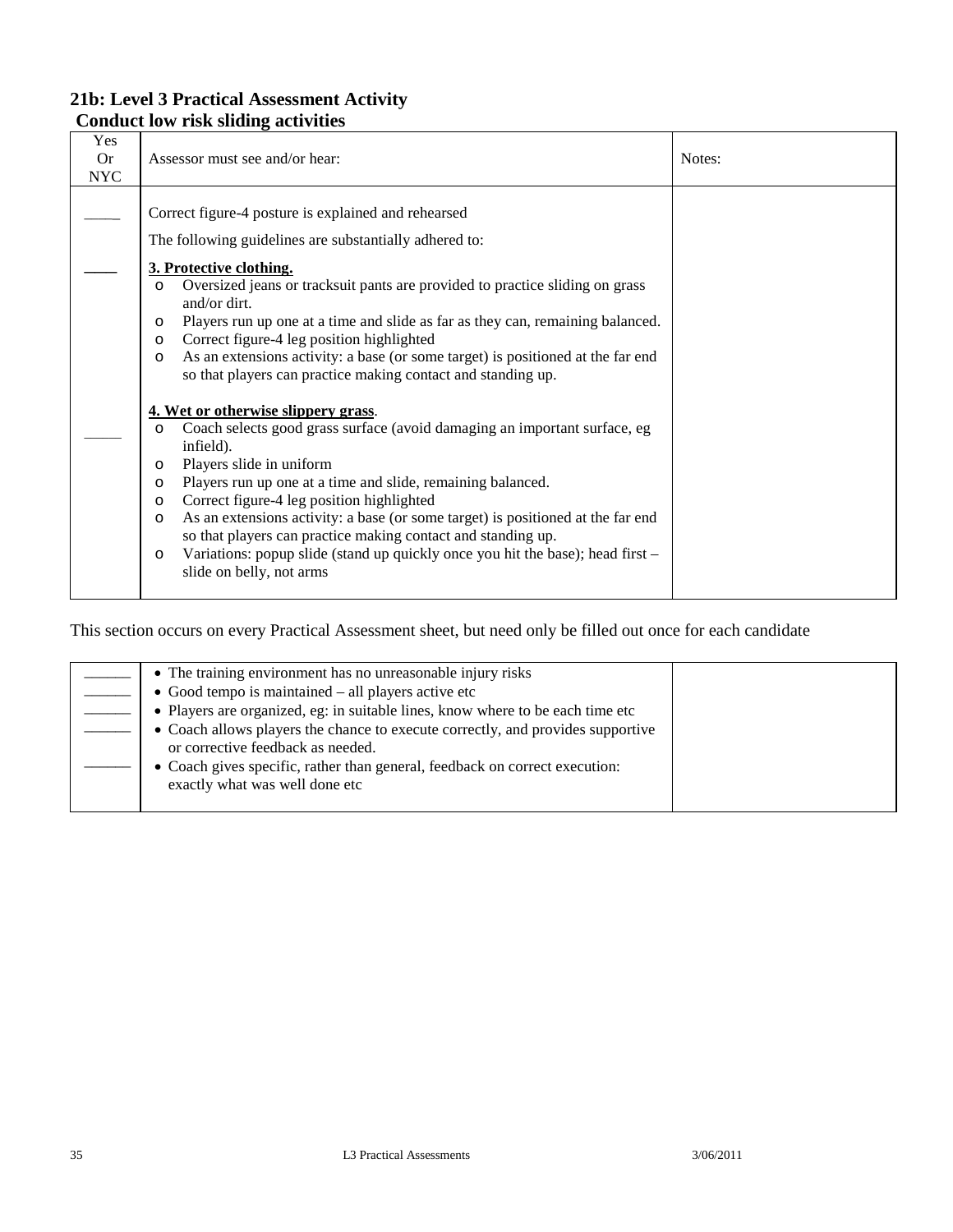### **21b: Level 3 Practical Assessment Activity Conduct low risk sliding activities**

| Yes<br><b>Or</b><br><b>NYC</b> | Assessor must see and/or hear:                                                                                                                                                                                                                                                                                                                                                                                                                                                                                                                                                                           | Notes: |
|--------------------------------|----------------------------------------------------------------------------------------------------------------------------------------------------------------------------------------------------------------------------------------------------------------------------------------------------------------------------------------------------------------------------------------------------------------------------------------------------------------------------------------------------------------------------------------------------------------------------------------------------------|--------|
|                                | Correct figure-4 posture is explained and rehearsed<br>The following guidelines are substantially adhered to:<br>3. Protective clothing.<br>Oversized jeans or tracksuit pants are provided to practice sliding on grass<br>$\Omega$<br>and/or dirt.<br>Players run up one at a time and slide as far as they can, remaining balanced.<br>$\circ$<br>Correct figure-4 leg position highlighted<br>$\circ$<br>As an extensions activity: a base (or some target) is positioned at the far end<br>$\circ$<br>so that players can practice making contact and standing up.                                  |        |
|                                | 4. Wet or otherwise slippery grass.<br>Coach selects good grass surface (avoid damaging an important surface, eg<br>$\circ$<br>infield).<br>Players slide in uniform<br>$\circ$<br>Players run up one at a time and slide, remaining balanced.<br>$\circ$<br>Correct figure-4 leg position highlighted<br>$\circ$<br>As an extensions activity: a base (or some target) is positioned at the far end<br>$\circ$<br>so that players can practice making contact and standing up.<br>Variations: popup slide (stand up quickly once you hit the base); head first -<br>$\circ$<br>slide on belly, not arms |        |

| • The training environment has no unreasonable injury risks                                                          |  |
|----------------------------------------------------------------------------------------------------------------------|--|
| $\bullet$ Good tempo is maintained $-$ all players active etc                                                        |  |
| • Players are organized, eg: in suitable lines, know where to be each time etc                                       |  |
| • Coach allows players the chance to execute correctly, and provides supportive<br>or corrective feedback as needed. |  |
| • Coach gives specific, rather than general, feedback on correct execution:<br>exactly what was well done etc        |  |
|                                                                                                                      |  |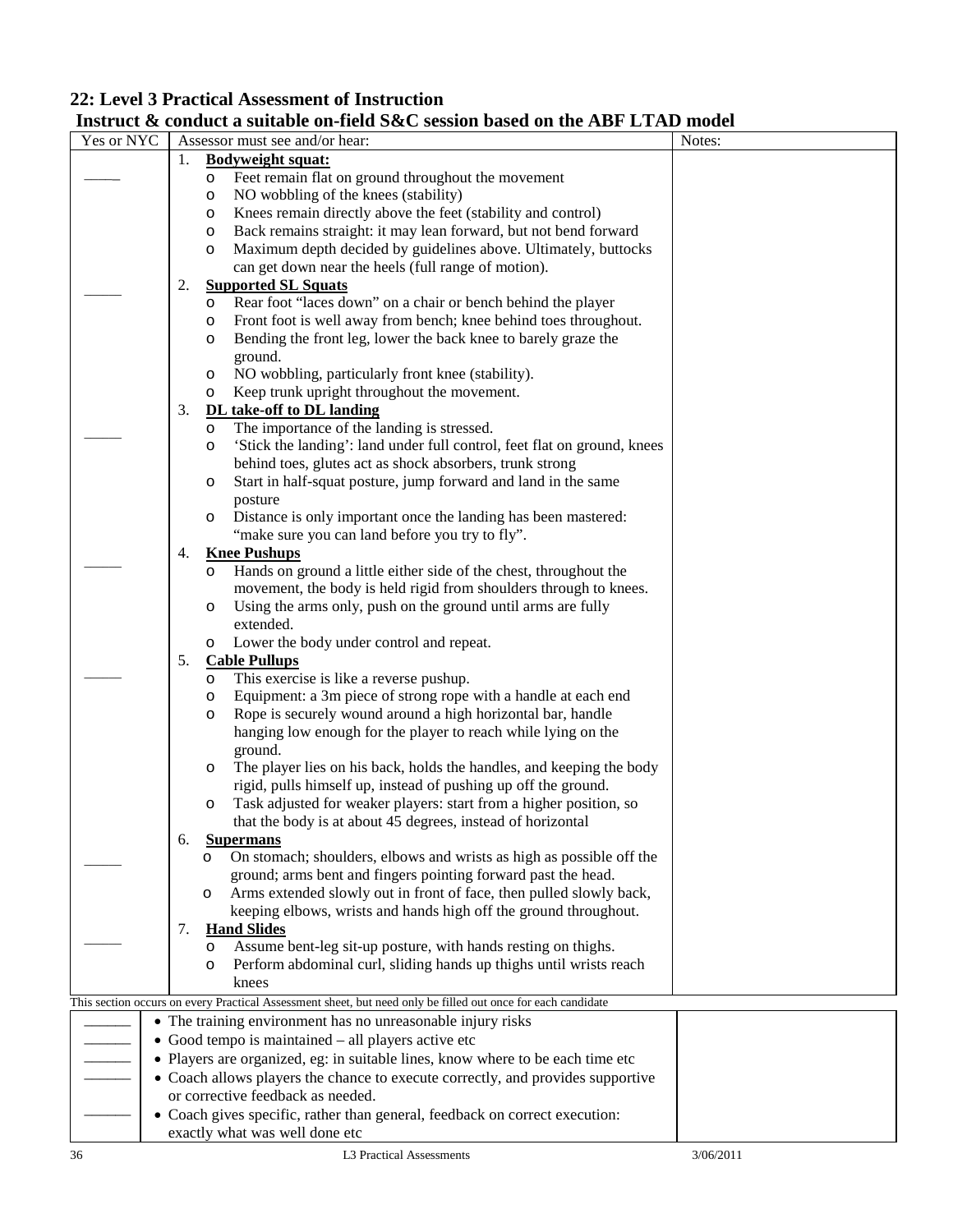### **22: Level 3 Practical Assessment of Instruction**

### **Instruct & conduct a suitable on-field S&C session based on the ABF LTAD model**

| Yes or NYC |    |         | Assessor must see and/or hear:                                                                                                      | Notes:    |
|------------|----|---------|-------------------------------------------------------------------------------------------------------------------------------------|-----------|
|            | 1. |         | <b>Bodyweight squat:</b>                                                                                                            |           |
|            |    | O       | Feet remain flat on ground throughout the movement                                                                                  |           |
|            |    | O       | NO wobbling of the knees (stability)                                                                                                |           |
|            |    | O       | Knees remain directly above the feet (stability and control)                                                                        |           |
|            |    | $\circ$ | Back remains straight: it may lean forward, but not bend forward                                                                    |           |
|            |    | $\circ$ | Maximum depth decided by guidelines above. Ultimately, buttocks                                                                     |           |
|            |    |         | can get down near the heels (full range of motion).                                                                                 |           |
|            | 2. |         | <b>Supported SL Squats</b>                                                                                                          |           |
|            |    | O       | Rear foot "laces down" on a chair or bench behind the player                                                                        |           |
|            |    | O       | Front foot is well away from bench; knee behind toes throughout.                                                                    |           |
|            |    | O       | Bending the front leg, lower the back knee to barely graze the                                                                      |           |
|            |    |         | ground.                                                                                                                             |           |
|            |    | $\circ$ | NO wobbling, particularly front knee (stability).                                                                                   |           |
|            |    | $\circ$ | Keep trunk upright throughout the movement.                                                                                         |           |
|            | 3. |         | DL take-off to DL landing                                                                                                           |           |
|            |    | $\circ$ | The importance of the landing is stressed.                                                                                          |           |
|            |    | O       | 'Stick the landing': land under full control, feet flat on ground, knees                                                            |           |
|            |    |         | behind toes, glutes act as shock absorbers, trunk strong                                                                            |           |
|            |    | $\circ$ | Start in half-squat posture, jump forward and land in the same                                                                      |           |
|            |    |         | posture                                                                                                                             |           |
|            |    | $\circ$ | Distance is only important once the landing has been mastered:                                                                      |           |
|            |    |         | "make sure you can land before you try to fly".                                                                                     |           |
|            | 4. |         | <b>Knee Pushups</b>                                                                                                                 |           |
|            |    | $\circ$ | Hands on ground a little either side of the chest, throughout the                                                                   |           |
|            |    |         | movement, the body is held rigid from shoulders through to knees.                                                                   |           |
|            |    | $\circ$ | Using the arms only, push on the ground until arms are fully                                                                        |           |
|            |    |         | extended.                                                                                                                           |           |
|            |    | $\circ$ | Lower the body under control and repeat.                                                                                            |           |
|            | 5. |         | <b>Cable Pullups</b>                                                                                                                |           |
|            |    | O       | This exercise is like a reverse pushup.                                                                                             |           |
|            |    | O       | Equipment: a 3m piece of strong rope with a handle at each end                                                                      |           |
|            |    | $\circ$ | Rope is securely wound around a high horizontal bar, handle                                                                         |           |
|            |    |         | hanging low enough for the player to reach while lying on the                                                                       |           |
|            |    |         | ground.                                                                                                                             |           |
|            |    | $\circ$ | The player lies on his back, holds the handles, and keeping the body                                                                |           |
|            |    |         | rigid, pulls himself up, instead of pushing up off the ground.                                                                      |           |
|            |    | $\circ$ | Task adjusted for weaker players: start from a higher position, so                                                                  |           |
|            |    |         | that the body is at about 45 degrees, instead of horizontal                                                                         |           |
|            | 6. |         | <b>Supermans</b>                                                                                                                    |           |
|            |    |         | On stomach; shoulders, elbows and wrists as high as possible off the                                                                |           |
|            |    |         | ground; arms bent and fingers pointing forward past the head.                                                                       |           |
|            |    | $\circ$ | Arms extended slowly out in front of face, then pulled slowly back,                                                                 |           |
|            |    |         | keeping elbows, wrists and hands high off the ground throughout.                                                                    |           |
|            | 7. |         | <b>Hand Slides</b>                                                                                                                  |           |
|            |    | $\circ$ | Assume bent-leg sit-up posture, with hands resting on thighs.<br>Perform abdominal curl, sliding hands up thighs until wrists reach |           |
|            |    | $\circ$ | knees                                                                                                                               |           |
|            |    |         | This section occurs on every Practical Assessment sheet, but need only be filled out once for each candidate                        |           |
|            |    |         | • The training environment has no unreasonable injury risks                                                                         |           |
|            |    |         | • Good tempo is maintained – all players active etc                                                                                 |           |
|            |    |         | • Players are organized, eg: in suitable lines, know where to be each time etc                                                      |           |
|            |    |         | • Coach allows players the chance to execute correctly, and provides supportive                                                     |           |
|            |    |         | or corrective feedback as needed.                                                                                                   |           |
|            |    |         |                                                                                                                                     |           |
|            |    |         | • Coach gives specific, rather than general, feedback on correct execution:<br>exactly what was well done etc                       |           |
| 36         |    |         | L3 Practical Assessments                                                                                                            | 3/06/2011 |
|            |    |         |                                                                                                                                     |           |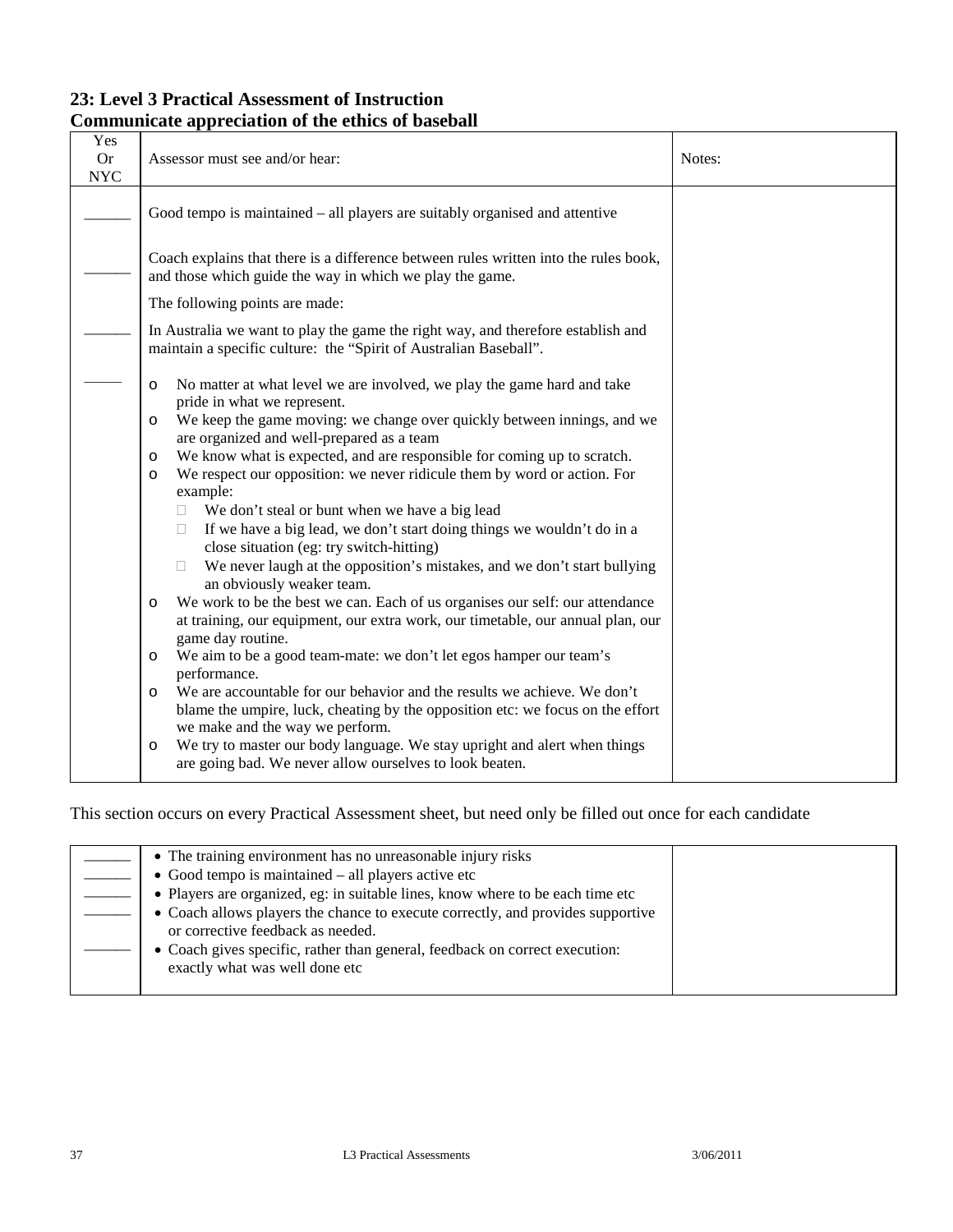### **23: Level 3 Practical Assessment of Instruction Communicate appreciation of the ethics of baseball**

| Yes<br><b>Or</b><br><b>NYC</b> | Assessor must see and/or hear:                                                                                                                                        | Notes: |
|--------------------------------|-----------------------------------------------------------------------------------------------------------------------------------------------------------------------|--------|
|                                | Good tempo is maintained – all players are suitably organised and attentive                                                                                           |        |
|                                | Coach explains that there is a difference between rules written into the rules book,<br>and those which guide the way in which we play the game.                      |        |
|                                | The following points are made:                                                                                                                                        |        |
|                                | In Australia we want to play the game the right way, and therefore establish and<br>maintain a specific culture: the "Spirit of Australian Baseball".                 |        |
|                                | No matter at what level we are involved, we play the game hard and take<br>$\circ$<br>pride in what we represent.                                                     |        |
|                                | We keep the game moving: we change over quickly between innings, and we<br>$\circ$<br>are organized and well-prepared as a team                                       |        |
|                                | We know what is expected, and are responsible for coming up to scratch.<br>$\circ$                                                                                    |        |
|                                | We respect our opposition: we never ridicule them by word or action. For<br>$\circ$<br>example:                                                                       |        |
|                                | We don't steal or bunt when we have a big lead<br>П.                                                                                                                  |        |
|                                | If we have a big lead, we don't start doing things we wouldn't do in a<br>П.<br>close situation (eg: try switch-hitting)                                              |        |
|                                | We never laugh at the opposition's mistakes, and we don't start bullying<br>an obviously weaker team.                                                                 |        |
|                                | We work to be the best we can. Each of us organises our self: our attendance<br>$\circ$                                                                               |        |
|                                | at training, our equipment, our extra work, our timetable, our annual plan, our<br>game day routine.                                                                  |        |
|                                | We aim to be a good team-mate: we don't let egos hamper our team's<br>$\circ$                                                                                         |        |
|                                | performance.                                                                                                                                                          |        |
|                                | We are accountable for our behavior and the results we achieve. We don't<br>$\circ$<br>blame the umpire, luck, cheating by the opposition etc: we focus on the effort |        |
|                                | we make and the way we perform.                                                                                                                                       |        |
|                                | We try to master our body language. We stay upright and alert when things<br>$\circ$                                                                                  |        |
|                                | are going bad. We never allow ourselves to look beaten.                                                                                                               |        |

| • The training environment has no unreasonable injury risks                                                          |  |
|----------------------------------------------------------------------------------------------------------------------|--|
| $\bullet$ Good tempo is maintained $-$ all players active etc                                                        |  |
| • Players are organized, eg: in suitable lines, know where to be each time etc                                       |  |
| • Coach allows players the chance to execute correctly, and provides supportive<br>or corrective feedback as needed. |  |
| • Coach gives specific, rather than general, feedback on correct execution:<br>exactly what was well done etc        |  |
|                                                                                                                      |  |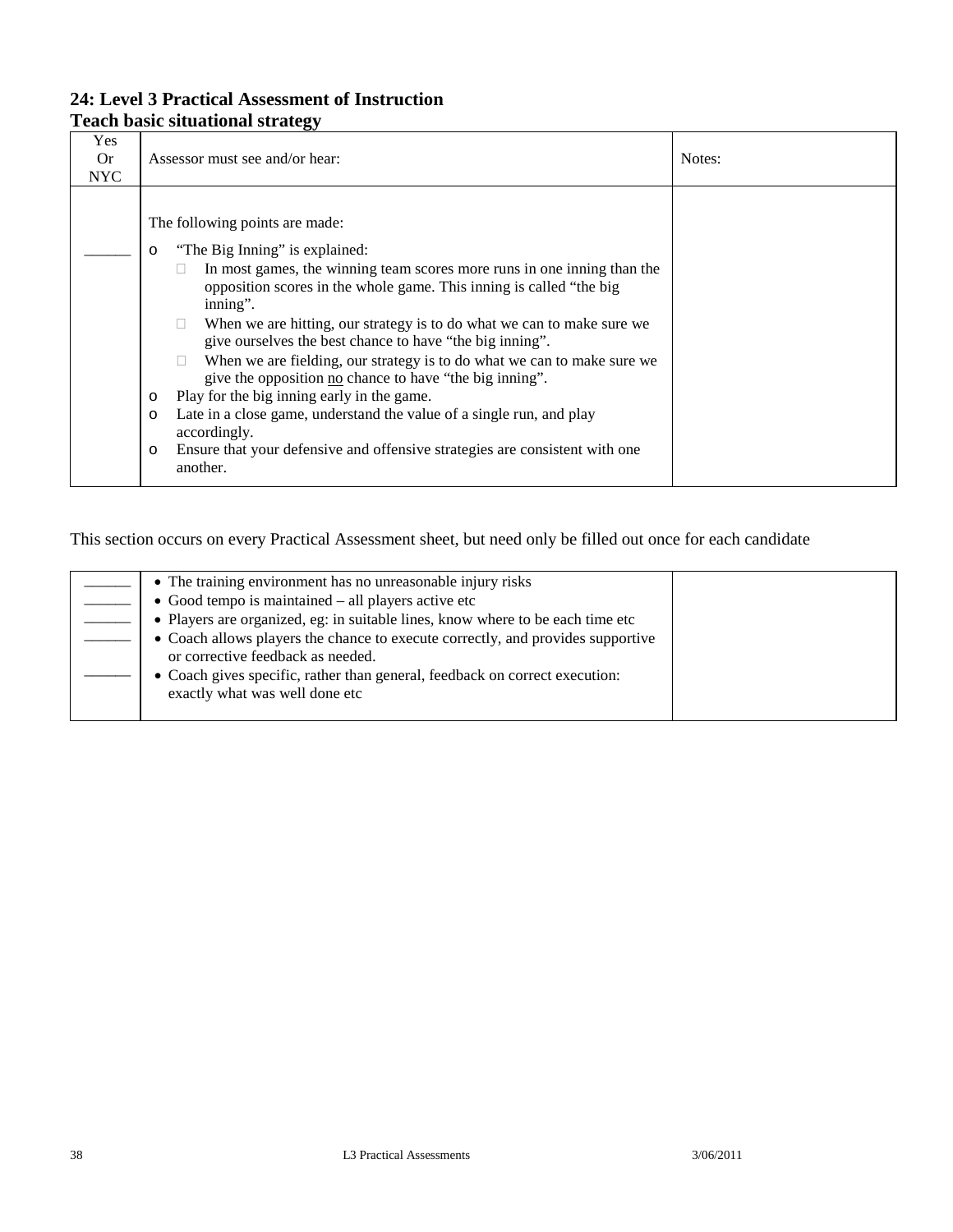### **24: Level 3 Practical Assessment of Instruction Teach basic situational strategy**

| Yes<br><b>Or</b><br><b>NYC</b> | Assessor must see and/or hear:                                                                                                                                                                                                                                                                                                                                                                                                                                                                                                                                                                                                                                                                                                                                                                           | Notes: |
|--------------------------------|----------------------------------------------------------------------------------------------------------------------------------------------------------------------------------------------------------------------------------------------------------------------------------------------------------------------------------------------------------------------------------------------------------------------------------------------------------------------------------------------------------------------------------------------------------------------------------------------------------------------------------------------------------------------------------------------------------------------------------------------------------------------------------------------------------|--------|
|                                | The following points are made:<br>"The Big Inning" is explained:<br>$\circ$<br>In most games, the winning team scores more runs in one inning than the<br>opposition scores in the whole game. This inning is called "the big"<br>inning".<br>When we are hitting, our strategy is to do what we can to make sure we<br>$\mathbf{L}$<br>give ourselves the best chance to have "the big inning".<br>When we are fielding, our strategy is to do what we can to make sure we<br>give the opposition no chance to have "the big inning".<br>Play for the big inning early in the game.<br>$\circ$<br>Late in a close game, understand the value of a single run, and play<br>$\circ$<br>accordingly.<br>Ensure that your defensive and offensive strategies are consistent with one<br>$\circ$<br>another. |        |

| • The training environment has no unreasonable injury risks<br>$\bullet$ Good tempo is maintained $-$ all players active etc |  |
|------------------------------------------------------------------------------------------------------------------------------|--|
| • Players are organized, eg: in suitable lines, know where to be each time etc                                               |  |
| • Coach allows players the chance to execute correctly, and provides supportive<br>or corrective feedback as needed.         |  |
| • Coach gives specific, rather than general, feedback on correct execution:<br>exactly what was well done etc                |  |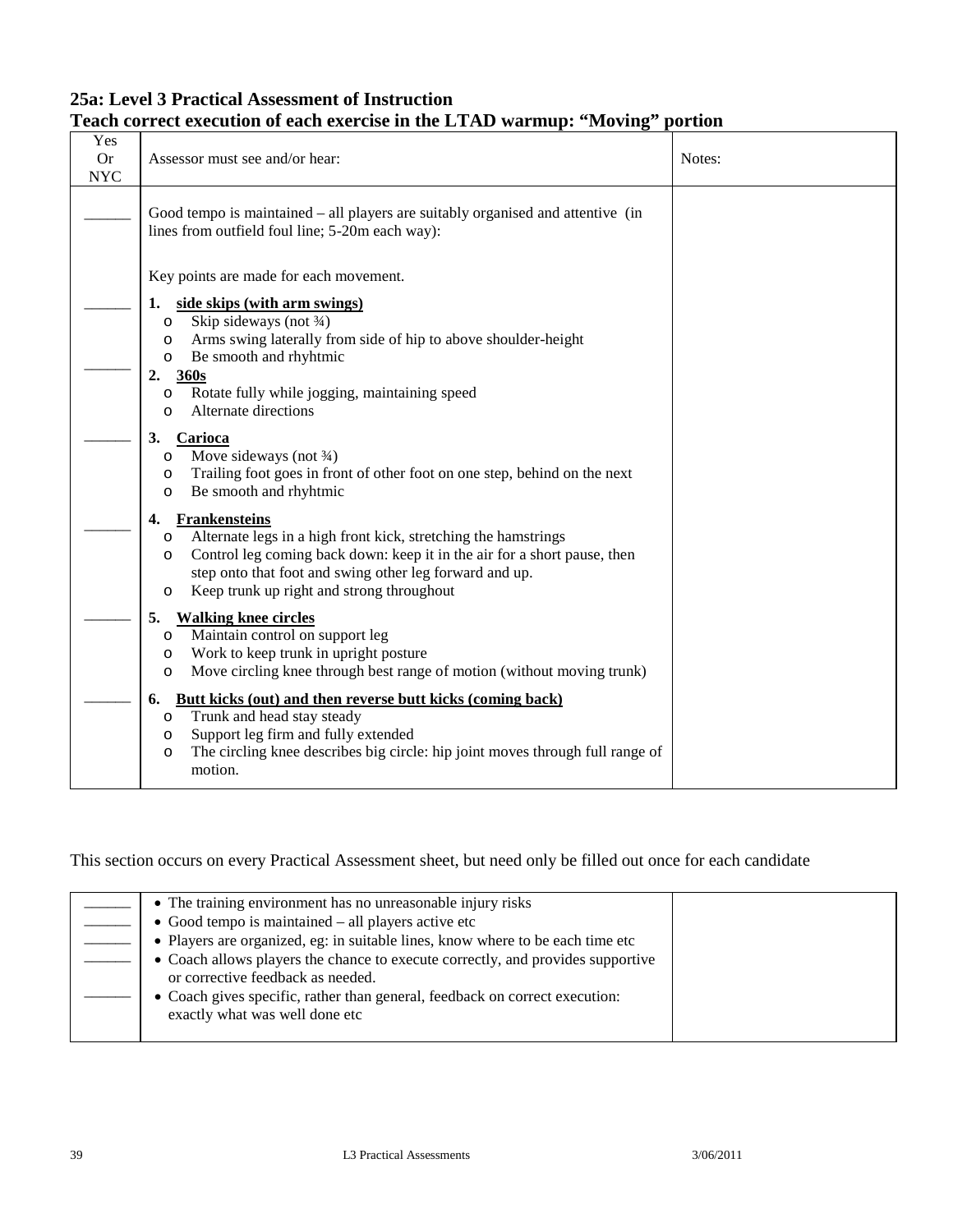### **25a: Level 3 Practical Assessment of Instruction Teach correct execution of each exercise in the LTAD warmup: "Moving" portion**

| Yes<br><b>Or</b><br><b>NYC</b> | Assessor must see and/or hear:                                                                                                                                                                                                                                                                                                        | Notes: |
|--------------------------------|---------------------------------------------------------------------------------------------------------------------------------------------------------------------------------------------------------------------------------------------------------------------------------------------------------------------------------------|--------|
|                                | Good tempo is maintained – all players are suitably organised and attentive (in<br>lines from outfield foul line; 5-20m each way):                                                                                                                                                                                                    |        |
|                                | Key points are made for each movement.<br>side skips (with arm swings)<br>1.<br>Skip sideways (not 3/4)<br>$\circ$<br>Arms swing laterally from side of hip to above shoulder-height<br>$\circ$<br>Be smooth and rhyhtmic<br>O<br>2.<br>360s<br>Rotate fully while jogging, maintaining speed<br>$\circ$<br>Alternate directions<br>O |        |
|                                | 3.<br>Carioca<br>Move sideways (not $\frac{3}{4}$ )<br>O<br>Trailing foot goes in front of other foot on one step, behind on the next<br>O<br>Be smooth and rhyhtmic<br>O                                                                                                                                                             |        |
|                                | <b>Frankensteins</b><br>4.<br>Alternate legs in a high front kick, stretching the hamstrings<br>$\circ$<br>Control leg coming back down: keep it in the air for a short pause, then<br>$\circ$<br>step onto that foot and swing other leg forward and up.<br>Keep trunk up right and strong throughout<br>O                           |        |
|                                | 5.<br><b>Walking knee circles</b><br>Maintain control on support leg<br>$\circ$<br>Work to keep trunk in upright posture<br>$\circ$<br>Move circling knee through best range of motion (without moving trunk)<br>$\circ$                                                                                                              |        |
|                                | Butt kicks (out) and then reverse butt kicks (coming back)<br>6.<br>Trunk and head stay steady<br>O<br>Support leg firm and fully extended<br>O<br>The circling knee describes big circle: hip joint moves through full range of<br>O<br>motion.                                                                                      |        |

| • The training environment has no unreasonable injury risks                                                          |  |
|----------------------------------------------------------------------------------------------------------------------|--|
| • Good tempo is maintained – all players active etc                                                                  |  |
| • Players are organized, eg: in suitable lines, know where to be each time etc                                       |  |
| • Coach allows players the chance to execute correctly, and provides supportive<br>or corrective feedback as needed. |  |
| • Coach gives specific, rather than general, feedback on correct execution:<br>exactly what was well done etc        |  |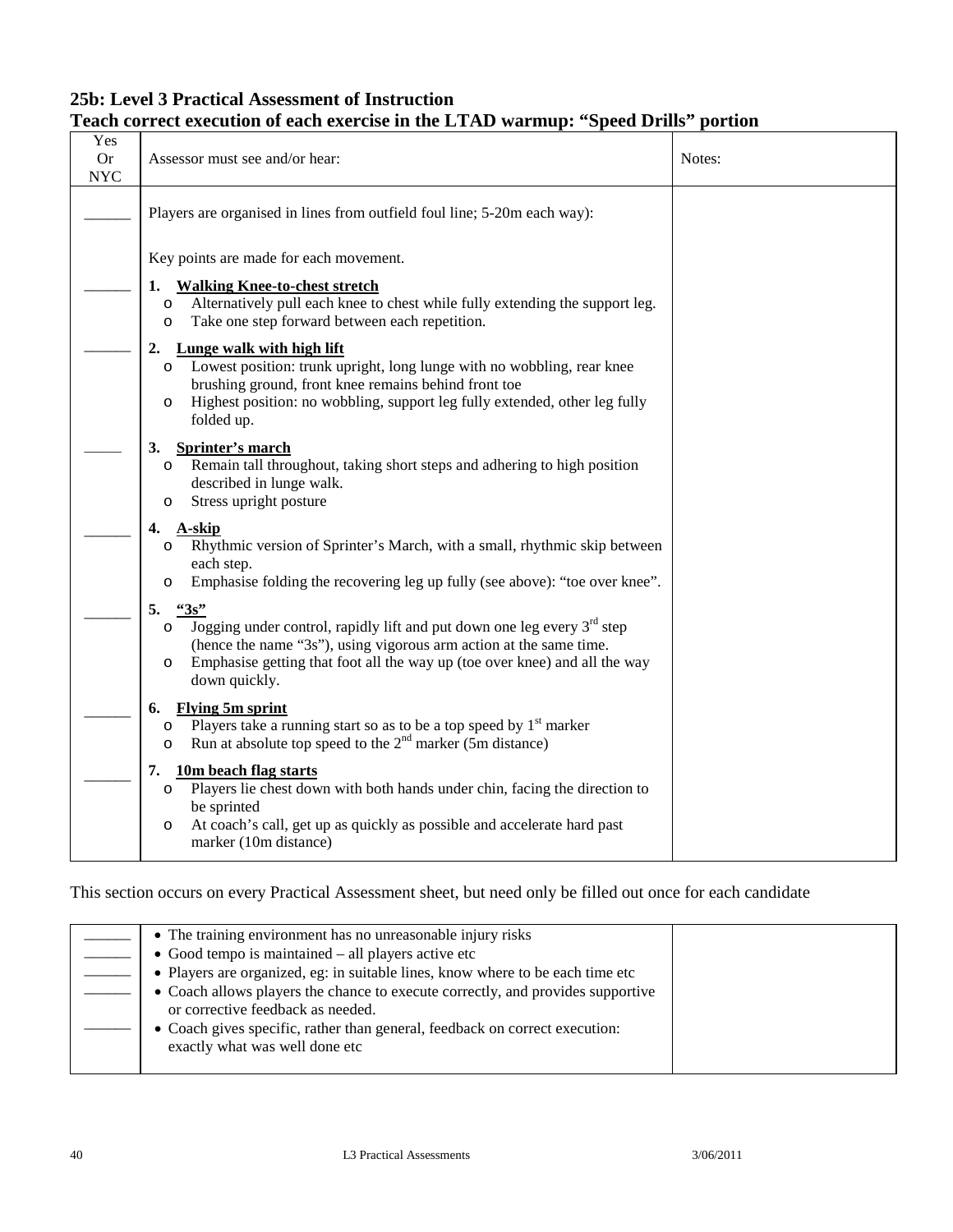### **25b: Level 3 Practical Assessment of Instruction Teach correct execution of each exercise in the LTAD warmup: "Speed Drills" portion**

| Yes<br><b>Or</b><br><b>NYC</b> | Assessor must see and/or hear:                                                                                                                                                                                                                                                             | Notes: |
|--------------------------------|--------------------------------------------------------------------------------------------------------------------------------------------------------------------------------------------------------------------------------------------------------------------------------------------|--------|
|                                | Players are organised in lines from outfield foul line; 5-20m each way):                                                                                                                                                                                                                   |        |
|                                | Key points are made for each movement.                                                                                                                                                                                                                                                     |        |
|                                | <b>Walking Knee-to-chest stretch</b><br>1.<br>Alternatively pull each knee to chest while fully extending the support leg.<br>$\circ$<br>Take one step forward between each repetition.<br>$\circ$                                                                                         |        |
|                                | <b>Lunge walk with high lift</b><br>2.<br>Lowest position: trunk upright, long lunge with no wobbling, rear knee<br>$\circ$<br>brushing ground, front knee remains behind front toe<br>Highest position: no wobbling, support leg fully extended, other leg fully<br>$\circ$<br>folded up. |        |
|                                | <b>Sprinter's march</b><br>3.<br>Remain tall throughout, taking short steps and adhering to high position<br>$\circ$<br>described in lunge walk.<br>Stress upright posture<br>$\circ$                                                                                                      |        |
|                                | 4.<br>A-skip<br>Rhythmic version of Sprinter's March, with a small, rhythmic skip between<br>$\Omega$<br>each step.<br>Emphasise folding the recovering leg up fully (see above): "toe over knee".                                                                                         |        |
|                                | 5.<br>43s<br>Jogging under control, rapidly lift and put down one leg every $3rd$ step<br>O<br>(hence the name "3s"), using vigorous arm action at the same time.<br>Emphasise getting that foot all the way up (toe over knee) and all the way<br>$\circ$<br>down quickly.                |        |
|                                | <b>Flying 5m sprint</b><br>6.<br>Players take a running start so as to be a top speed by $1st$ marker<br>$\circ$<br>Run at absolute top speed to the $2nd$ marker (5m distance)<br>$\circ$                                                                                                 |        |
|                                | 10 <sub>m</sub> beach flag starts<br>7.<br>Players lie chest down with both hands under chin, facing the direction to<br>$\circ$<br>be sprinted<br>At coach's call, get up as quickly as possible and accelerate hard past<br>$\circ$<br>marker (10m distance)                             |        |
|                                |                                                                                                                                                                                                                                                                                            |        |

| • The training environment has no unreasonable injury risks                                                          |  |
|----------------------------------------------------------------------------------------------------------------------|--|
| • Good tempo is maintained $-$ all players active etc                                                                |  |
| • Players are organized, eg: in suitable lines, know where to be each time etc                                       |  |
| • Coach allows players the chance to execute correctly, and provides supportive<br>or corrective feedback as needed. |  |
| • Coach gives specific, rather than general, feedback on correct execution:<br>exactly what was well done etc        |  |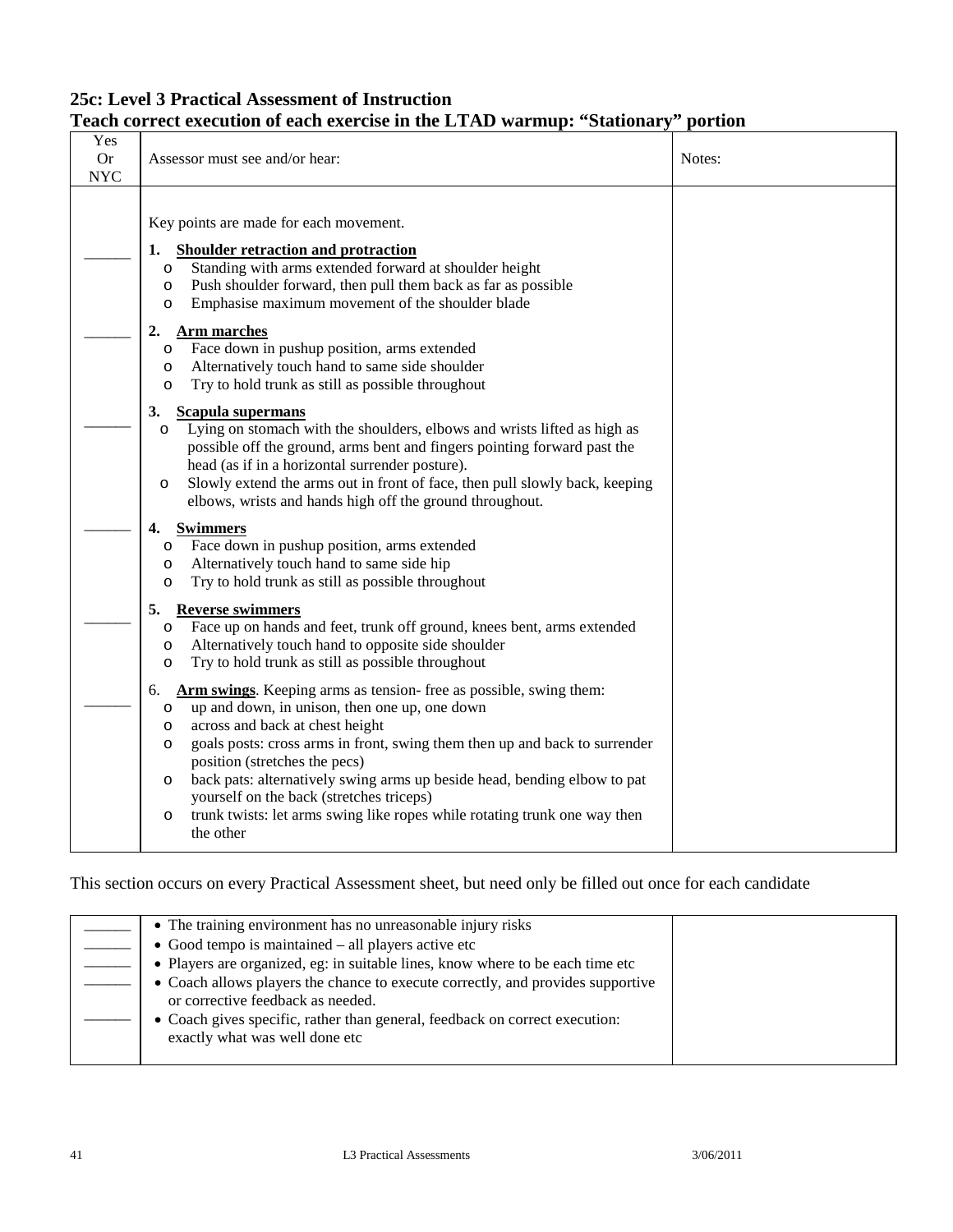# **25c: Level 3 Practical Assessment of Instruction**

### **Teach correct execution of each exercise in the LTAD warmup: "Stationary" portion**

| Yes<br><b>Or</b><br><b>NYC</b> | Assessor must see and/or hear:                                                                                                                                                                                                                                                                                                                                                                                                                                                                                                                        | Notes: |
|--------------------------------|-------------------------------------------------------------------------------------------------------------------------------------------------------------------------------------------------------------------------------------------------------------------------------------------------------------------------------------------------------------------------------------------------------------------------------------------------------------------------------------------------------------------------------------------------------|--------|
|                                | Key points are made for each movement.<br><b>Shoulder retraction and protraction</b><br>1.<br>Standing with arms extended forward at shoulder height<br>$\circ$<br>Push shoulder forward, then pull them back as far as possible<br>$\circ$<br>Emphasise maximum movement of the shoulder blade<br>$\circ$                                                                                                                                                                                                                                            |        |
|                                | 2.<br>Arm marches<br>Face down in pushup position, arms extended<br>O<br>Alternatively touch hand to same side shoulder<br>O<br>Try to hold trunk as still as possible throughout<br>O                                                                                                                                                                                                                                                                                                                                                                |        |
|                                | 3.<br><b>Scapula supermans</b><br>Lying on stomach with the shoulders, elbows and wrists lifted as high as<br>$\circ$<br>possible off the ground, arms bent and fingers pointing forward past the<br>head (as if in a horizontal surrender posture).<br>Slowly extend the arms out in front of face, then pull slowly back, keeping<br>$\circ$<br>elbows, wrists and hands high off the ground throughout.                                                                                                                                            |        |
|                                | 4.<br><b>Swimmers</b><br>Face down in pushup position, arms extended<br>$\circ$<br>Alternatively touch hand to same side hip<br>O<br>Try to hold trunk as still as possible throughout<br>$\circ$                                                                                                                                                                                                                                                                                                                                                     |        |
|                                | 5.<br><b>Reverse swimmers</b><br>Face up on hands and feet, trunk off ground, knees bent, arms extended<br>$\circ$<br>Alternatively touch hand to opposite side shoulder<br>O<br>Try to hold trunk as still as possible throughout<br>O                                                                                                                                                                                                                                                                                                               |        |
|                                | <b>Arm swings.</b> Keeping arms as tension- free as possible, swing them:<br>6.<br>up and down, in unison, then one up, one down<br>$\circ$<br>across and back at chest height<br>$\circ$<br>goals posts: cross arms in front, swing them then up and back to surrender<br>O<br>position (stretches the pecs)<br>back pats: alternatively swing arms up beside head, bending elbow to pat<br>$\circ$<br>yourself on the back (stretches triceps)<br>trunk twists: let arms swing like ropes while rotating trunk one way then<br>$\circ$<br>the other |        |

| • The training environment has no unreasonable injury risks                     |  |
|---------------------------------------------------------------------------------|--|
| $\bullet$ Good tempo is maintained $-$ all players active etc                   |  |
| • Players are organized, eg: in suitable lines, know where to be each time etc  |  |
| • Coach allows players the chance to execute correctly, and provides supportive |  |
| or corrective feedback as needed.                                               |  |
| • Coach gives specific, rather than general, feedback on correct execution:     |  |
| exactly what was well done etc                                                  |  |
|                                                                                 |  |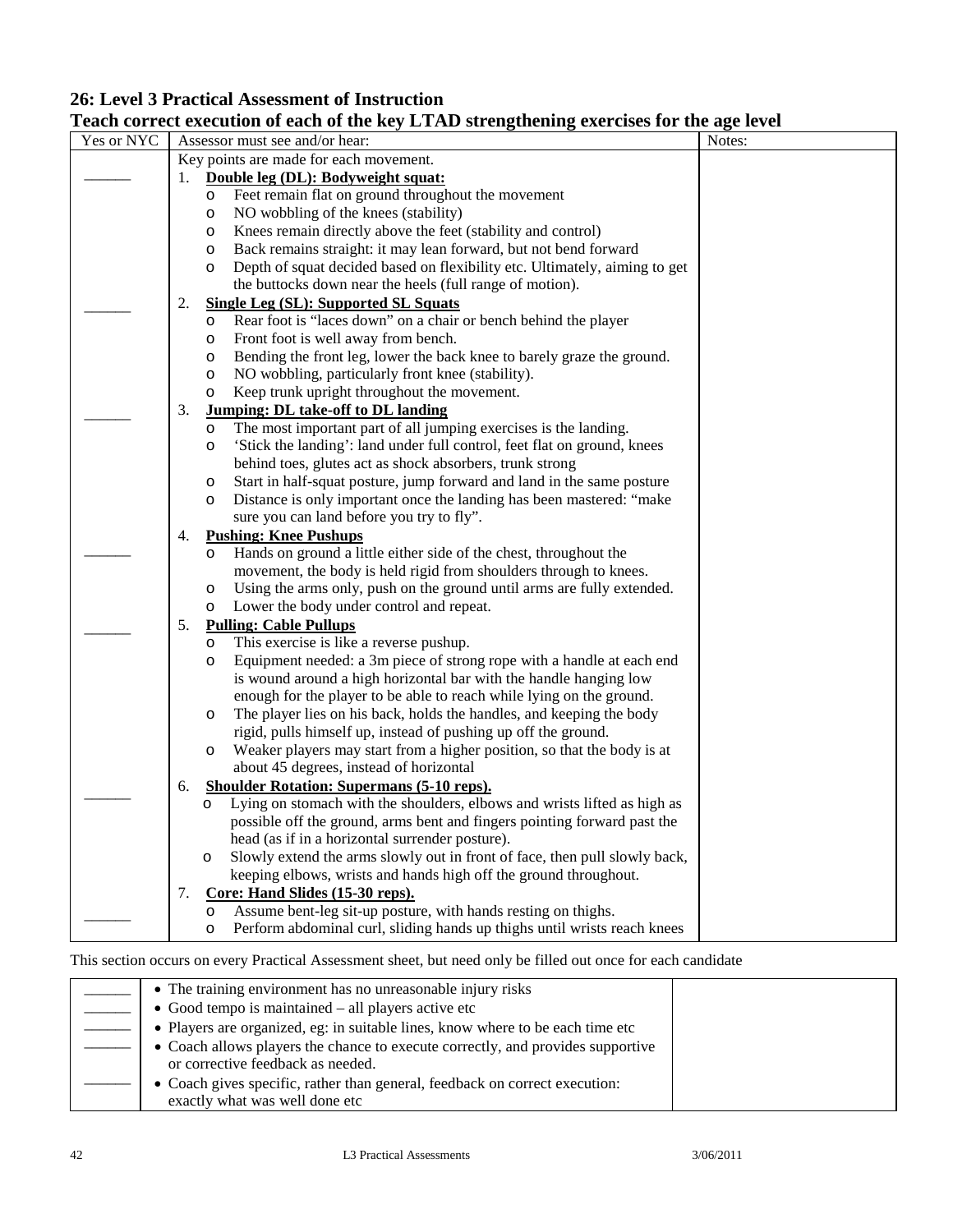### **26: Level 3 Practical Assessment of Instruction**

### **Teach correct execution of each of the key LTAD strengthening exercises for the age level**

| Yes or NYC |    |         | rach correct execution or each or the hey Errito strengthening exercises for the age fever<br>Assessor must see and/or hear: | Notes: |
|------------|----|---------|------------------------------------------------------------------------------------------------------------------------------|--------|
|            |    |         | Key points are made for each movement.                                                                                       |        |
|            | 1. |         | Double leg (DL): Bodyweight squat:                                                                                           |        |
|            |    | O       | Feet remain flat on ground throughout the movement                                                                           |        |
|            |    | O       | NO wobbling of the knees (stability)                                                                                         |        |
|            |    | O       | Knees remain directly above the feet (stability and control)                                                                 |        |
|            |    | O       | Back remains straight: it may lean forward, but not bend forward                                                             |        |
|            |    | $\circ$ | Depth of squat decided based on flexibility etc. Ultimately, aiming to get                                                   |        |
|            |    |         | the buttocks down near the heels (full range of motion).                                                                     |        |
|            | 2. |         | <b>Single Leg (SL): Supported SL Squats</b>                                                                                  |        |
|            |    | O       | Rear foot is "laces down" on a chair or bench behind the player                                                              |        |
|            |    | O       | Front foot is well away from bench.                                                                                          |        |
|            |    | O       | Bending the front leg, lower the back knee to barely graze the ground.                                                       |        |
|            |    | $\circ$ | NO wobbling, particularly front knee (stability).                                                                            |        |
|            |    | O       | Keep trunk upright throughout the movement.                                                                                  |        |
|            | 3. |         | <b>Jumping: DL take-off to DL landing</b>                                                                                    |        |
|            |    | O       | The most important part of all jumping exercises is the landing.                                                             |        |
|            |    | O       | 'Stick the landing': land under full control, feet flat on ground, knees                                                     |        |
|            |    |         | behind toes, glutes act as shock absorbers, trunk strong                                                                     |        |
|            |    | O       | Start in half-squat posture, jump forward and land in the same posture                                                       |        |
|            |    | O       | Distance is only important once the landing has been mastered: "make                                                         |        |
|            |    |         | sure you can land before you try to fly".                                                                                    |        |
|            | 4. |         | <b>Pushing: Knee Pushups</b>                                                                                                 |        |
|            |    | O       | Hands on ground a little either side of the chest, throughout the                                                            |        |
|            |    |         | movement, the body is held rigid from shoulders through to knees.                                                            |        |
|            |    | $\circ$ | Using the arms only, push on the ground until arms are fully extended.                                                       |        |
|            |    | O       | Lower the body under control and repeat.                                                                                     |        |
|            | 5. |         | <b>Pulling: Cable Pullups</b>                                                                                                |        |
|            |    | O       | This exercise is like a reverse pushup.                                                                                      |        |
|            |    | O       | Equipment needed: a 3m piece of strong rope with a handle at each end                                                        |        |
|            |    |         | is wound around a high horizontal bar with the handle hanging low                                                            |        |
|            |    |         | enough for the player to be able to reach while lying on the ground.                                                         |        |
|            |    | $\circ$ | The player lies on his back, holds the handles, and keeping the body                                                         |        |
|            |    |         | rigid, pulls himself up, instead of pushing up off the ground.                                                               |        |
|            |    | O       | Weaker players may start from a higher position, so that the body is at                                                      |        |
|            |    |         | about 45 degrees, instead of horizontal                                                                                      |        |
|            | 6. |         | <b>Shoulder Rotation: Supermans (5-10 reps).</b>                                                                             |        |
|            |    | O       | Lying on stomach with the shoulders, elbows and wrists lifted as high as                                                     |        |
|            |    |         | possible off the ground, arms bent and fingers pointing forward past the                                                     |        |
|            |    |         | head (as if in a horizontal surrender posture).                                                                              |        |
|            |    | $\circ$ | Slowly extend the arms slowly out in front of face, then pull slowly back,                                                   |        |
|            |    |         | keeping elbows, wrists and hands high off the ground throughout.<br>Core: Hand Slides (15-30 reps).                          |        |
|            | 7. | O       | Assume bent-leg sit-up posture, with hands resting on thighs.                                                                |        |
|            |    | $\circ$ | Perform abdominal curl, sliding hands up thighs until wrists reach knees                                                     |        |
|            |    |         |                                                                                                                              |        |

| • The training environment has no unreasonable injury risks                     |  |
|---------------------------------------------------------------------------------|--|
| $\bullet$ Good tempo is maintained $-$ all players active etc                   |  |
| • Players are organized, eg: in suitable lines, know where to be each time etc  |  |
| • Coach allows players the chance to execute correctly, and provides supportive |  |
| or corrective feedback as needed.                                               |  |
| • Coach gives specific, rather than general, feedback on correct execution:     |  |
| exactly what was well done etc                                                  |  |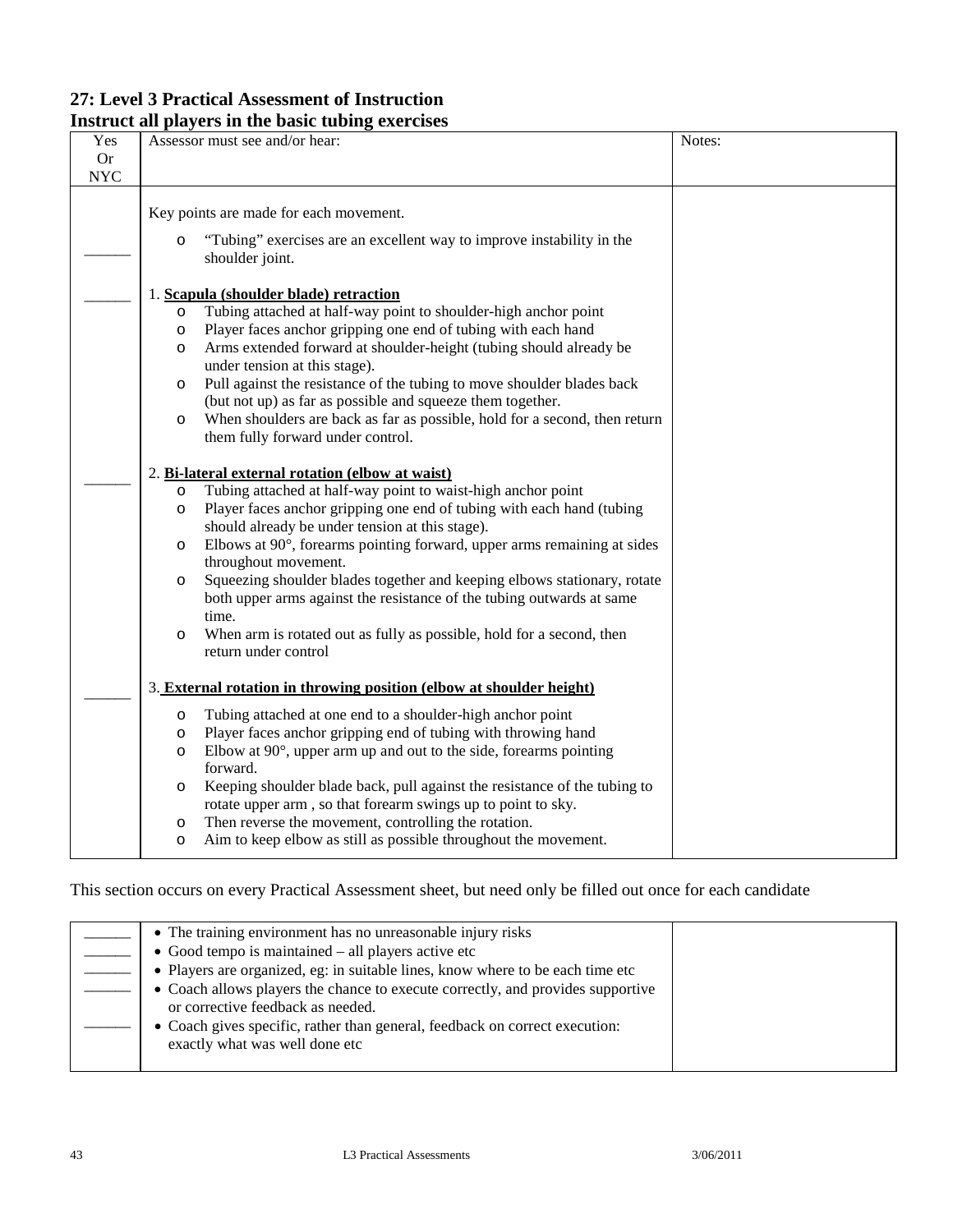#### **27: Level 3 Practical Assessment of Instruction Instruct all players in the basic tubing exercises**

| 111901 U.C. UII<br>Yes<br><b>Or</b> | $\mu$ , $\mu$ , $\mu$ in the basic thome externol<br>Assessor must see and/or hear:                                                                                                                                                                                                                                                                                                                                                                                                                                                                                                                                                                                                                                                                                                                                                                                                                                                                                                                                                                                                                                                                              | Notes: |
|-------------------------------------|------------------------------------------------------------------------------------------------------------------------------------------------------------------------------------------------------------------------------------------------------------------------------------------------------------------------------------------------------------------------------------------------------------------------------------------------------------------------------------------------------------------------------------------------------------------------------------------------------------------------------------------------------------------------------------------------------------------------------------------------------------------------------------------------------------------------------------------------------------------------------------------------------------------------------------------------------------------------------------------------------------------------------------------------------------------------------------------------------------------------------------------------------------------|--------|
| <b>NYC</b>                          |                                                                                                                                                                                                                                                                                                                                                                                                                                                                                                                                                                                                                                                                                                                                                                                                                                                                                                                                                                                                                                                                                                                                                                  |        |
|                                     | Key points are made for each movement.                                                                                                                                                                                                                                                                                                                                                                                                                                                                                                                                                                                                                                                                                                                                                                                                                                                                                                                                                                                                                                                                                                                           |        |
|                                     | "Tubing" exercises are an excellent way to improve instability in the<br>$\circ$<br>shoulder joint.                                                                                                                                                                                                                                                                                                                                                                                                                                                                                                                                                                                                                                                                                                                                                                                                                                                                                                                                                                                                                                                              |        |
|                                     | 1. Scapula (shoulder blade) retraction<br>Tubing attached at half-way point to shoulder-high anchor point<br>$\circ$<br>Player faces anchor gripping one end of tubing with each hand<br>$\circ$<br>Arms extended forward at shoulder-height (tubing should already be<br>$\circ$<br>under tension at this stage).<br>Pull against the resistance of the tubing to move shoulder blades back<br>$\circ$<br>(but not up) as far as possible and squeeze them together.<br>When shoulders are back as far as possible, hold for a second, then return<br>$\circ$<br>them fully forward under control.<br>2. Bi-lateral external rotation (elbow at waist)<br>Tubing attached at half-way point to waist-high anchor point<br>$\circ$<br>Player faces anchor gripping one end of tubing with each hand (tubing<br>$\circ$<br>should already be under tension at this stage).<br>Elbows at 90°, forearms pointing forward, upper arms remaining at sides<br>$\circ$<br>throughout movement.<br>Squeezing shoulder blades together and keeping elbows stationary, rotate<br>$\circ$<br>both upper arms against the resistance of the tubing outwards at same<br>time. |        |
|                                     | When arm is rotated out as fully as possible, hold for a second, then<br>$\circ$<br>return under control                                                                                                                                                                                                                                                                                                                                                                                                                                                                                                                                                                                                                                                                                                                                                                                                                                                                                                                                                                                                                                                         |        |
|                                     | 3. External rotation in throwing position (elbow at shoulder height)                                                                                                                                                                                                                                                                                                                                                                                                                                                                                                                                                                                                                                                                                                                                                                                                                                                                                                                                                                                                                                                                                             |        |
|                                     | Tubing attached at one end to a shoulder-high anchor point<br>$\circ$                                                                                                                                                                                                                                                                                                                                                                                                                                                                                                                                                                                                                                                                                                                                                                                                                                                                                                                                                                                                                                                                                            |        |
|                                     | Player faces anchor gripping end of tubing with throwing hand<br>O<br>Elbow at $90^\circ$ , upper arm up and out to the side, forearms pointing<br>$\circ$                                                                                                                                                                                                                                                                                                                                                                                                                                                                                                                                                                                                                                                                                                                                                                                                                                                                                                                                                                                                       |        |
|                                     | forward.                                                                                                                                                                                                                                                                                                                                                                                                                                                                                                                                                                                                                                                                                                                                                                                                                                                                                                                                                                                                                                                                                                                                                         |        |
|                                     | Keeping shoulder blade back, pull against the resistance of the tubing to<br>$\circ$<br>rotate upper arm, so that forearm swings up to point to sky.                                                                                                                                                                                                                                                                                                                                                                                                                                                                                                                                                                                                                                                                                                                                                                                                                                                                                                                                                                                                             |        |
|                                     | Then reverse the movement, controlling the rotation.<br>O                                                                                                                                                                                                                                                                                                                                                                                                                                                                                                                                                                                                                                                                                                                                                                                                                                                                                                                                                                                                                                                                                                        |        |
|                                     | Aim to keep elbow as still as possible throughout the movement.<br>O                                                                                                                                                                                                                                                                                                                                                                                                                                                                                                                                                                                                                                                                                                                                                                                                                                                                                                                                                                                                                                                                                             |        |

| • The training environment has no unreasonable injury risks                                                          |  |
|----------------------------------------------------------------------------------------------------------------------|--|
| • Good tempo is maintained - all players active etc                                                                  |  |
| · Players are organized, eg: in suitable lines, know where to be each time etc                                       |  |
| • Coach allows players the chance to execute correctly, and provides supportive<br>or corrective feedback as needed. |  |
| • Coach gives specific, rather than general, feedback on correct execution:<br>exactly what was well done etc        |  |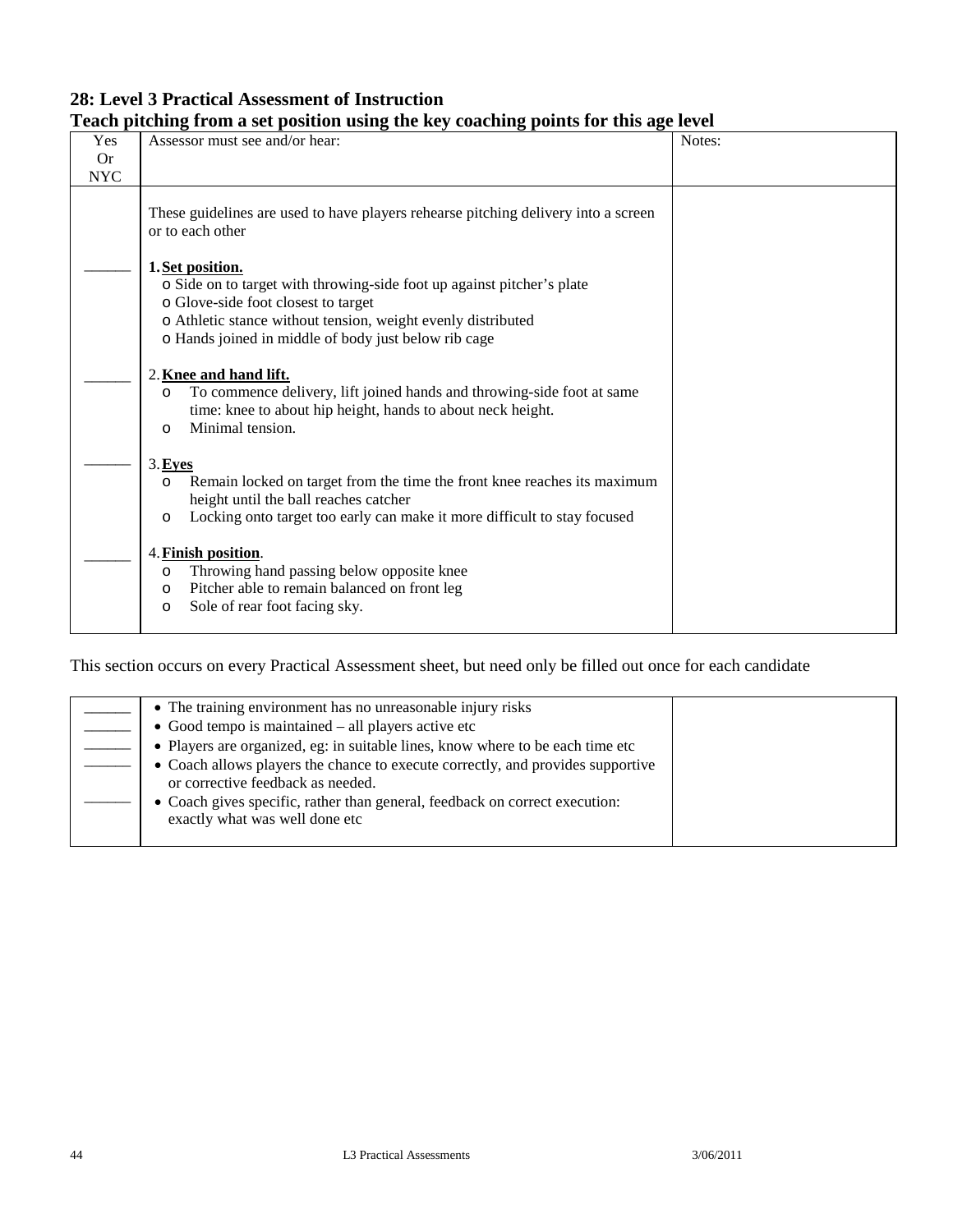### **28: Level 3 Practical Assessment of Instruction Teach pitching from a set position using the key coaching points for this age level**

| Yes                       | Assessor must see and/or hear:                                                                                                                                                                                                                            | Notes: |
|---------------------------|-----------------------------------------------------------------------------------------------------------------------------------------------------------------------------------------------------------------------------------------------------------|--------|
| <b>Or</b>                 |                                                                                                                                                                                                                                                           |        |
| $\ensuremath{\text{NYC}}$ |                                                                                                                                                                                                                                                           |        |
|                           | These guidelines are used to have players rehearse pitching delivery into a screen<br>or to each other                                                                                                                                                    |        |
|                           | 1. Set position.<br>o Side on to target with throwing-side foot up against pitcher's plate<br>o Glove-side foot closest to target<br>o Athletic stance without tension, weight evenly distributed<br>o Hands joined in middle of body just below rib cage |        |
|                           | 2. Knee and hand lift.<br>To commence delivery, lift joined hands and throwing-side foot at same<br>$\circ$<br>time: knee to about hip height, hands to about neck height.<br>Minimal tension.<br>$\Omega$                                                |        |
|                           | 3.Eyes<br>Remain locked on target from the time the front knee reaches its maximum<br>$\circ$<br>height until the ball reaches catcher<br>Locking onto target too early can make it more difficult to stay focused<br>$\circ$                             |        |
|                           | 4. Finish position.<br>Throwing hand passing below opposite knee<br>$\circ$<br>Pitcher able to remain balanced on front leg<br>$\circ$<br>Sole of rear foot facing sky.<br>$\circ$                                                                        |        |

| • The training environment has no unreasonable injury risks                                                          |  |
|----------------------------------------------------------------------------------------------------------------------|--|
| • Good tempo is maintained $-$ all players active etc                                                                |  |
| • Players are organized, eg: in suitable lines, know where to be each time etc                                       |  |
| • Coach allows players the chance to execute correctly, and provides supportive<br>or corrective feedback as needed. |  |
| • Coach gives specific, rather than general, feedback on correct execution:<br>exactly what was well done etc        |  |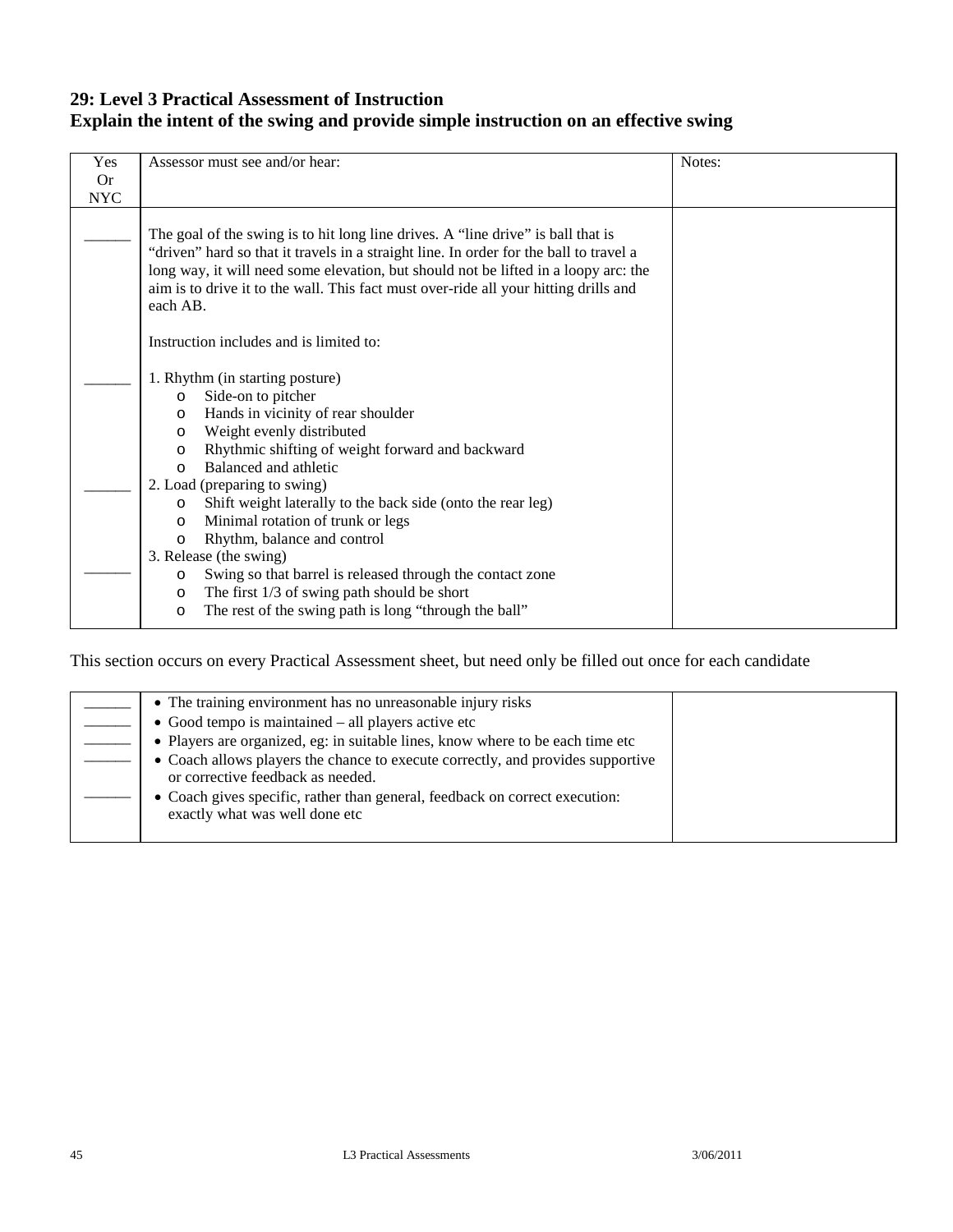### **29: Level 3 Practical Assessment of Instruction Explain the intent of the swing and provide simple instruction on an effective swing**

| Yes        | Assessor must see and/or hear:                                                                                                                                                                                                                                                                                                                                        | Notes: |
|------------|-----------------------------------------------------------------------------------------------------------------------------------------------------------------------------------------------------------------------------------------------------------------------------------------------------------------------------------------------------------------------|--------|
| Or         |                                                                                                                                                                                                                                                                                                                                                                       |        |
| <b>NYC</b> |                                                                                                                                                                                                                                                                                                                                                                       |        |
|            | The goal of the swing is to hit long line drives. A "line drive" is ball that is<br>"driven" hard so that it travels in a straight line. In order for the ball to travel a<br>long way, it will need some elevation, but should not be lifted in a loopy arc: the<br>aim is to drive it to the wall. This fact must over-ride all your hitting drills and<br>each AB. |        |
|            | Instruction includes and is limited to:                                                                                                                                                                                                                                                                                                                               |        |
|            | 1. Rhythm (in starting posture)<br>Side-on to pitcher<br>$\circ$<br>Hands in vicinity of rear shoulder<br>$\circ$<br>Weight evenly distributed<br>$\circ$<br>Rhythmic shifting of weight forward and backward<br>O<br>Balanced and athletic<br>$\Omega$                                                                                                               |        |
|            | 2. Load (preparing to swing)<br>Shift weight laterally to the back side (onto the rear leg)<br>$\Omega$<br>Minimal rotation of trunk or legs<br>$\circ$<br>Rhythm, balance and control<br>$\circ$                                                                                                                                                                     |        |
|            | 3. Release (the swing)<br>Swing so that barrel is released through the contact zone<br>O<br>The first $1/3$ of swing path should be short<br>$\circ$<br>The rest of the swing path is long "through the ball"<br>O                                                                                                                                                    |        |

| • The training environment has no unreasonable injury risks                                                          |  |
|----------------------------------------------------------------------------------------------------------------------|--|
| $\bullet$ Good tempo is maintained $-$ all players active etc                                                        |  |
| • Players are organized, eg: in suitable lines, know where to be each time etc                                       |  |
| • Coach allows players the chance to execute correctly, and provides supportive<br>or corrective feedback as needed. |  |
| • Coach gives specific, rather than general, feedback on correct execution:<br>exactly what was well done etc        |  |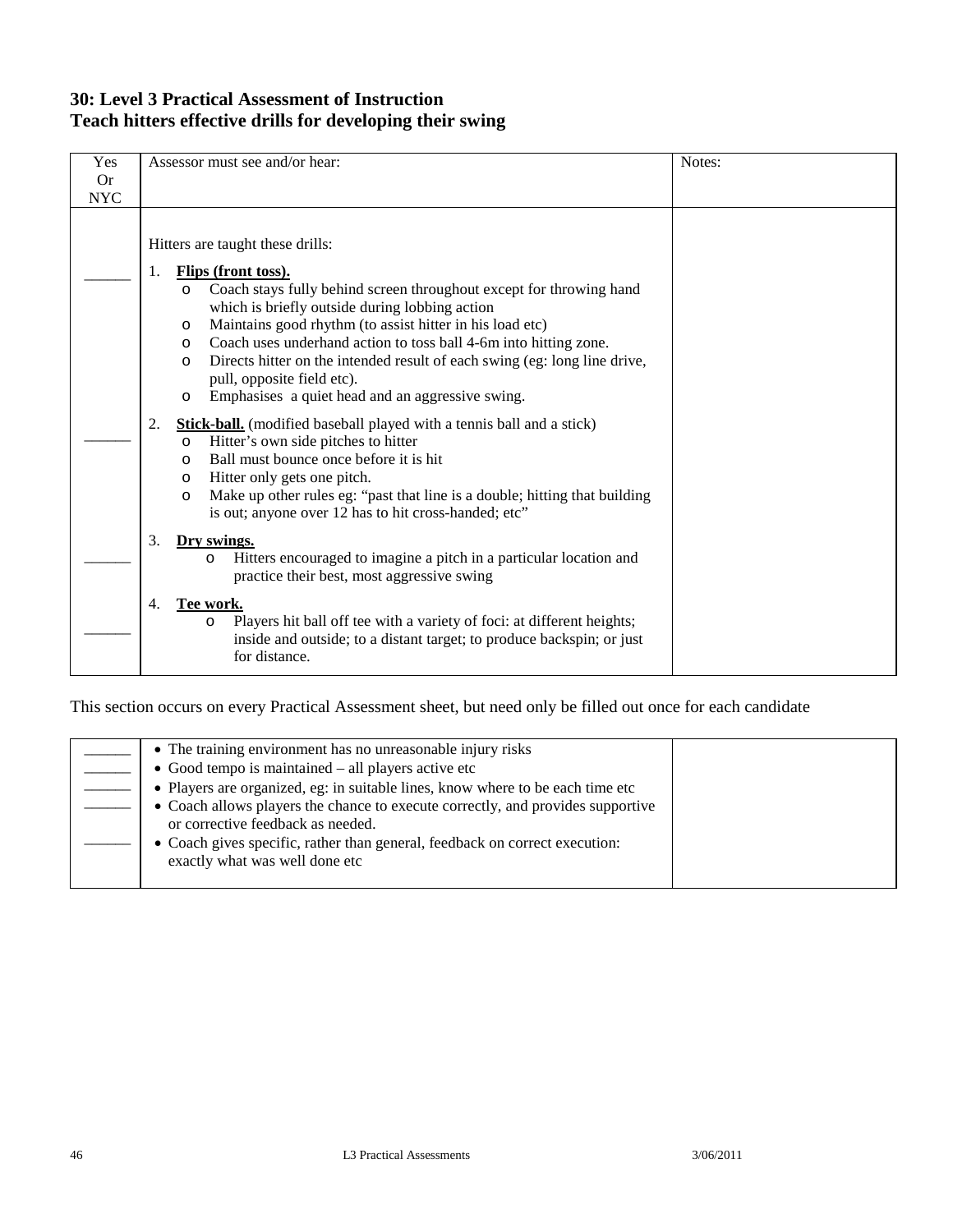### **30: Level 3 Practical Assessment of Instruction Teach hitters effective drills for developing their swing**

|            |                                                                                                                                                                                                                                                                                                                                                                                                                                                                                                                                              | Notes: |
|------------|----------------------------------------------------------------------------------------------------------------------------------------------------------------------------------------------------------------------------------------------------------------------------------------------------------------------------------------------------------------------------------------------------------------------------------------------------------------------------------------------------------------------------------------------|--------|
| Yes        | Assessor must see and/or hear:                                                                                                                                                                                                                                                                                                                                                                                                                                                                                                               |        |
| <b>Or</b>  |                                                                                                                                                                                                                                                                                                                                                                                                                                                                                                                                              |        |
| <b>NYC</b> |                                                                                                                                                                                                                                                                                                                                                                                                                                                                                                                                              |        |
|            | Hitters are taught these drills:<br>Flips (front toss).<br>1.<br>Coach stays fully behind screen throughout except for throwing hand<br>$\circ$<br>which is briefly outside during lobbing action<br>Maintains good rhythm (to assist hitter in his load etc)<br>$\circ$<br>Coach uses underhand action to toss ball 4-6m into hitting zone.<br>$\circ$<br>Directs hitter on the intended result of each swing (eg: long line drive,<br>$\circ$<br>pull, opposite field etc).<br>Emphasises a quiet head and an aggressive swing.<br>$\circ$ |        |
|            | 2.<br><b>Stick-ball.</b> (modified baseball played with a tennis ball and a stick)<br>Hitter's own side pitches to hitter<br>$\circ$<br>Ball must bounce once before it is hit<br>$\Omega$<br>Hitter only gets one pitch.<br>O<br>Make up other rules eg: "past that line is a double; hitting that building<br>$\circ$<br>is out; anyone over 12 has to hit cross-handed; etc"                                                                                                                                                              |        |
|            | 3.<br>Dry swings.<br>Hitters encouraged to imagine a pitch in a particular location and<br>O<br>practice their best, most aggressive swing                                                                                                                                                                                                                                                                                                                                                                                                   |        |
|            | Tee work.<br>4.<br>Players hit ball off tee with a variety of foci: at different heights;<br>$\circ$<br>inside and outside; to a distant target; to produce backspin; or just<br>for distance.                                                                                                                                                                                                                                                                                                                                               |        |

| • The training environment has no unreasonable injury risks                                                          |  |
|----------------------------------------------------------------------------------------------------------------------|--|
| $\bullet$ Good tempo is maintained $-$ all players active etc                                                        |  |
| • Players are organized, eg: in suitable lines, know where to be each time etc                                       |  |
| • Coach allows players the chance to execute correctly, and provides supportive<br>or corrective feedback as needed. |  |
| • Coach gives specific, rather than general, feedback on correct execution:<br>exactly what was well done etc        |  |
|                                                                                                                      |  |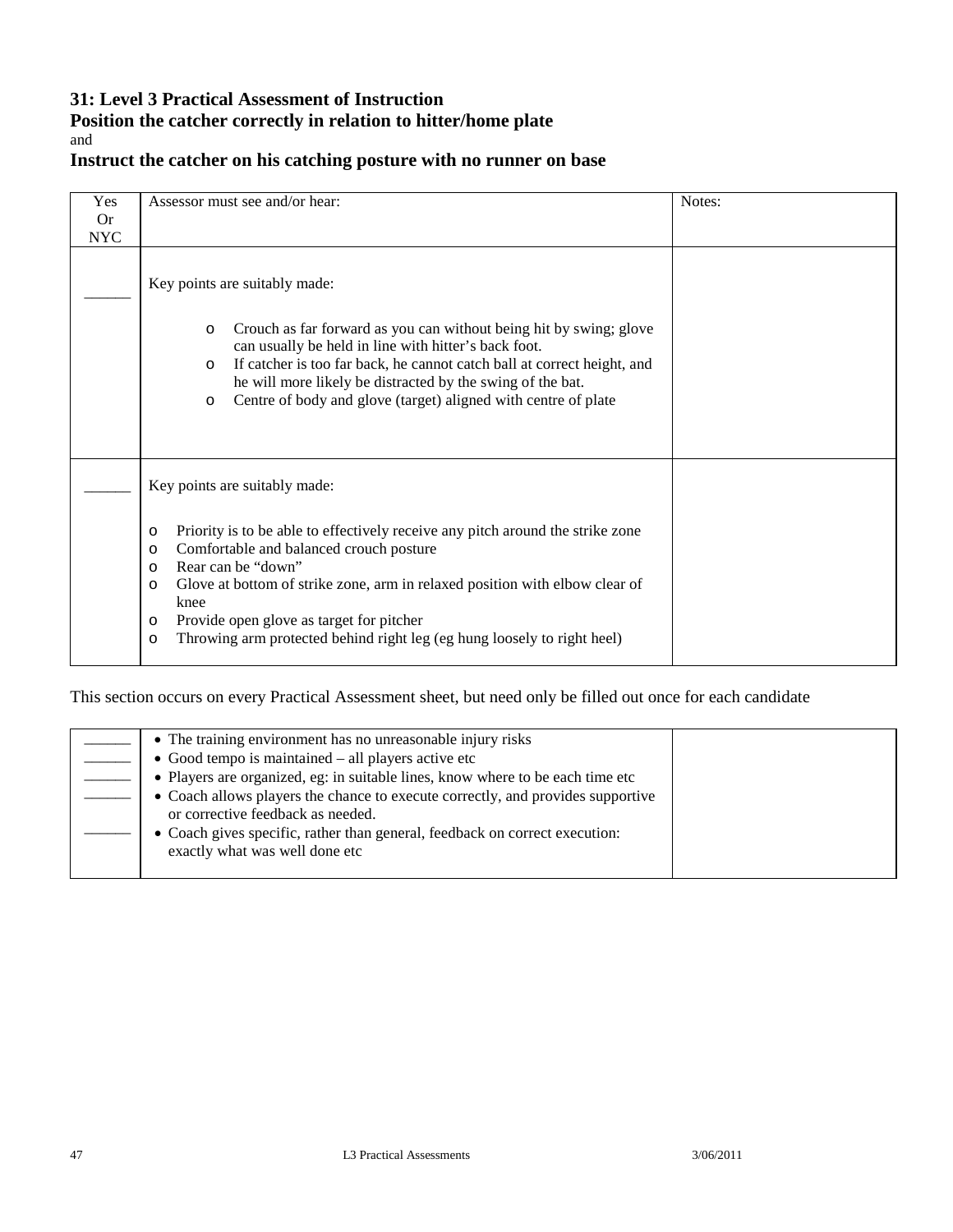### **31: Level 3 Practical Assessment of Instruction**

#### **Position the catcher correctly in relation to hitter/home plate** and

### **Instruct the catcher on his catching posture with no runner on base**

| Yes                     | Assessor must see and/or hear:                                                                                                                                                                                                                                                                                                                                                                                                                                   | Notes: |
|-------------------------|------------------------------------------------------------------------------------------------------------------------------------------------------------------------------------------------------------------------------------------------------------------------------------------------------------------------------------------------------------------------------------------------------------------------------------------------------------------|--------|
| <b>Or</b><br><b>NYC</b> |                                                                                                                                                                                                                                                                                                                                                                                                                                                                  |        |
|                         | Key points are suitably made:<br>Crouch as far forward as you can without being hit by swing; glove<br>O<br>can usually be held in line with hitter's back foot.<br>If catcher is too far back, he cannot catch ball at correct height, and<br>$\circ$<br>he will more likely be distracted by the swing of the bat.<br>Centre of body and glove (target) aligned with centre of plate<br>$\circ$                                                                |        |
|                         | Key points are suitably made:<br>Priority is to be able to effectively receive any pitch around the strike zone<br>$\circ$<br>Comfortable and balanced crouch posture<br>$\circ$<br>Rear can be "down"<br>$\circ$<br>Glove at bottom of strike zone, arm in relaxed position with elbow clear of<br>$\circ$<br>knee<br>Provide open glove as target for pitcher<br>$\circ$<br>Throwing arm protected behind right leg (eg hung loosely to right heel)<br>$\circ$ |        |

| • The training environment has no unreasonable injury risks                                                          |  |
|----------------------------------------------------------------------------------------------------------------------|--|
| $\bullet$ Good tempo is maintained $-$ all players active etc                                                        |  |
| • Players are organized, eg: in suitable lines, know where to be each time etc                                       |  |
| • Coach allows players the chance to execute correctly, and provides supportive<br>or corrective feedback as needed. |  |
| • Coach gives specific, rather than general, feedback on correct execution:<br>exactly what was well done etc        |  |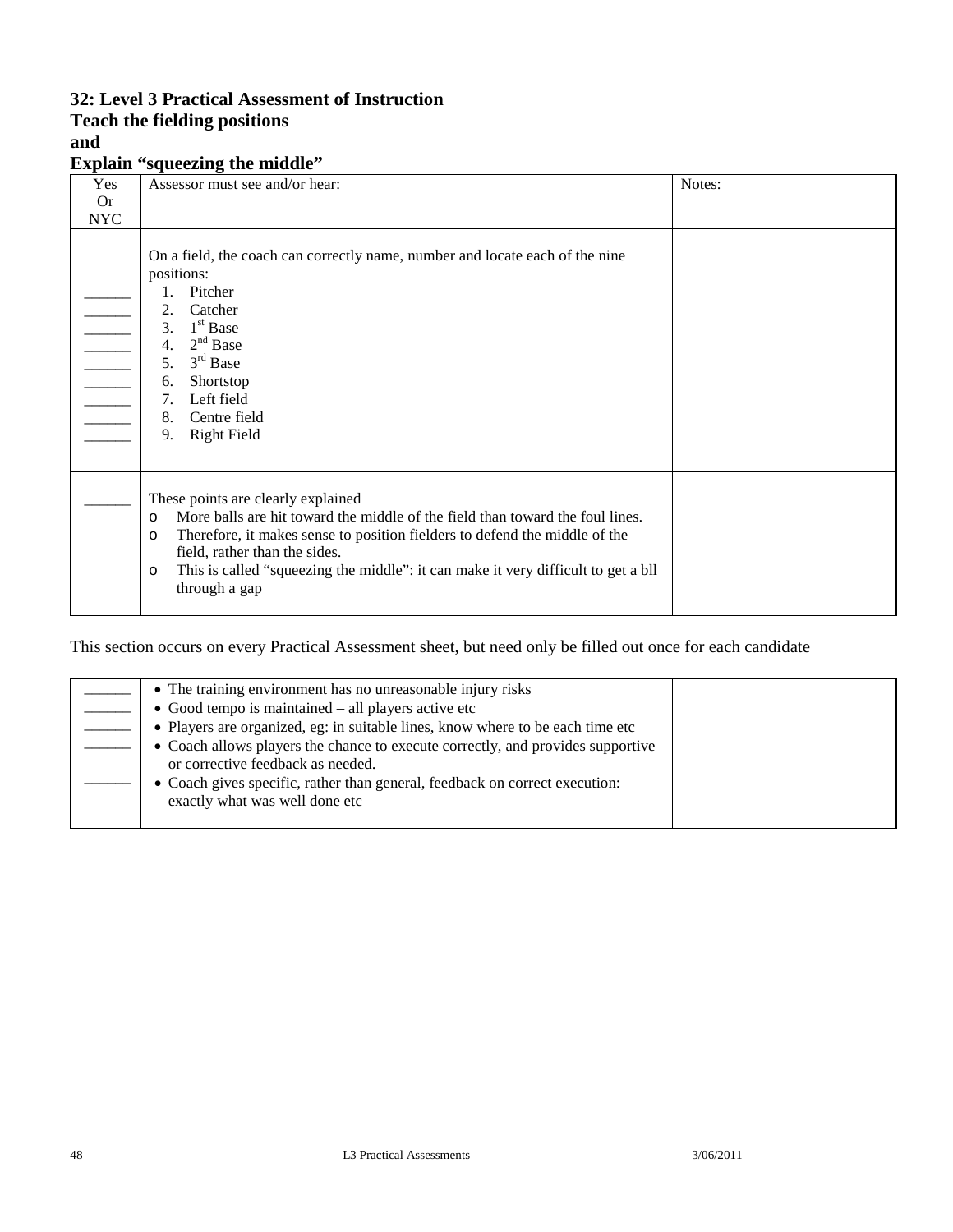### **32: Level 3 Practical Assessment of Instruction**

# **Teach the fielding positions**

### **and**

**Explain "squeezing the middle"**

| Yes        | o<br>Assessor must see and/or hear:                                                                                                                                                                                                                                                                                                                                       | Notes: |
|------------|---------------------------------------------------------------------------------------------------------------------------------------------------------------------------------------------------------------------------------------------------------------------------------------------------------------------------------------------------------------------------|--------|
| <b>Or</b>  |                                                                                                                                                                                                                                                                                                                                                                           |        |
| <b>NYC</b> |                                                                                                                                                                                                                                                                                                                                                                           |        |
|            | On a field, the coach can correctly name, number and locate each of the nine<br>positions:<br>Pitcher<br>2.<br>Catcher<br>$1st$ Base<br>3.<br>$2nd$ Base<br>4.<br>$3rd$ Base<br>5 <sub>1</sub><br>Shortstop<br>6.<br>Left field<br>7.<br>Centre field<br>8.<br><b>Right Field</b><br>9.                                                                                   |        |
|            | These points are clearly explained<br>More balls are hit toward the middle of the field than toward the foul lines.<br>$\circ$<br>Therefore, it makes sense to position fielders to defend the middle of the<br>$\circ$<br>field, rather than the sides.<br>This is called "squeezing the middle": it can make it very difficult to get a bll<br>$\circ$<br>through a gap |        |

| • The training environment has no unreasonable injury risks                                                          |  |
|----------------------------------------------------------------------------------------------------------------------|--|
| $\bullet$ Good tempo is maintained – all players active etc                                                          |  |
| • Players are organized, eg: in suitable lines, know where to be each time etc                                       |  |
| • Coach allows players the chance to execute correctly, and provides supportive<br>or corrective feedback as needed. |  |
| • Coach gives specific, rather than general, feedback on correct execution:<br>exactly what was well done etc        |  |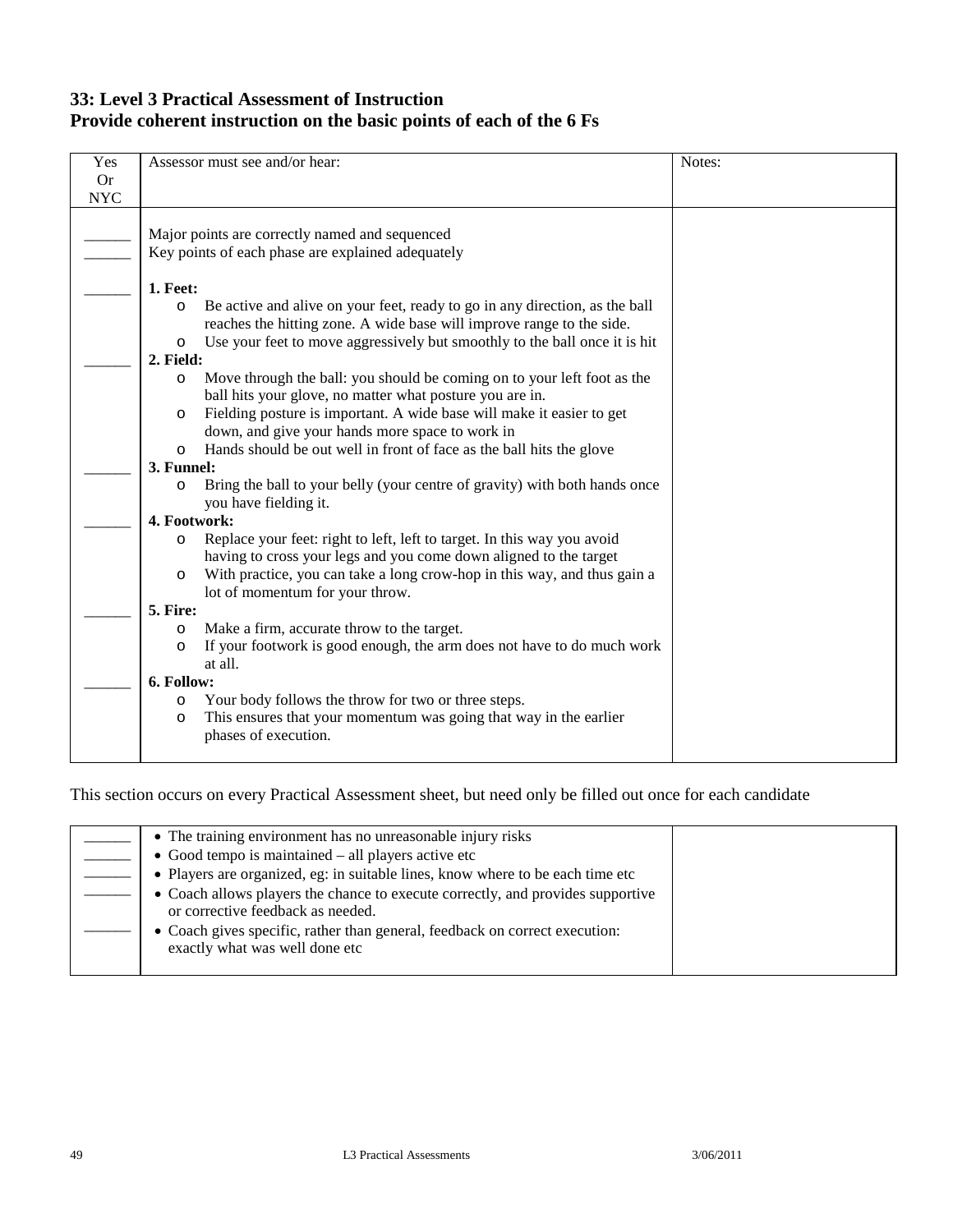### **33: Level 3 Practical Assessment of Instruction Provide coherent instruction on the basic points of each of the 6 Fs**

| Yes        | Assessor must see and/or hear:                                                                                                  | Notes: |
|------------|---------------------------------------------------------------------------------------------------------------------------------|--------|
| <b>Or</b>  |                                                                                                                                 |        |
| <b>NYC</b> |                                                                                                                                 |        |
|            | Major points are correctly named and sequenced                                                                                  |        |
|            | Key points of each phase are explained adequately                                                                               |        |
|            | 1. Feet:                                                                                                                        |        |
|            | Be active and alive on your feet, ready to go in any direction, as the ball<br>$\circ$                                          |        |
|            | reaches the hitting zone. A wide base will improve range to the side.                                                           |        |
|            | Use your feet to move aggressively but smoothly to the ball once it is hit<br>$\circ$                                           |        |
|            | 2. Field:                                                                                                                       |        |
|            | Move through the ball: you should be coming on to your left foot as the<br>$\circ$                                              |        |
|            | ball hits your glove, no matter what posture you are in.                                                                        |        |
|            | Fielding posture is important. A wide base will make it easier to get<br>$\circ$                                                |        |
|            | down, and give your hands more space to work in                                                                                 |        |
|            | Hands should be out well in front of face as the ball hits the glove<br>$\circ$<br>3. Funnel:                                   |        |
|            | Bring the ball to your belly (your centre of gravity) with both hands once<br>$\circ$                                           |        |
|            | you have fielding it.                                                                                                           |        |
|            | 4. Footwork:                                                                                                                    |        |
|            | Replace your feet: right to left, left to target. In this way you avoid<br>$\circ$                                              |        |
|            | having to cross your legs and you come down aligned to the target                                                               |        |
|            | With practice, you can take a long crow-hop in this way, and thus gain a<br>$\circ$                                             |        |
|            | lot of momentum for your throw.                                                                                                 |        |
|            | 5. Fire:                                                                                                                        |        |
|            | Make a firm, accurate throw to the target.<br>$\circ$<br>If your footwork is good enough, the arm does not have to do much work |        |
|            | $\circ$<br>at all.                                                                                                              |        |
|            | 6. Follow:                                                                                                                      |        |
|            | Your body follows the throw for two or three steps.<br>O                                                                        |        |
|            | This ensures that your momentum was going that way in the earlier<br>$\circ$                                                    |        |
|            | phases of execution.                                                                                                            |        |
|            |                                                                                                                                 |        |

| • The training environment has no unreasonable injury risks                                                          |  |
|----------------------------------------------------------------------------------------------------------------------|--|
|                                                                                                                      |  |
| $\bullet$ Good tempo is maintained $-$ all players active etc                                                        |  |
| • Players are organized, eg: in suitable lines, know where to be each time etc                                       |  |
| • Coach allows players the chance to execute correctly, and provides supportive<br>or corrective feedback as needed. |  |
| • Coach gives specific, rather than general, feedback on correct execution:<br>exactly what was well done etc        |  |
|                                                                                                                      |  |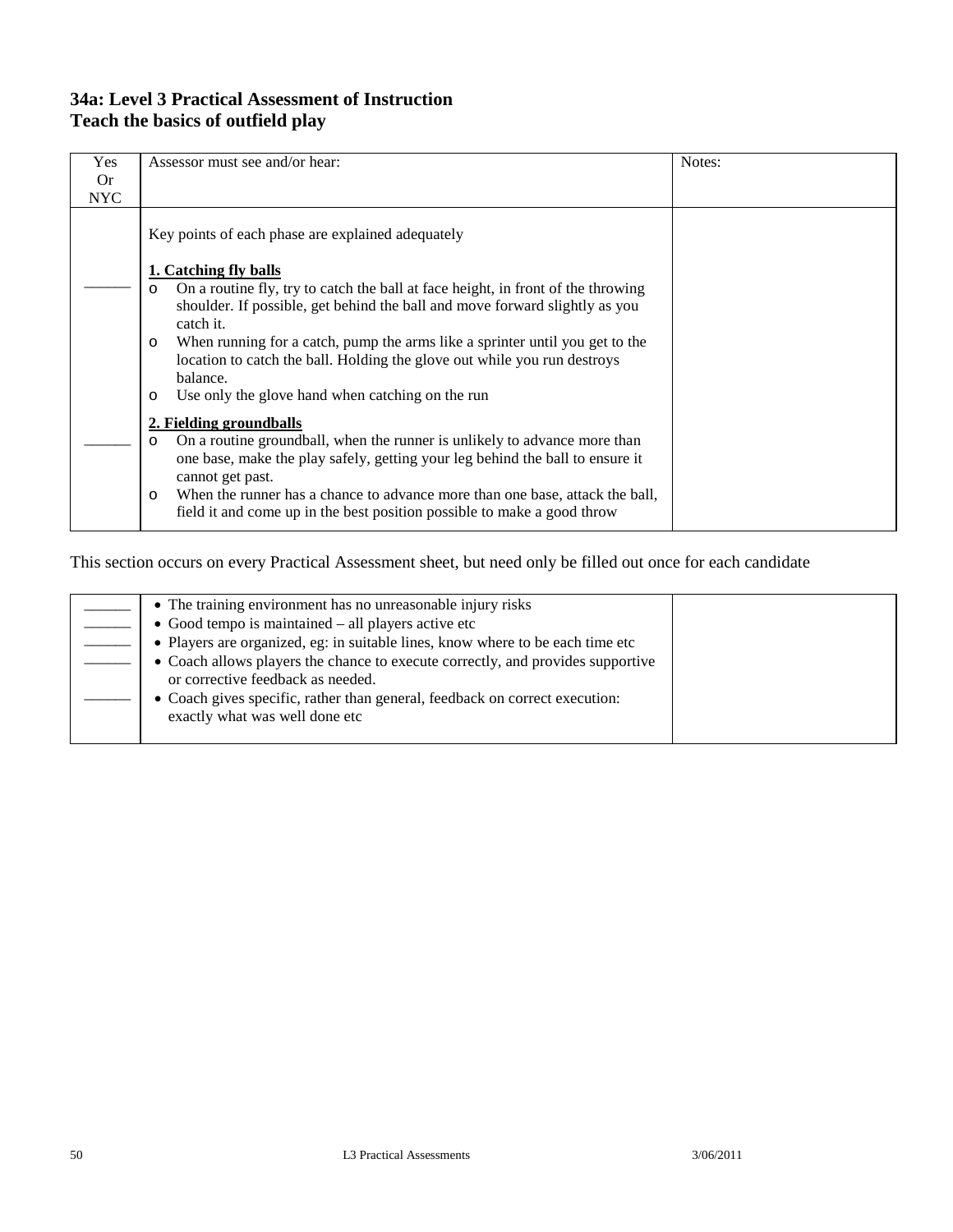### **34a: Level 3 Practical Assessment of Instruction Teach the basics of outfield play**

| <b>Yes</b> | Assessor must see and/or hear:                                                                                                                                                                                 | Notes: |
|------------|----------------------------------------------------------------------------------------------------------------------------------------------------------------------------------------------------------------|--------|
| 0r         |                                                                                                                                                                                                                |        |
| <b>NYC</b> |                                                                                                                                                                                                                |        |
|            | Key points of each phase are explained adequately                                                                                                                                                              |        |
|            | 1. Catching fly balls                                                                                                                                                                                          |        |
|            | On a routine fly, try to catch the ball at face height, in front of the throwing<br>$\circ$<br>shoulder. If possible, get behind the ball and move forward slightly as you<br>catch it.                        |        |
|            | When running for a catch, pump the arms like a sprinter until you get to the<br>$\circ$<br>location to catch the ball. Holding the glove out while you run destroys<br>balance.                                |        |
|            | Use only the glove hand when catching on the run<br>$\circ$                                                                                                                                                    |        |
|            | 2. Fielding groundballs<br>On a routine groundball, when the runner is unlikely to advance more than<br>O<br>one base, make the play safely, getting your leg behind the ball to ensure it<br>cannot get past. |        |
|            | When the runner has a chance to advance more than one base, attack the ball,<br>$\circ$<br>field it and come up in the best position possible to make a good throw                                             |        |

| • The training environment has no unreasonable injury risks                                                          |  |
|----------------------------------------------------------------------------------------------------------------------|--|
| • Good tempo is maintained $-$ all players active etc                                                                |  |
| • Players are organized, eg: in suitable lines, know where to be each time etc                                       |  |
| • Coach allows players the chance to execute correctly, and provides supportive<br>or corrective feedback as needed. |  |
| • Coach gives specific, rather than general, feedback on correct execution:<br>exactly what was well done etc        |  |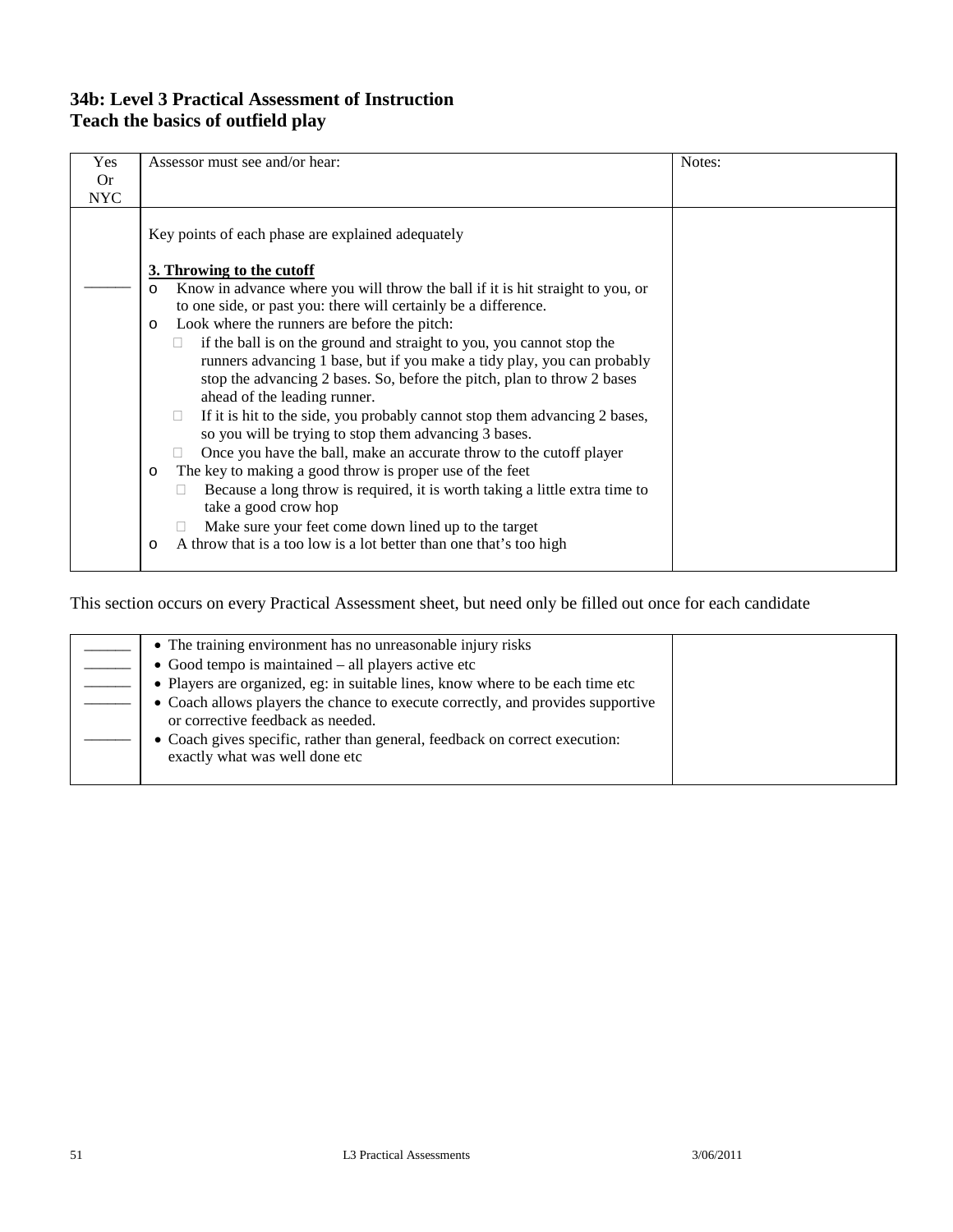### **34b: Level 3 Practical Assessment of Instruction Teach the basics of outfield play**

| Yes        | Assessor must see and/or hear:                                                                          | Notes: |
|------------|---------------------------------------------------------------------------------------------------------|--------|
| <b>Or</b>  |                                                                                                         |        |
| <b>NYC</b> |                                                                                                         |        |
|            | Key points of each phase are explained adequately                                                       |        |
|            | 3. Throwing to the cutoff                                                                               |        |
|            | Know in advance where you will throw the ball if it is hit straight to you, or<br>$\circ$               |        |
|            | to one side, or past you: there will certainly be a difference.                                         |        |
|            | Look where the runners are before the pitch:<br>$\circ$                                                 |        |
|            | if the ball is on the ground and straight to you, you cannot stop the<br>$\mathbf{L}$                   |        |
|            | runners advancing 1 base, but if you make a tidy play, you can probably                                 |        |
|            | stop the advancing 2 bases. So, before the pitch, plan to throw 2 bases<br>ahead of the leading runner. |        |
|            | If it is hit to the side, you probably cannot stop them advancing 2 bases,<br>□                         |        |
|            | so you will be trying to stop them advancing 3 bases.                                                   |        |
|            | Once you have the ball, make an accurate throw to the cutoff player                                     |        |
|            | The key to making a good throw is proper use of the feet<br>$\circ$                                     |        |
|            | Because a long throw is required, it is worth taking a little extra time to                             |        |
|            | take a good crow hop                                                                                    |        |
|            | Make sure your feet come down lined up to the target                                                    |        |
|            | A throw that is a too low is a lot better than one that's too high<br>$\circ$                           |        |
|            |                                                                                                         |        |

| • The training environment has no unreasonable injury risks                                                          |  |
|----------------------------------------------------------------------------------------------------------------------|--|
| $\bullet$ Good tempo is maintained – all players active etc                                                          |  |
| • Players are organized, eg: in suitable lines, know where to be each time etc                                       |  |
| • Coach allows players the chance to execute correctly, and provides supportive<br>or corrective feedback as needed. |  |
| • Coach gives specific, rather than general, feedback on correct execution:<br>exactly what was well done etc        |  |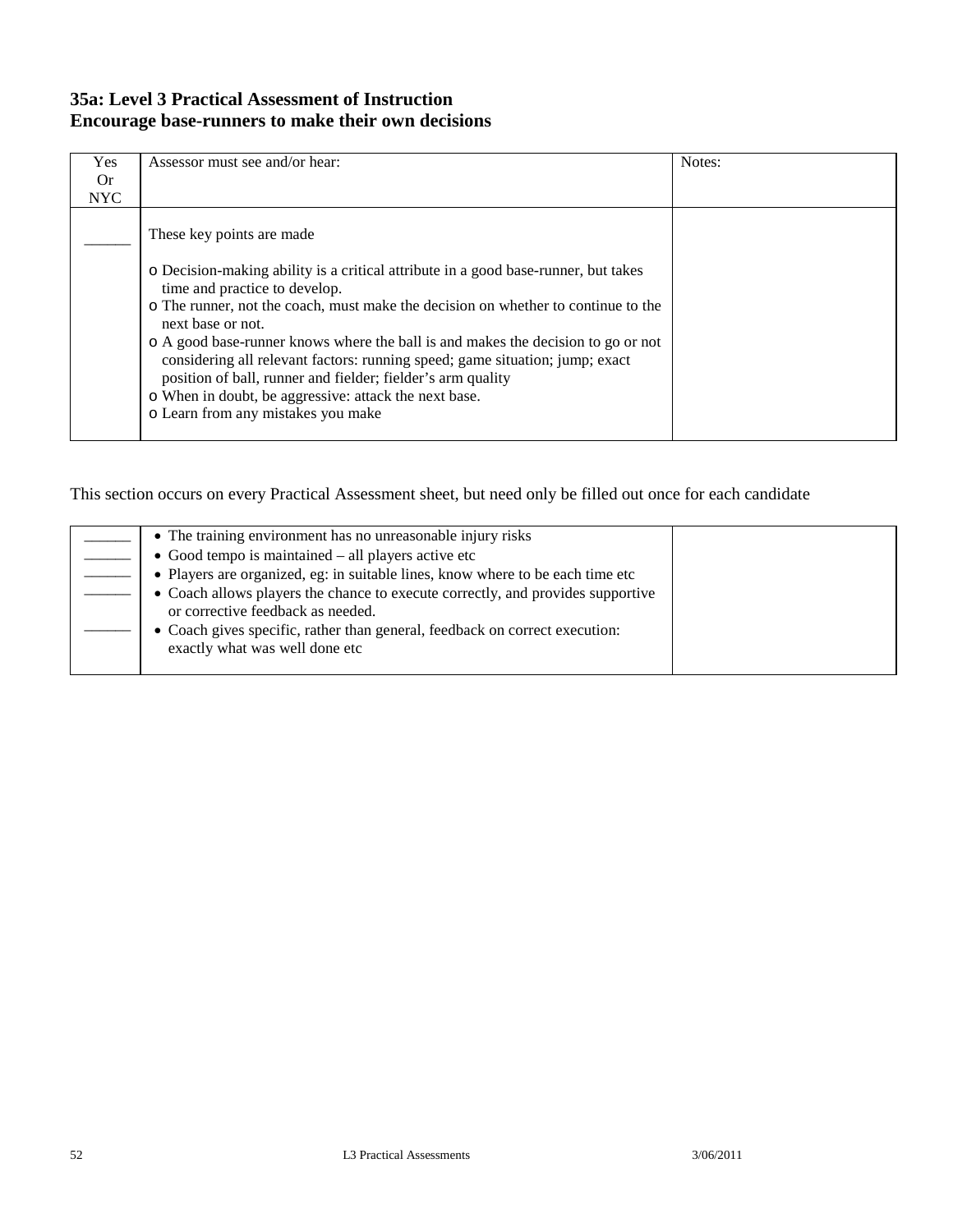### **35a: Level 3 Practical Assessment of Instruction Encourage base-runners to make their own decisions**

| Yes        | Assessor must see and/or hear:                                                                                                                                                                                                                                                                                                                                                                                                                                                                                                                                                                | Notes: |
|------------|-----------------------------------------------------------------------------------------------------------------------------------------------------------------------------------------------------------------------------------------------------------------------------------------------------------------------------------------------------------------------------------------------------------------------------------------------------------------------------------------------------------------------------------------------------------------------------------------------|--------|
| <b>Or</b>  |                                                                                                                                                                                                                                                                                                                                                                                                                                                                                                                                                                                               |        |
| <b>NYC</b> |                                                                                                                                                                                                                                                                                                                                                                                                                                                                                                                                                                                               |        |
|            | These key points are made.<br>o Decision-making ability is a critical attribute in a good base-runner, but takes<br>time and practice to develop.<br>o The runner, not the coach, must make the decision on whether to continue to the<br>next base or not.<br>o A good base-runner knows where the ball is and makes the decision to go or not<br>considering all relevant factors: running speed; game situation; jump; exact<br>position of ball, runner and fielder; fielder's arm quality<br>o When in doubt, be aggressive: attack the next base.<br>o Learn from any mistakes you make |        |

| • The training environment has no unreasonable injury risks                                                          |  |
|----------------------------------------------------------------------------------------------------------------------|--|
| $\bullet$ Good tempo is maintained – all players active etc                                                          |  |
| • Players are organized, eg: in suitable lines, know where to be each time etc                                       |  |
| • Coach allows players the chance to execute correctly, and provides supportive<br>or corrective feedback as needed. |  |
| • Coach gives specific, rather than general, feedback on correct execution:<br>exactly what was well done etc        |  |
|                                                                                                                      |  |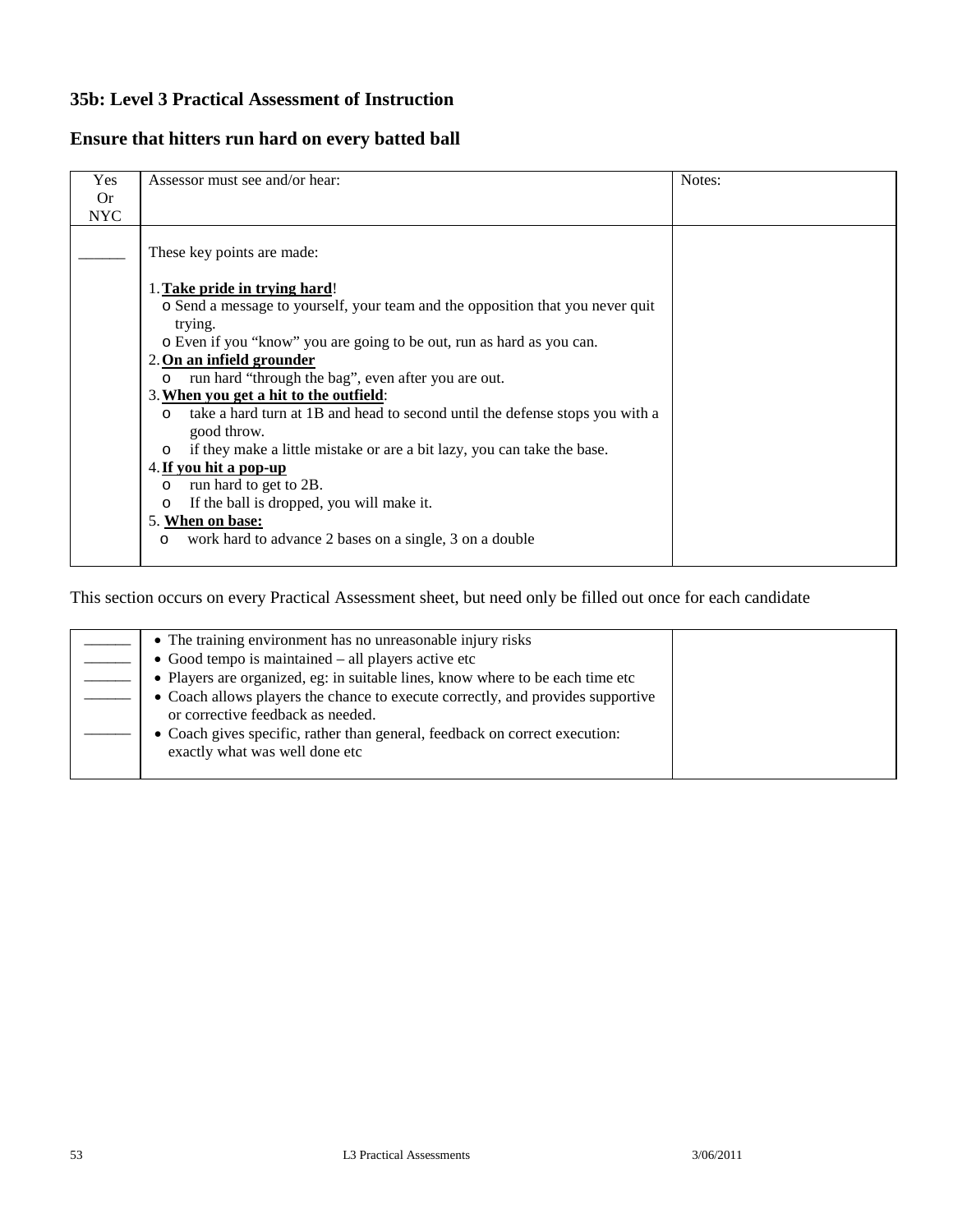### **35b: Level 3 Practical Assessment of Instruction**

### **Ensure that hitters run hard on every batted ball**

| Yes        | Assessor must see and/or hear:                                                                                                                                                                                                                                                                                                                                                                                                                                                                                                                                                                                                             | Notes: |
|------------|--------------------------------------------------------------------------------------------------------------------------------------------------------------------------------------------------------------------------------------------------------------------------------------------------------------------------------------------------------------------------------------------------------------------------------------------------------------------------------------------------------------------------------------------------------------------------------------------------------------------------------------------|--------|
| 0r         |                                                                                                                                                                                                                                                                                                                                                                                                                                                                                                                                                                                                                                            |        |
| <b>NYC</b> |                                                                                                                                                                                                                                                                                                                                                                                                                                                                                                                                                                                                                                            |        |
|            | These key points are made:<br>1. Take pride in trying hard!<br>o Send a message to yourself, your team and the opposition that you never quit<br>trying.<br>o Even if you "know" you are going to be out, run as hard as you can.<br>2. On an infield grounder<br>run hard "through the bag", even after you are out.<br>$\circ$<br>3. When you get a hit to the outfield:<br>take a hard turn at 1B and head to second until the defense stops you with a<br>$\circ$<br>good throw.<br>if they make a little mistake or are a bit lazy, you can take the base.<br>$\circ$<br>4. If you hit a pop-up<br>run hard to get to 2B.<br>$\Omega$ |        |
|            | If the ball is dropped, you will make it.<br>$\circ$<br>5. When on base:                                                                                                                                                                                                                                                                                                                                                                                                                                                                                                                                                                   |        |
|            | work hard to advance 2 bases on a single, 3 on a double<br>$\circ$                                                                                                                                                                                                                                                                                                                                                                                                                                                                                                                                                                         |        |

| • The training environment has no unreasonable injury risks                                                          |  |
|----------------------------------------------------------------------------------------------------------------------|--|
| $\bullet$ Good tempo is maintained – all players active etc                                                          |  |
| • Players are organized, eg: in suitable lines, know where to be each time etc                                       |  |
| • Coach allows players the chance to execute correctly, and provides supportive<br>or corrective feedback as needed. |  |
| • Coach gives specific, rather than general, feedback on correct execution:<br>exactly what was well done etc        |  |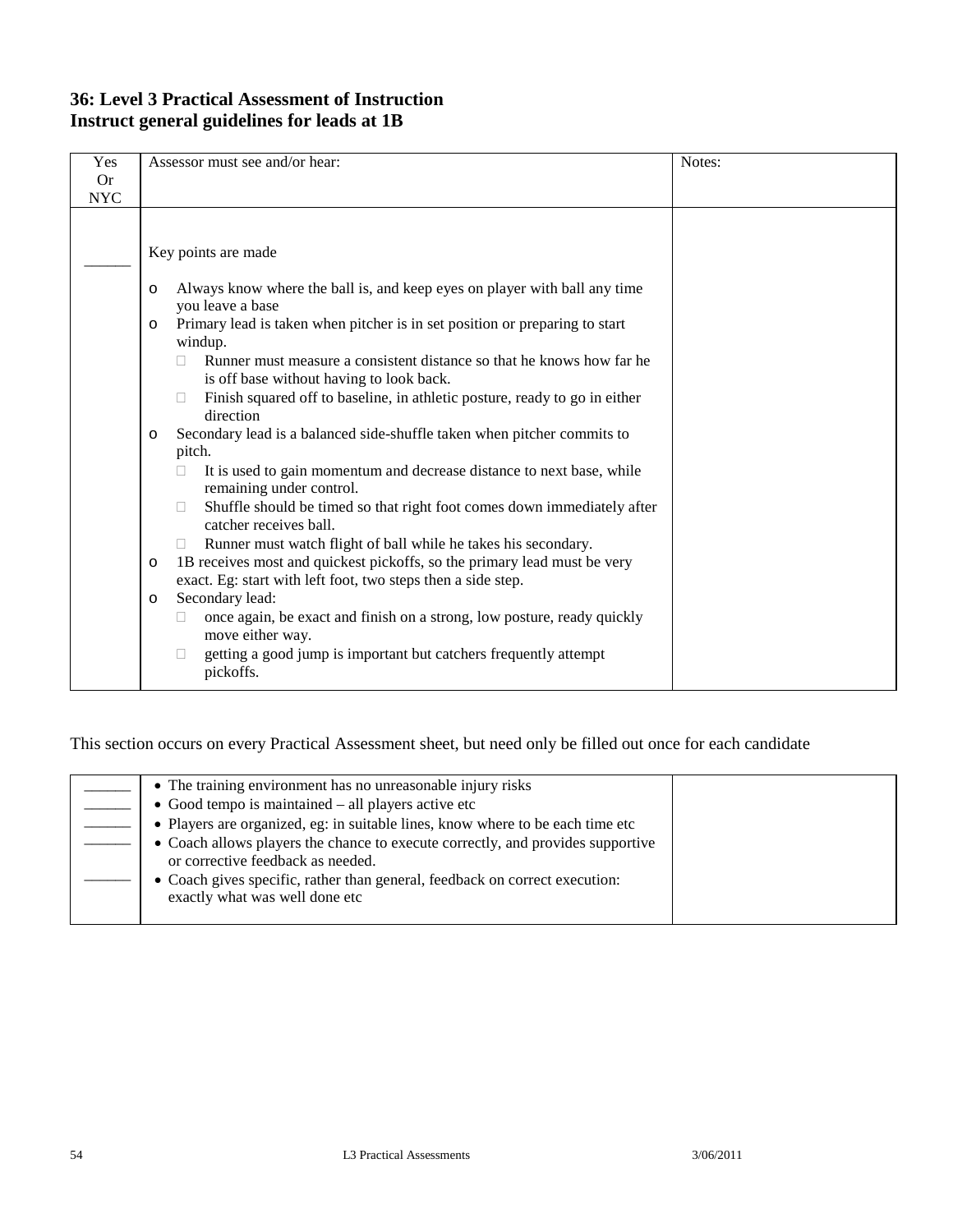### **36: Level 3 Practical Assessment of Instruction Instruct general guidelines for leads at 1B**

| Yes<br><b>Or</b> | Assessor must see and/or hear:                                                                                                                      | Notes: |
|------------------|-----------------------------------------------------------------------------------------------------------------------------------------------------|--------|
| <b>NYC</b>       |                                                                                                                                                     |        |
|                  |                                                                                                                                                     |        |
|                  | Key points are made                                                                                                                                 |        |
|                  | Always know where the ball is, and keep eyes on player with ball any time<br>$\circ$<br>you leave a base                                            |        |
|                  | Primary lead is taken when pitcher is in set position or preparing to start<br>$\circ$<br>windup.                                                   |        |
|                  | Runner must measure a consistent distance so that he knows how far he<br>is off base without having to look back.                                   |        |
|                  | Finish squared off to baseline, in athletic posture, ready to go in either<br>direction                                                             |        |
|                  | Secondary lead is a balanced side-shuffle taken when pitcher commits to<br>$\circ$                                                                  |        |
|                  | pitch.                                                                                                                                              |        |
|                  | It is used to gain momentum and decrease distance to next base, while<br>remaining under control.                                                   |        |
|                  | Shuffle should be timed so that right foot comes down immediately after<br>$\Box$<br>catcher receives ball.                                         |        |
|                  | Runner must watch flight of ball while he takes his secondary.                                                                                      |        |
|                  | 1B receives most and quickest pickoffs, so the primary lead must be very<br>$\circ$<br>exact. Eg: start with left foot, two steps then a side step. |        |
|                  | Secondary lead:<br>$\circ$                                                                                                                          |        |
|                  | once again, be exact and finish on a strong, low posture, ready quickly<br>move either way.                                                         |        |
|                  | getting a good jump is important but catchers frequently attempt<br>pickoffs.                                                                       |        |

| • The training environment has no unreasonable injury risks                                                          |  |
|----------------------------------------------------------------------------------------------------------------------|--|
| $\bullet$ Good tempo is maintained – all players active etc                                                          |  |
| • Players are organized, eg: in suitable lines, know where to be each time etc                                       |  |
| • Coach allows players the chance to execute correctly, and provides supportive<br>or corrective feedback as needed. |  |
| • Coach gives specific, rather than general, feedback on correct execution:<br>exactly what was well done etc        |  |
|                                                                                                                      |  |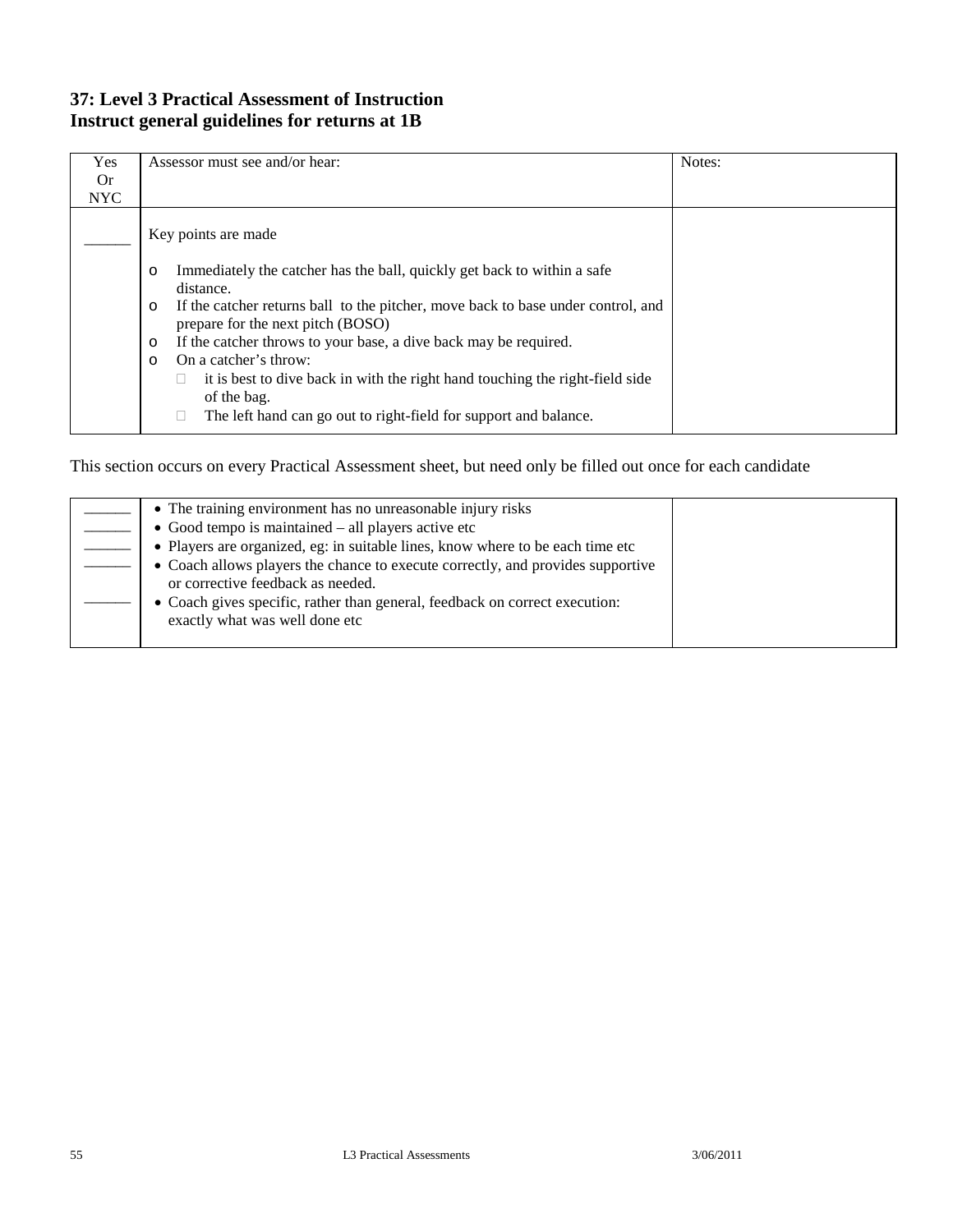### **37: Level 3 Practical Assessment of Instruction Instruct general guidelines for returns at 1B**

| Yes<br>0r  | Assessor must see and/or hear:                                                                                                   | Notes: |
|------------|----------------------------------------------------------------------------------------------------------------------------------|--------|
|            |                                                                                                                                  |        |
| <b>NYC</b> |                                                                                                                                  |        |
|            | Key points are made                                                                                                              |        |
|            | Immediately the catcher has the ball, quickly get back to within a safe<br>$\circ$<br>distance.                                  |        |
|            | If the catcher returns ball to the pitcher, move back to base under control, and<br>$\circ$<br>prepare for the next pitch (BOSO) |        |
|            | If the catcher throws to your base, a dive back may be required.<br>$\circ$                                                      |        |
|            | On a catcher's throw:<br>$\circ$                                                                                                 |        |
|            | it is best to dive back in with the right hand touching the right-field side<br>of the bag.                                      |        |
|            | The left hand can go out to right-field for support and balance.                                                                 |        |

| • The training environment has no unreasonable injury risks                                                          |  |
|----------------------------------------------------------------------------------------------------------------------|--|
| $\bullet$ Good tempo is maintained – all players active etc                                                          |  |
| • Players are organized, eg: in suitable lines, know where to be each time etc                                       |  |
| • Coach allows players the chance to execute correctly, and provides supportive<br>or corrective feedback as needed. |  |
| • Coach gives specific, rather than general, feedback on correct execution:<br>exactly what was well done etc        |  |
|                                                                                                                      |  |